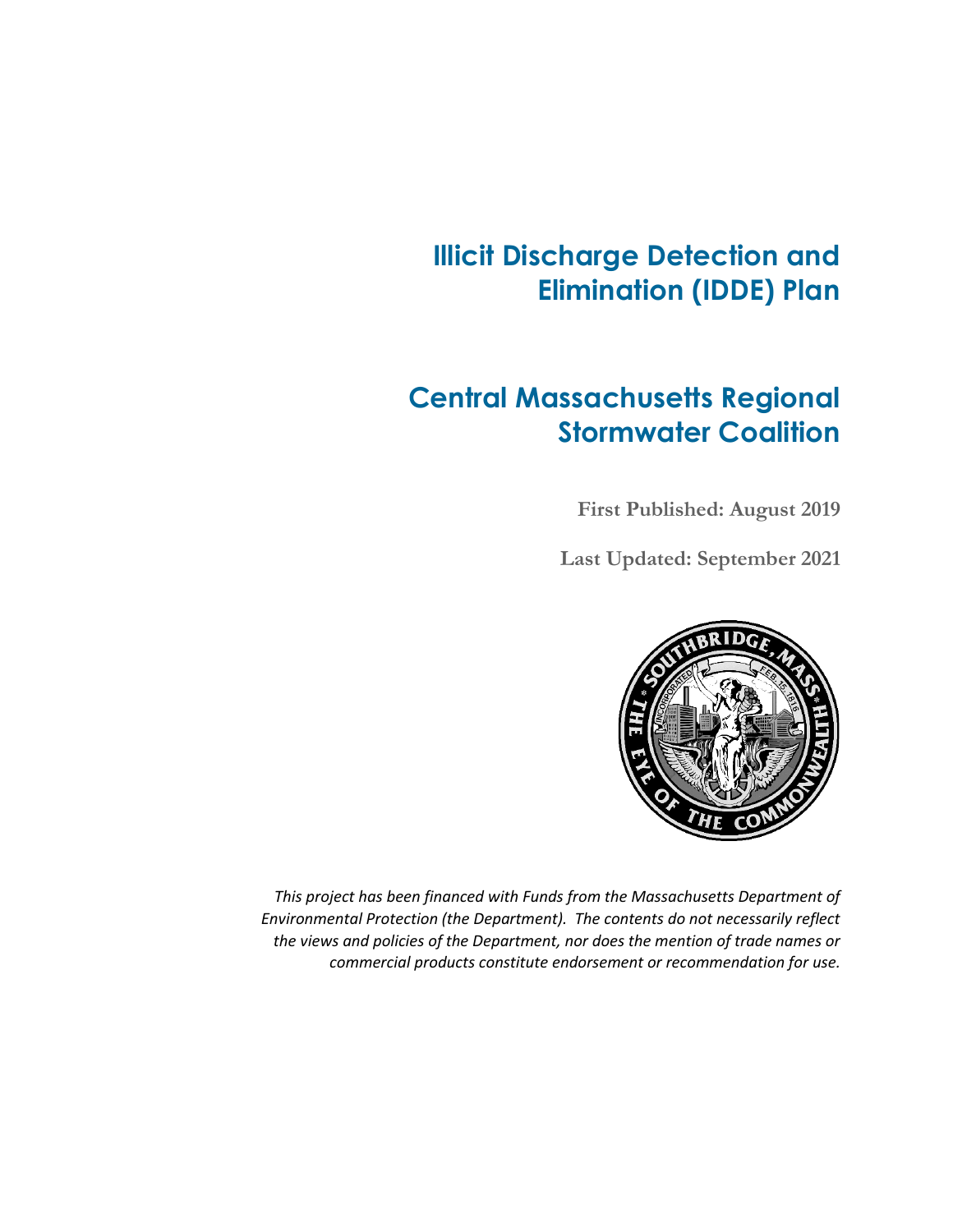## **Illicit Discharge Detection and Elimination (IDDE) Plan**

## **Central Massachusetts Regional Stormwater Coalition**

**First Published: August 2019**

**Last Updated: September 2021**



*This project has been financed with Funds from the Massachusetts Department of Environmental Protection (the Department). The contents do not necessarily reflect the views and policies of the Department, nor does the mention of trade names or commercial products constitute endorsement or recommendation for use.*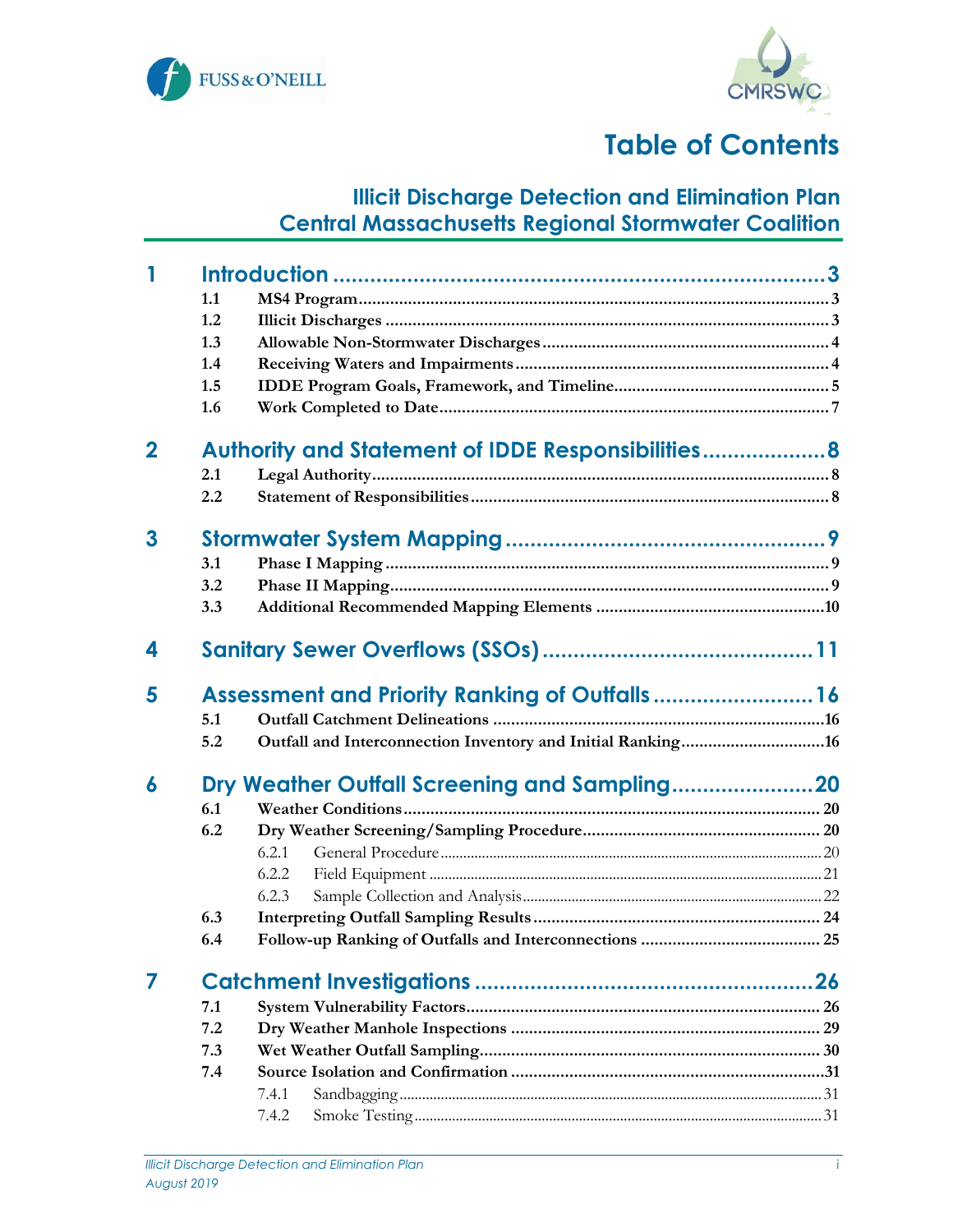



# **Table of Contents**

### **Illicit Discharge Detection and Elimination Plan Central Massachusetts Regional Stormwater Coalition**

| 1           |     |                                                             |  |
|-------------|-----|-------------------------------------------------------------|--|
|             | 1.1 |                                                             |  |
|             | 1.2 |                                                             |  |
|             | 1.3 |                                                             |  |
|             | 1.4 |                                                             |  |
|             | 1.5 |                                                             |  |
|             | 1.6 |                                                             |  |
| $\mathbf 2$ |     | Authority and Statement of IDDE Responsibilities 8          |  |
|             | 2.1 |                                                             |  |
|             | 2.2 |                                                             |  |
| 3           |     |                                                             |  |
|             | 3.1 |                                                             |  |
|             | 3.2 |                                                             |  |
|             | 3.3 |                                                             |  |
| 4           |     |                                                             |  |
| 5           |     | Assessment and Priority Ranking of Outfalls 16              |  |
|             | 5.1 |                                                             |  |
|             | 5.2 | Outfall and Interconnection Inventory and Initial Ranking16 |  |
| 6           |     |                                                             |  |
|             | 6.1 |                                                             |  |
|             | 6.2 |                                                             |  |
|             |     | 6.2.1                                                       |  |
|             |     | 6.2.2                                                       |  |
|             |     | 6.2.3                                                       |  |
|             | 6.3 |                                                             |  |
|             | 6.4 |                                                             |  |
|             |     |                                                             |  |
|             | 7.1 |                                                             |  |
|             | 7.2 |                                                             |  |
|             | 7.3 |                                                             |  |
|             | 7.4 |                                                             |  |
|             |     | 7.4.1                                                       |  |
|             |     | 7.4.2                                                       |  |
|             |     |                                                             |  |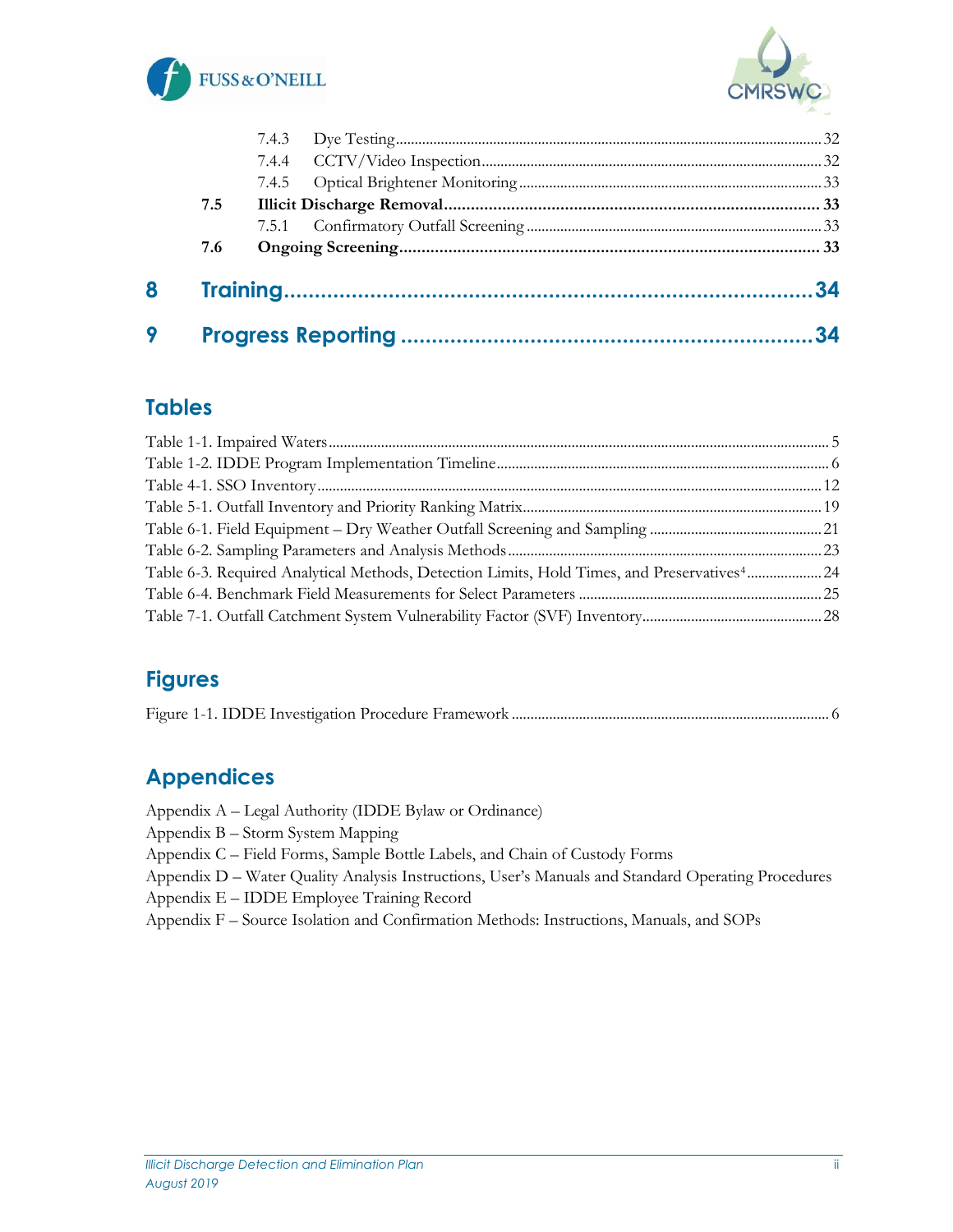



| 9 |     |  | 34 |
|---|-----|--|----|
| 8 |     |  |    |
|   | 7.6 |  |    |
|   |     |  |    |
|   | 7.5 |  |    |
|   |     |  |    |
|   |     |  |    |
|   |     |  |    |

#### **Tables**

| Table 6-3. Required Analytical Methods, Detection Limits, Hold Times, and Preservatives <sup>4</sup> 24 |  |
|---------------------------------------------------------------------------------------------------------|--|
|                                                                                                         |  |
|                                                                                                         |  |

## **Figures**

### **Appendices**

Appendix A – Legal Authority (IDDE Bylaw or Ordinance) Appendix B – Storm System Mapping Appendix C – Field Forms, Sample Bottle Labels, and Chain of Custody Forms Appendix D – Water Quality Analysis Instructions, User's Manuals and Standard Operating Procedures

Appendix E – IDDE Employee Training Record

Appendix F – Source Isolation and Confirmation Methods: Instructions, Manuals, and SOPs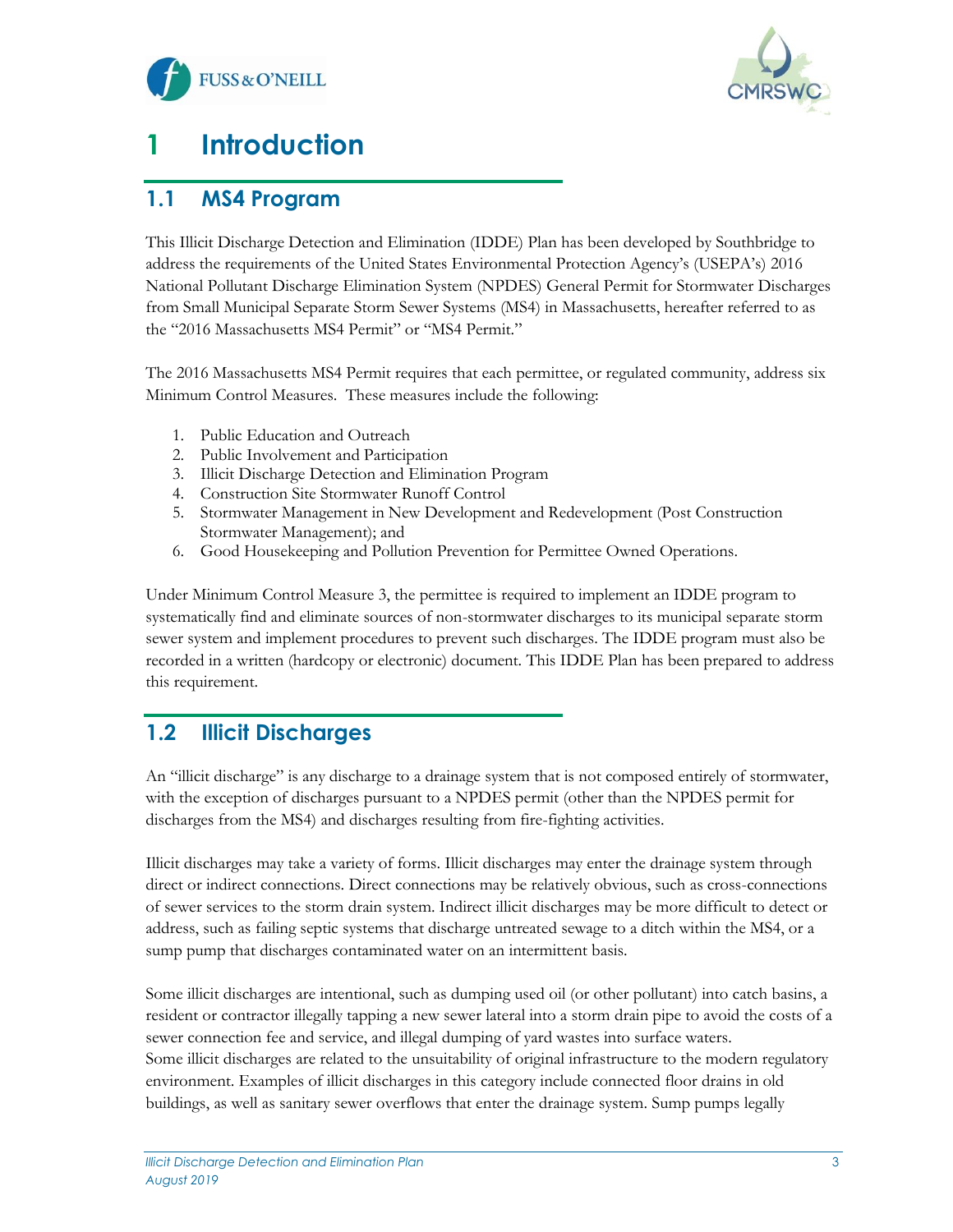



# <span id="page-3-0"></span>**1 Introduction**

#### <span id="page-3-1"></span>**1.1 MS4 Program**

This Illicit Discharge Detection and Elimination (IDDE) Plan has been developed by Southbridge to address the requirements of the United States Environmental Protection Agency's (USEPA's) 2016 National Pollutant Discharge Elimination System (NPDES) General Permit for Stormwater Discharges from Small Municipal Separate Storm Sewer Systems (MS4) in Massachusetts, hereafter referred to as the "2016 Massachusetts MS4 Permit" or "MS4 Permit."

The 2016 Massachusetts MS4 Permit requires that each permittee, or regulated community, address six Minimum Control Measures. These measures include the following:

- 1. Public Education and Outreach
- 2. Public Involvement and Participation
- 3. Illicit Discharge Detection and Elimination Program
- 4. Construction Site Stormwater Runoff Control
- 5. Stormwater Management in New Development and Redevelopment (Post Construction Stormwater Management); and
- 6. Good Housekeeping and Pollution Prevention for Permittee Owned Operations.

Under Minimum Control Measure 3, the permittee is required to implement an IDDE program to systematically find and eliminate sources of non-stormwater discharges to its municipal separate storm sewer system and implement procedures to prevent such discharges. The IDDE program must also be recorded in a written (hardcopy or electronic) document. This IDDE Plan has been prepared to address this requirement.

#### <span id="page-3-2"></span>**1.2 Illicit Discharges**

An "illicit discharge" is any discharge to a drainage system that is not composed entirely of stormwater, with the exception of discharges pursuant to a NPDES permit (other than the NPDES permit for discharges from the MS4) and discharges resulting from fire-fighting activities.

Illicit discharges may take a variety of forms. Illicit discharges may enter the drainage system through direct or indirect connections. Direct connections may be relatively obvious, such as cross-connections of sewer services to the storm drain system. Indirect illicit discharges may be more difficult to detect or address, such as failing septic systems that discharge untreated sewage to a ditch within the MS4, or a sump pump that discharges contaminated water on an intermittent basis.

Some illicit discharges are intentional, such as dumping used oil (or other pollutant) into catch basins, a resident or contractor illegally tapping a new sewer lateral into a storm drain pipe to avoid the costs of a sewer connection fee and service, and illegal dumping of yard wastes into surface waters. Some illicit discharges are related to the unsuitability of original infrastructure to the modern regulatory environment. Examples of illicit discharges in this category include connected floor drains in old buildings, as well as sanitary sewer overflows that enter the drainage system. Sump pumps legally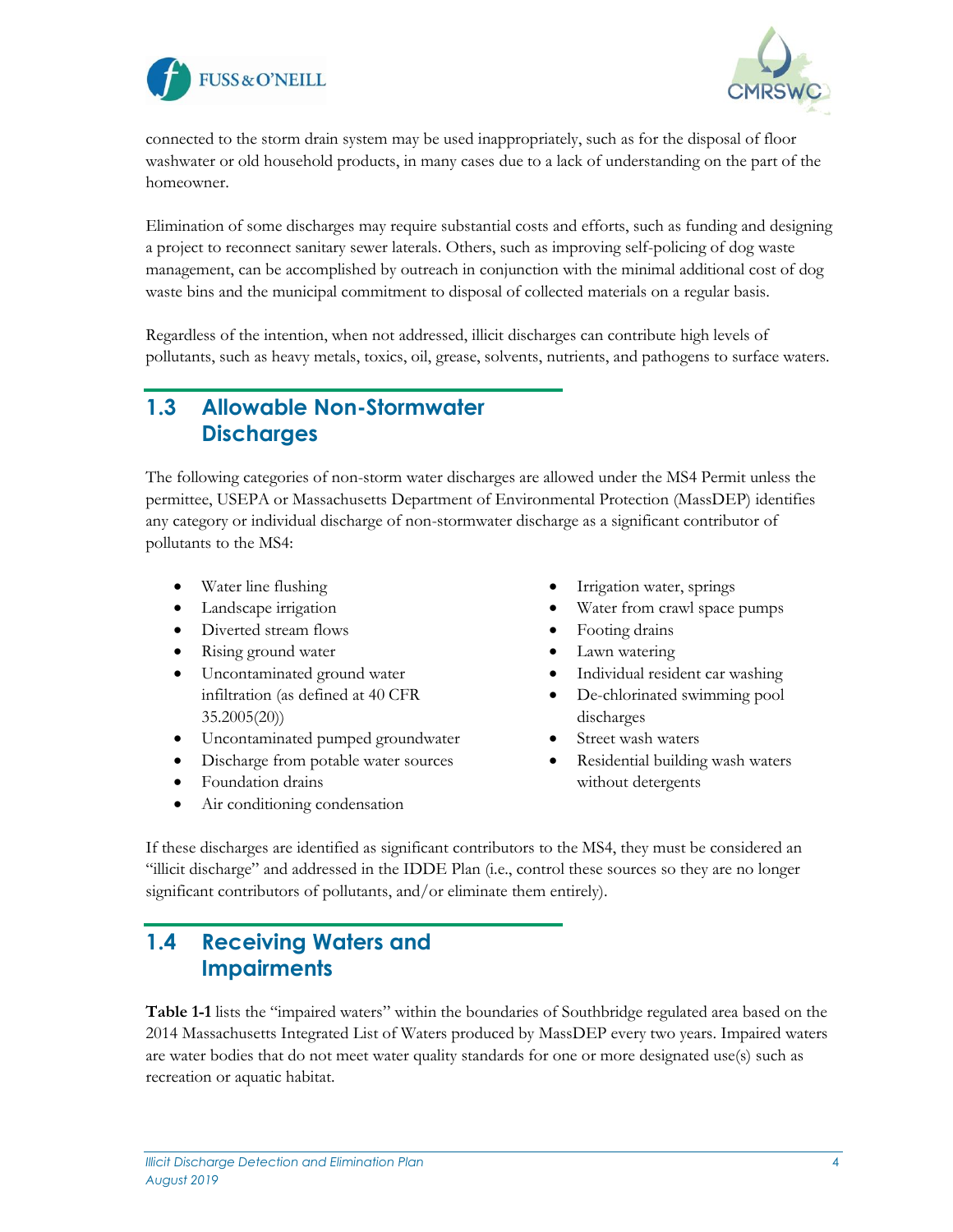



connected to the storm drain system may be used inappropriately, such as for the disposal of floor washwater or old household products, in many cases due to a lack of understanding on the part of the homeowner.

Elimination of some discharges may require substantial costs and efforts, such as funding and designing a project to reconnect sanitary sewer laterals. Others, such as improving self-policing of dog waste management, can be accomplished by outreach in conjunction with the minimal additional cost of dog waste bins and the municipal commitment to disposal of collected materials on a regular basis.

Regardless of the intention, when not addressed, illicit discharges can contribute high levels of pollutants, such as heavy metals, toxics, oil, grease, solvents, nutrients, and pathogens to surface waters.

#### <span id="page-4-0"></span>**1.3 Allowable Non-Stormwater Discharges**

The following categories of non-storm water discharges are allowed under the MS4 Permit unless the permittee, USEPA or Massachusetts Department of Environmental Protection (MassDEP) identifies any category or individual discharge of non-stormwater discharge as a significant contributor of pollutants to the MS4:

- Water line flushing
- Landscape irrigation
- Diverted stream flows
- Rising ground water
- Uncontaminated ground water infiltration (as defined at 40 CFR 35.2005(20))
- Uncontaminated pumped groundwater
- Discharge from potable water sources
- Foundation drains
- Air conditioning condensation
- Irrigation water, springs
- Water from crawl space pumps
- Footing drains
- Lawn watering
- Individual resident car washing
- De-chlorinated swimming pool discharges
- Street wash waters
- Residential building wash waters without detergents

If these discharges are identified as significant contributors to the MS4, they must be considered an "illicit discharge" and addressed in the IDDE Plan (i.e., control these sources so they are no longer significant contributors of pollutants, and/or eliminate them entirely).

### <span id="page-4-1"></span>**1.4 Receiving Waters and Impairments**

**Table 1-1** lists the "impaired waters" within the boundaries of Southbridge regulated area based on the 2014 Massachusetts Integrated List of Waters produced by MassDEP every two years. Impaired waters are water bodies that do not meet water quality standards for one or more designated use(s) such as recreation or aquatic habitat.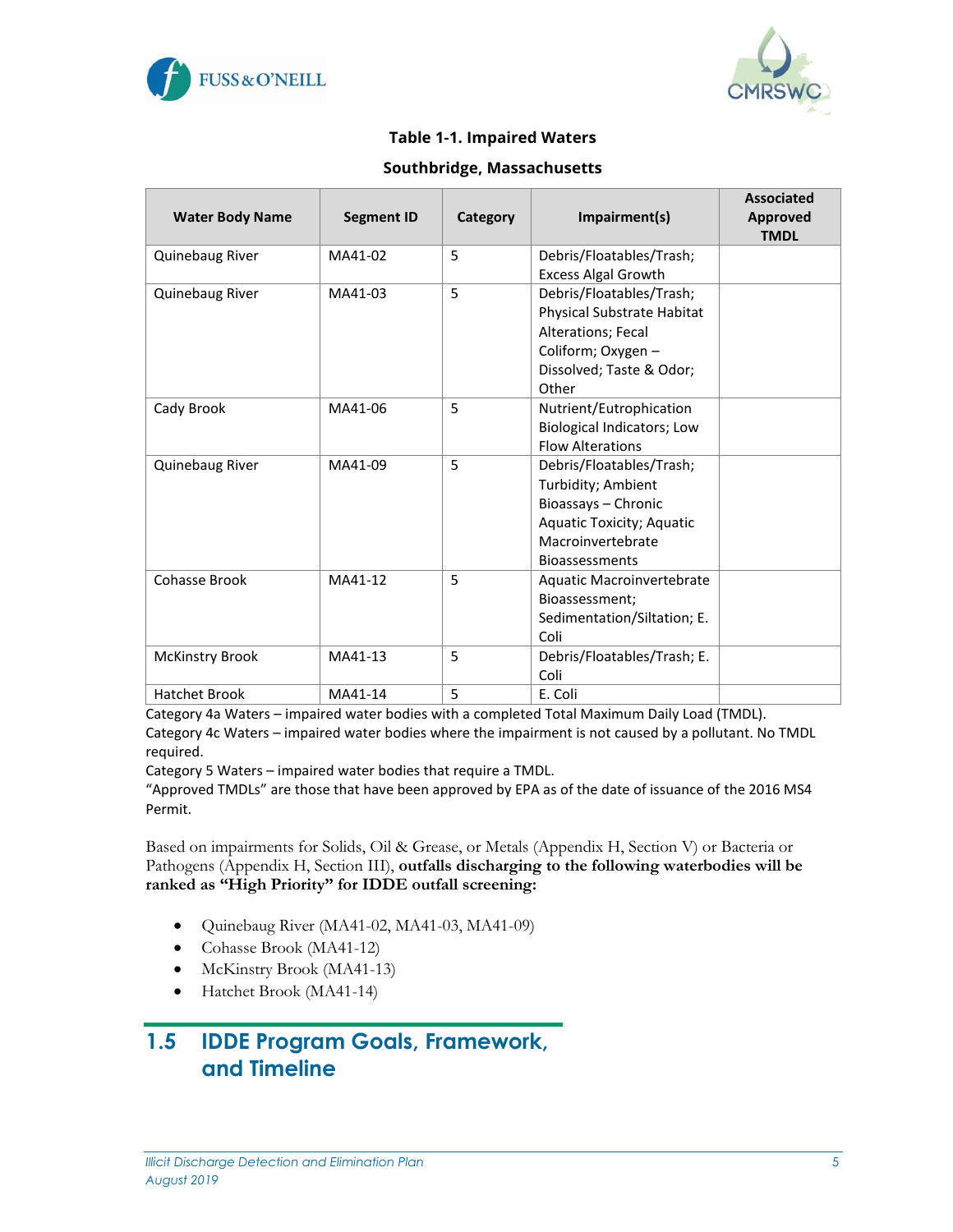



#### **Table 1-1. Impaired Waters**

#### **Southbridge, Massachusetts**

<span id="page-5-1"></span>

| <b>Water Body Name</b> | <b>Segment ID</b> | Category | Impairment(s)                                         | <b>Associated</b><br>Approved |
|------------------------|-------------------|----------|-------------------------------------------------------|-------------------------------|
|                        |                   |          |                                                       | <b>TMDL</b>                   |
| Quinebaug River        | MA41-02           | 5        | Debris/Floatables/Trash;                              |                               |
|                        |                   |          | <b>Excess Algal Growth</b>                            |                               |
| Quinebaug River        | MA41-03           | 5        | Debris/Floatables/Trash;                              |                               |
|                        |                   |          | Physical Substrate Habitat                            |                               |
|                        |                   |          | Alterations; Fecal                                    |                               |
|                        |                   |          | Coliform; Oxygen -                                    |                               |
|                        |                   |          | Dissolved; Taste & Odor;<br>Other                     |                               |
| Cady Brook             | MA41-06           | 5        | Nutrient/Eutrophication                               |                               |
|                        |                   |          | Biological Indicators; Low                            |                               |
|                        |                   |          | <b>Flow Alterations</b>                               |                               |
| Quinebaug River        | MA41-09           | 5        | Debris/Floatables/Trash;                              |                               |
|                        |                   |          | Turbidity; Ambient                                    |                               |
|                        |                   |          | Bioassays - Chronic                                   |                               |
|                        |                   |          | <b>Aquatic Toxicity; Aquatic</b><br>Macroinvertebrate |                               |
|                        |                   |          | <b>Bioassessments</b>                                 |                               |
| Cohasse Brook          | MA41-12           | 5        | Aquatic Macroinvertebrate                             |                               |
|                        |                   |          | Bioassessment;                                        |                               |
|                        |                   |          | Sedimentation/Siltation; E.                           |                               |
|                        |                   |          | Coli                                                  |                               |
| <b>McKinstry Brook</b> | MA41-13           | 5        | Debris/Floatables/Trash; E.                           |                               |
|                        |                   |          | Coli                                                  |                               |
| <b>Hatchet Brook</b>   | MA41-14           | 5        | E. Coli                                               |                               |

Category 4a Waters – impaired water bodies with a completed Total Maximum Daily Load (TMDL).

Category 4c Waters – impaired water bodies where the impairment is not caused by a pollutant. No TMDL required.

Category 5 Waters – impaired water bodies that require a TMDL.

"Approved TMDLs" are those that have been approved by EPA as of the date of issuance of the 2016 MS4 Permit.

Based on impairments for Solids, Oil & Grease, or Metals (Appendix H, Section V) or Bacteria or Pathogens (Appendix H, Section III), **outfalls discharging to the following waterbodies will be ranked as "High Priority" for IDDE outfall screening:**

- Quinebaug River (MA41-02, MA41-03, MA41-09)
- Cohasse Brook (MA41-12)
- McKinstry Brook (MA41-13)
- Hatchet Brook (MA41-14)

#### <span id="page-5-0"></span>**1.5 IDDE Program Goals, Framework, and Timeline**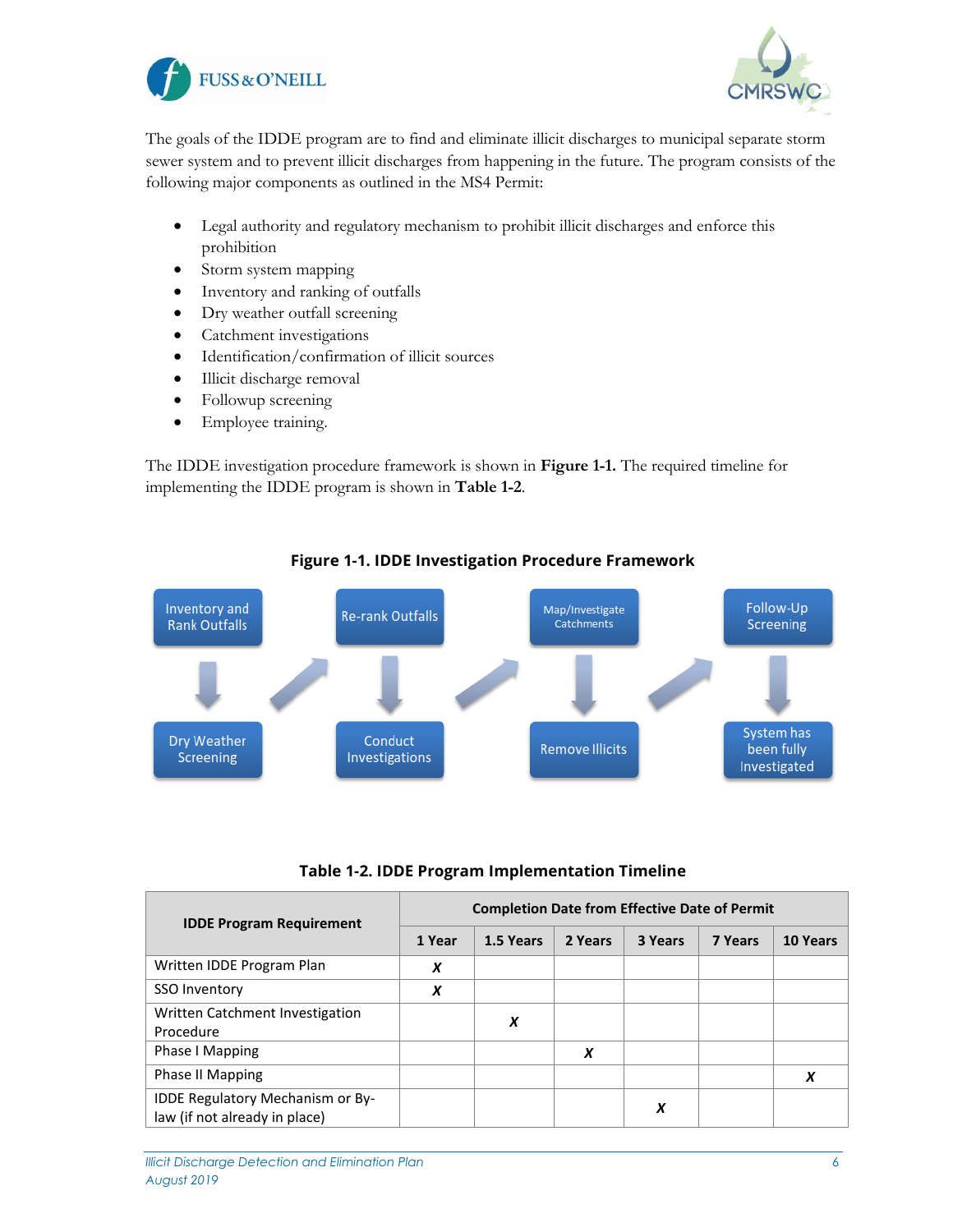



The goals of the IDDE program are to find and eliminate illicit discharges to municipal separate storm sewer system and to prevent illicit discharges from happening in the future. The program consists of the following major components as outlined in the MS4 Permit:

- Legal authority and regulatory mechanism to prohibit illicit discharges and enforce this prohibition
- Storm system mapping
- Inventory and ranking of outfalls
- Dry weather outfall screening
- Catchment investigations
- Identification/confirmation of illicit sources
- Illicit discharge removal
- Followup screening
- Employee training.

The IDDE investigation procedure framework is shown in **Figure 1-1.** The required timeline for implementing the IDDE program is shown in **Table 1-2**.

<span id="page-6-1"></span>

#### **Figure 1-1. IDDE Investigation Procedure Framework**

| Table 1-2. IDDE Program Implementation Timeline |  |  |  |
|-------------------------------------------------|--|--|--|
|-------------------------------------------------|--|--|--|

<span id="page-6-0"></span>

| <b>IDDE Program Requirement</b>                                   | <b>Completion Date from Effective Date of Permit</b> |           |         |         |                |          |  |  |  |  |  |
|-------------------------------------------------------------------|------------------------------------------------------|-----------|---------|---------|----------------|----------|--|--|--|--|--|
|                                                                   | 1 Year                                               | 1.5 Years | 2 Years | 3 Years | <b>7 Years</b> | 10 Years |  |  |  |  |  |
| Written IDDE Program Plan                                         | X                                                    |           |         |         |                |          |  |  |  |  |  |
| SSO Inventory                                                     | X                                                    |           |         |         |                |          |  |  |  |  |  |
| Written Catchment Investigation<br>Procedure                      |                                                      | X         |         |         |                |          |  |  |  |  |  |
| Phase I Mapping                                                   |                                                      |           | X       |         |                |          |  |  |  |  |  |
| Phase II Mapping                                                  |                                                      |           |         |         |                |          |  |  |  |  |  |
| IDDE Regulatory Mechanism or By-<br>law (if not already in place) |                                                      |           |         | X       |                |          |  |  |  |  |  |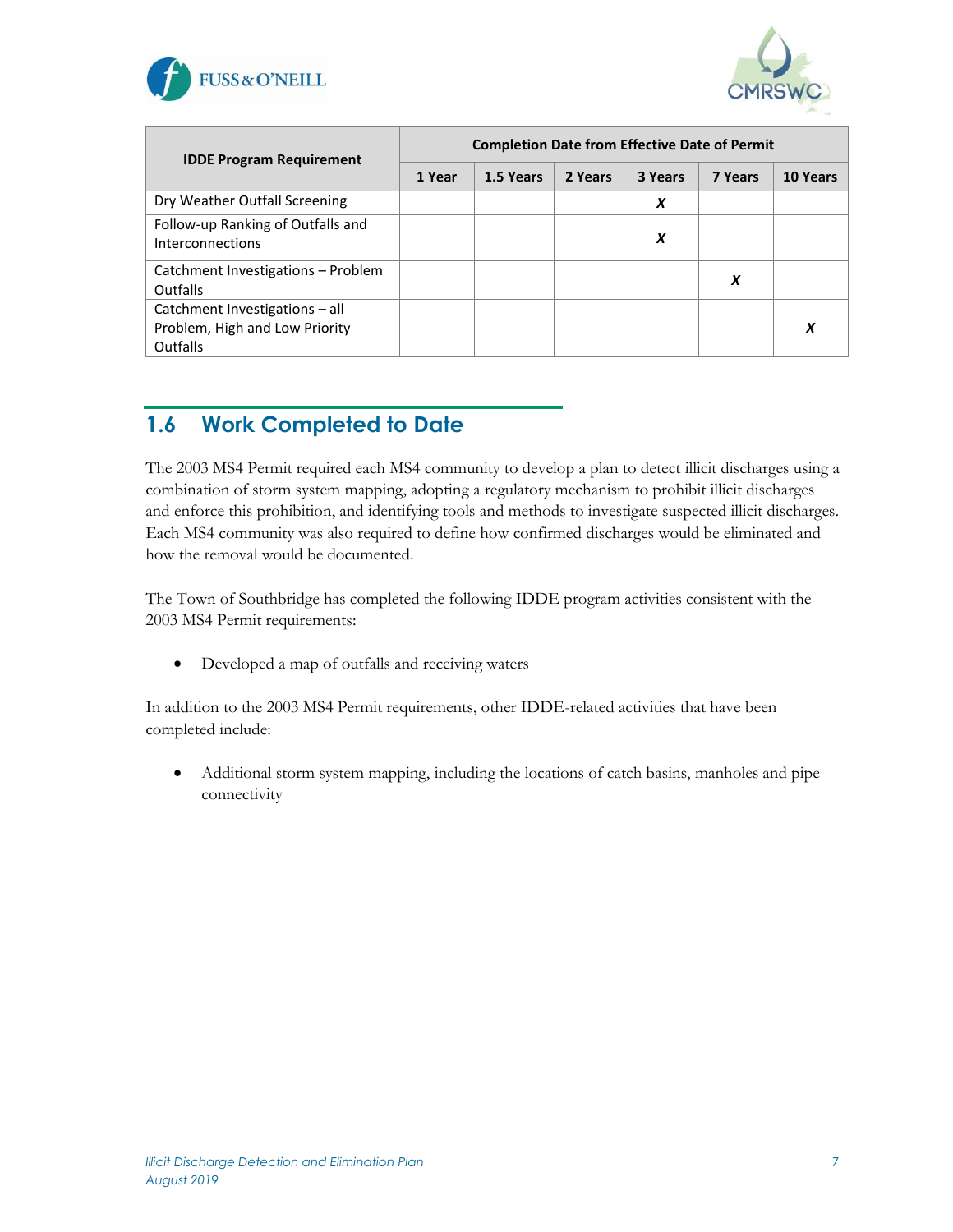



| <b>IDDE Program Requirement</b>                                              | <b>Completion Date from Effective Date of Permit</b> |           |         |         |                |          |  |  |  |  |  |
|------------------------------------------------------------------------------|------------------------------------------------------|-----------|---------|---------|----------------|----------|--|--|--|--|--|
|                                                                              | 1 Year                                               | 1.5 Years | 2 Years | 3 Years | <b>7 Years</b> | 10 Years |  |  |  |  |  |
| Dry Weather Outfall Screening                                                |                                                      |           |         | X       |                |          |  |  |  |  |  |
| Follow-up Ranking of Outfalls and<br>Interconnections                        |                                                      |           |         | X       |                |          |  |  |  |  |  |
| Catchment Investigations - Problem<br>Outfalls                               |                                                      |           |         |         | X              |          |  |  |  |  |  |
| Catchment Investigations - all<br>Problem, High and Low Priority<br>Outfalls |                                                      |           |         |         |                | X        |  |  |  |  |  |

### <span id="page-7-0"></span>**1.6 Work Completed to Date**

The 2003 MS4 Permit required each MS4 community to develop a plan to detect illicit discharges using a combination of storm system mapping, adopting a regulatory mechanism to prohibit illicit discharges and enforce this prohibition, and identifying tools and methods to investigate suspected illicit discharges. Each MS4 community was also required to define how confirmed discharges would be eliminated and how the removal would be documented.

The Town of Southbridge has completed the following IDDE program activities consistent with the 2003 MS4 Permit requirements:

• Developed a map of outfalls and receiving waters

In addition to the 2003 MS4 Permit requirements, other IDDE-related activities that have been completed include:

• Additional storm system mapping, including the locations of catch basins, manholes and pipe connectivity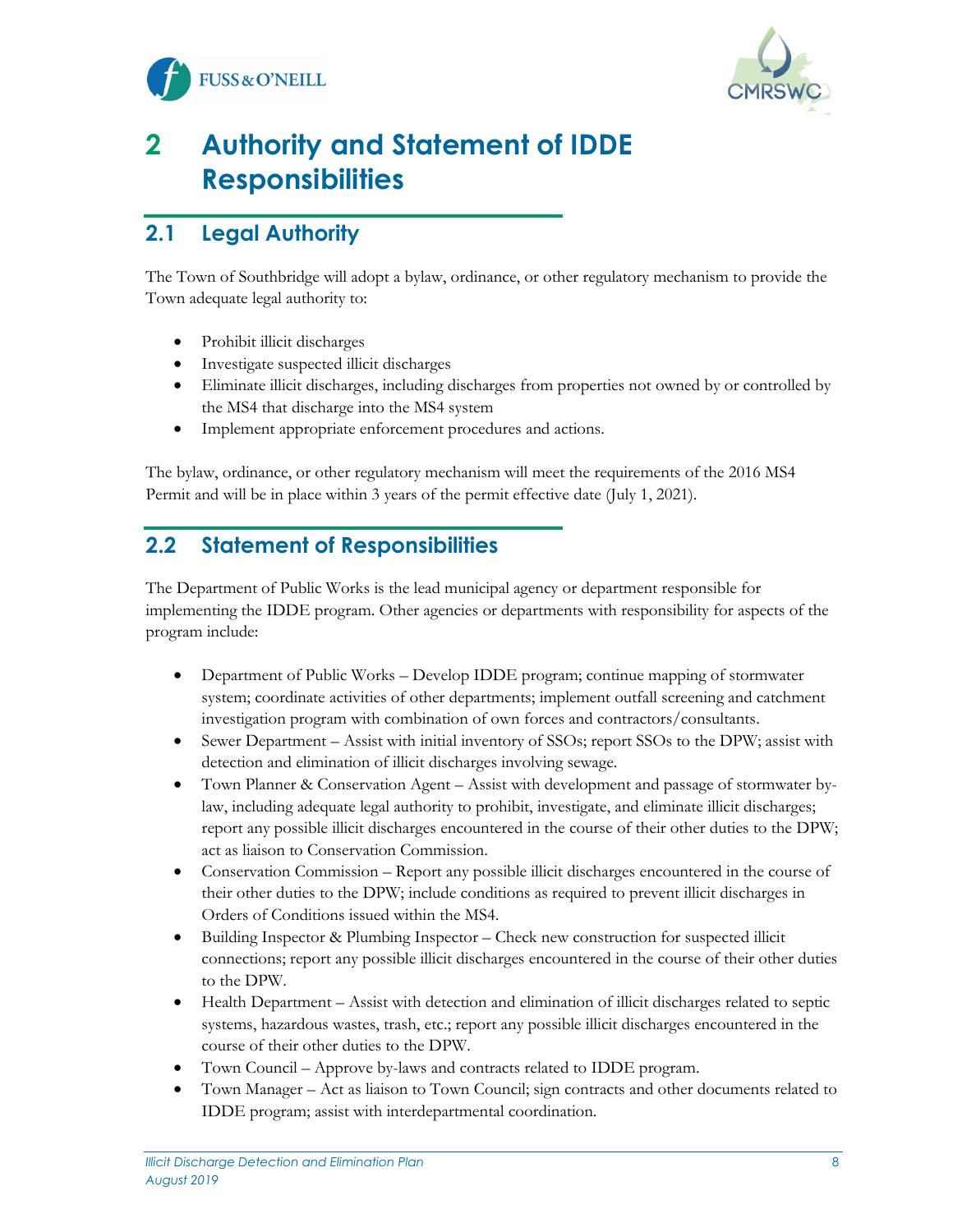



# <span id="page-8-0"></span>**2 Authority and Statement of IDDE Responsibilities**

## <span id="page-8-1"></span>**2.1 Legal Authority**

The Town of Southbridge will adopt a bylaw, ordinance, or other regulatory mechanism to provide the Town adequate legal authority to:

- Prohibit illicit discharges
- Investigate suspected illicit discharges
- Eliminate illicit discharges, including discharges from properties not owned by or controlled by the MS4 that discharge into the MS4 system
- Implement appropriate enforcement procedures and actions.

The bylaw, ordinance, or other regulatory mechanism will meet the requirements of the 2016 MS4 Permit and will be in place within 3 years of the permit effective date (July 1, 2021).

### <span id="page-8-2"></span>**2.2 Statement of Responsibilities**

The Department of Public Works is the lead municipal agency or department responsible for implementing the IDDE program. Other agencies or departments with responsibility for aspects of the program include:

- Department of Public Works Develop IDDE program; continue mapping of stormwater system; coordinate activities of other departments; implement outfall screening and catchment investigation program with combination of own forces and contractors/consultants.
- Sewer Department Assist with initial inventory of SSOs; report SSOs to the DPW; assist with detection and elimination of illicit discharges involving sewage.
- Town Planner & Conservation Agent Assist with development and passage of stormwater bylaw, including adequate legal authority to prohibit, investigate, and eliminate illicit discharges; report any possible illicit discharges encountered in the course of their other duties to the DPW; act as liaison to Conservation Commission.
- Conservation Commission Report any possible illicit discharges encountered in the course of their other duties to the DPW; include conditions as required to prevent illicit discharges in Orders of Conditions issued within the MS4.
- Building Inspector & Plumbing Inspector Check new construction for suspected illicit connections; report any possible illicit discharges encountered in the course of their other duties to the DPW.
- Health Department Assist with detection and elimination of illicit discharges related to septic systems, hazardous wastes, trash, etc.; report any possible illicit discharges encountered in the course of their other duties to the DPW.
- Town Council Approve by-laws and contracts related to IDDE program.
- Town Manager Act as liaison to Town Council; sign contracts and other documents related to IDDE program; assist with interdepartmental coordination.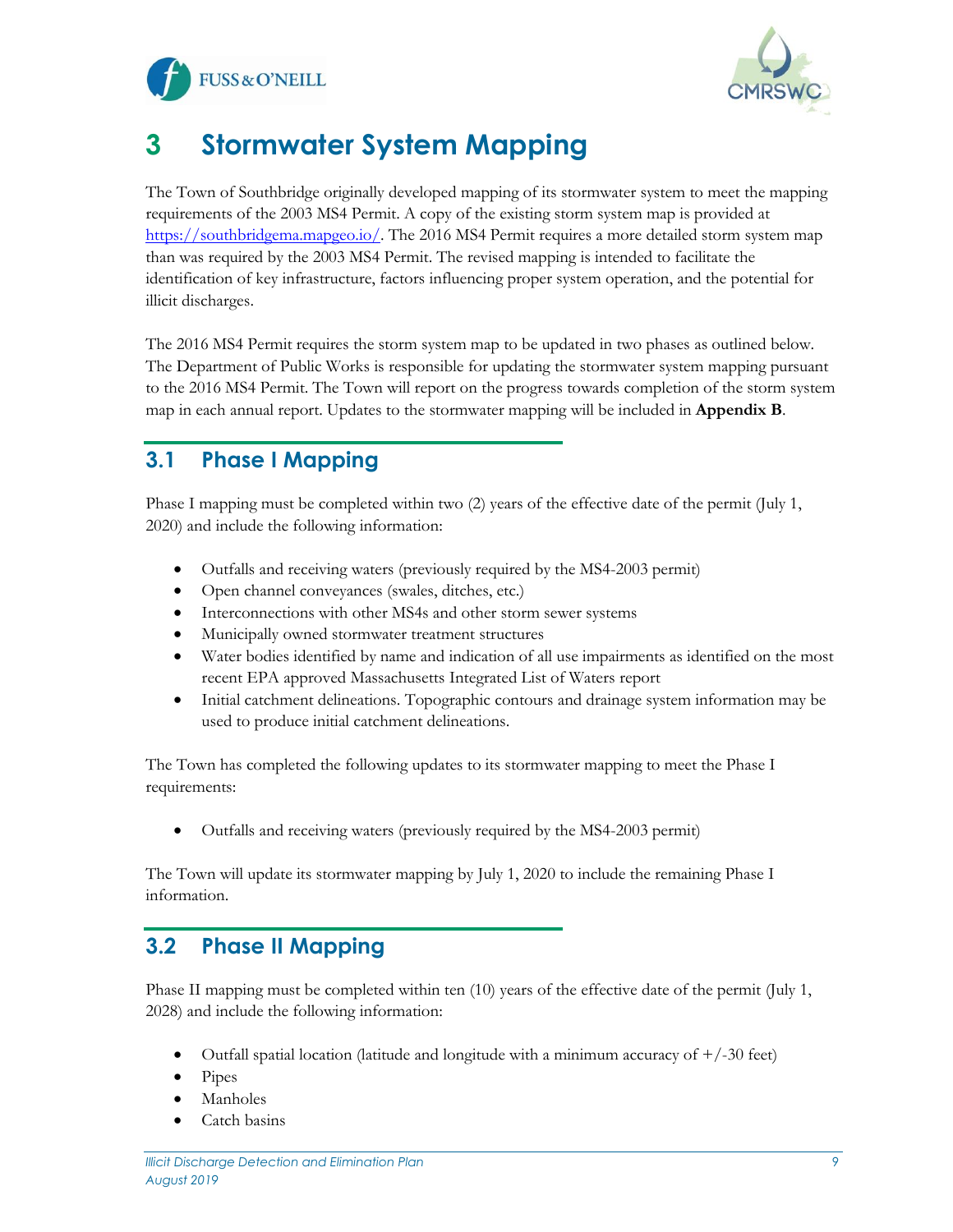



# <span id="page-9-0"></span>**3 Stormwater System Mapping**

The Town of Southbridge originally developed mapping of its stormwater system to meet the mapping requirements of the 2003 MS4 Permit. A copy of the existing storm system map is provided at [https://southbridgema.mapgeo.io/.](https://southbridgema.mapgeo.io/) The 2016 MS4 Permit requires a more detailed storm system map than was required by the 2003 MS4 Permit. The revised mapping is intended to facilitate the identification of key infrastructure, factors influencing proper system operation, and the potential for illicit discharges.

The 2016 MS4 Permit requires the storm system map to be updated in two phases as outlined below. The Department of Public Works is responsible for updating the stormwater system mapping pursuant to the 2016 MS4 Permit. The Town will report on the progress towards completion of the storm system map in each annual report. Updates to the stormwater mapping will be included in **Appendix B**.

### <span id="page-9-1"></span>**3.1 Phase I Mapping**

Phase I mapping must be completed within two (2) years of the effective date of the permit (July 1, 2020) and include the following information:

- Outfalls and receiving waters (previously required by the MS4-2003 permit)
- Open channel conveyances (swales, ditches, etc.)
- Interconnections with other MS4s and other storm sewer systems
- Municipally owned stormwater treatment structures
- Water bodies identified by name and indication of all use impairments as identified on the most recent EPA approved Massachusetts Integrated List of Waters report
- Initial catchment delineations. Topographic contours and drainage system information may be used to produce initial catchment delineations.

The Town has completed the following updates to its stormwater mapping to meet the Phase I requirements:

• Outfalls and receiving waters (previously required by the MS4-2003 permit)

The Town will update its stormwater mapping by July 1, 2020 to include the remaining Phase I information.

#### <span id="page-9-2"></span>**3.2 Phase II Mapping**

Phase II mapping must be completed within ten (10) years of the effective date of the permit (July 1, 2028) and include the following information:

- Outfall spatial location (latitude and longitude with a minimum accuracy of  $+/-30$  feet)
- Pipes
- **Manholes**
- Catch basins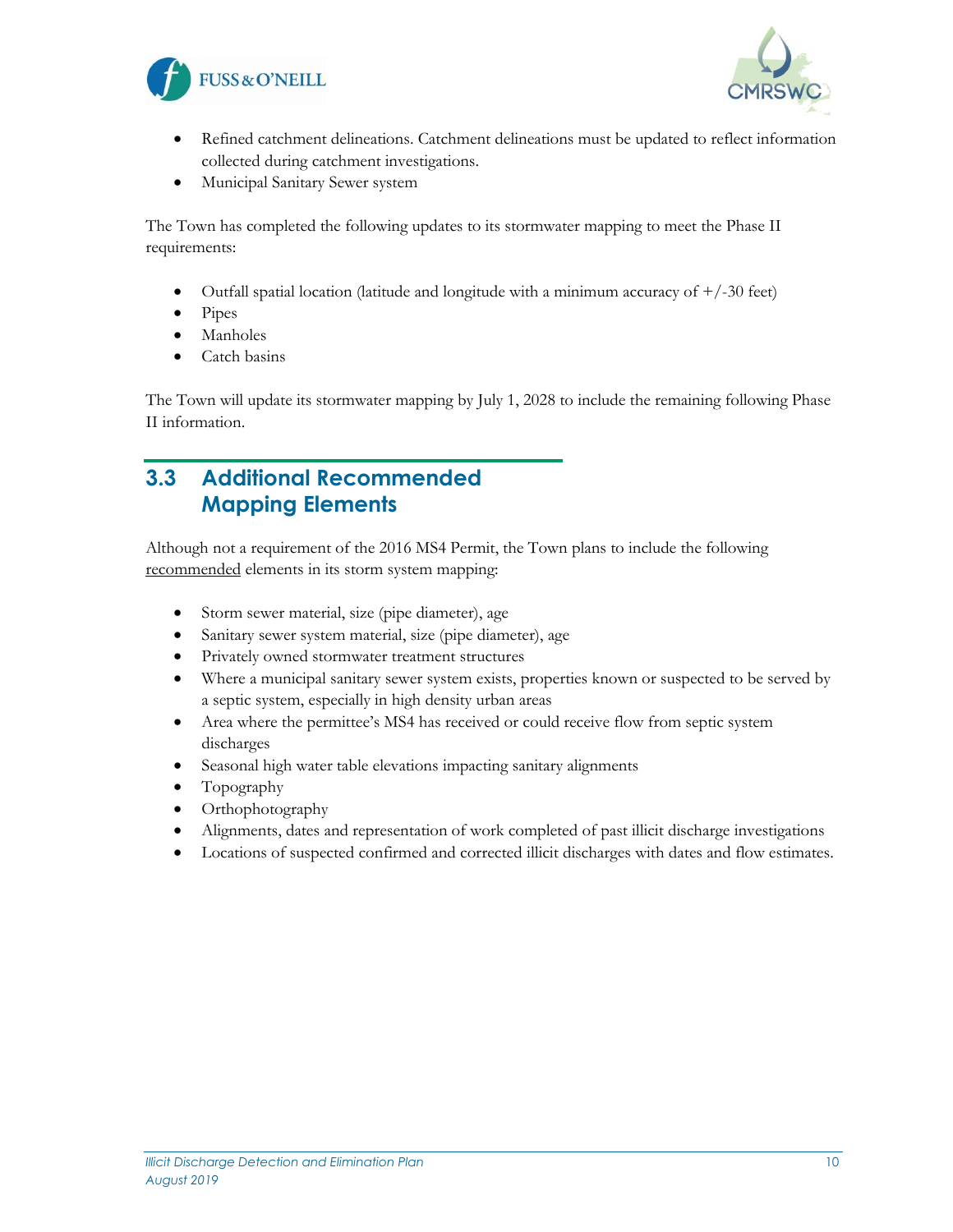



- Refined catchment delineations. Catchment delineations must be updated to reflect information collected during catchment investigations.
- Municipal Sanitary Sewer system

The Town has completed the following updates to its stormwater mapping to meet the Phase II requirements:

- Outfall spatial location (latitude and longitude with a minimum accuracy of  $+/-30$  feet)
- Pipes
- **Manholes**
- Catch basins

The Town will update its stormwater mapping by July 1, 2028 to include the remaining following Phase II information.

### <span id="page-10-0"></span>**3.3 Additional Recommended Mapping Elements**

Although not a requirement of the 2016 MS4 Permit, the Town plans to include the following recommended elements in its storm system mapping:

- Storm sewer material, size (pipe diameter), age
- Sanitary sewer system material, size (pipe diameter), age
- Privately owned stormwater treatment structures
- Where a municipal sanitary sewer system exists, properties known or suspected to be served by a septic system, especially in high density urban areas
- Area where the permittee's MS4 has received or could receive flow from septic system discharges
- Seasonal high water table elevations impacting sanitary alignments
- Topography
- Orthophotography
- Alignments, dates and representation of work completed of past illicit discharge investigations
- Locations of suspected confirmed and corrected illicit discharges with dates and flow estimates.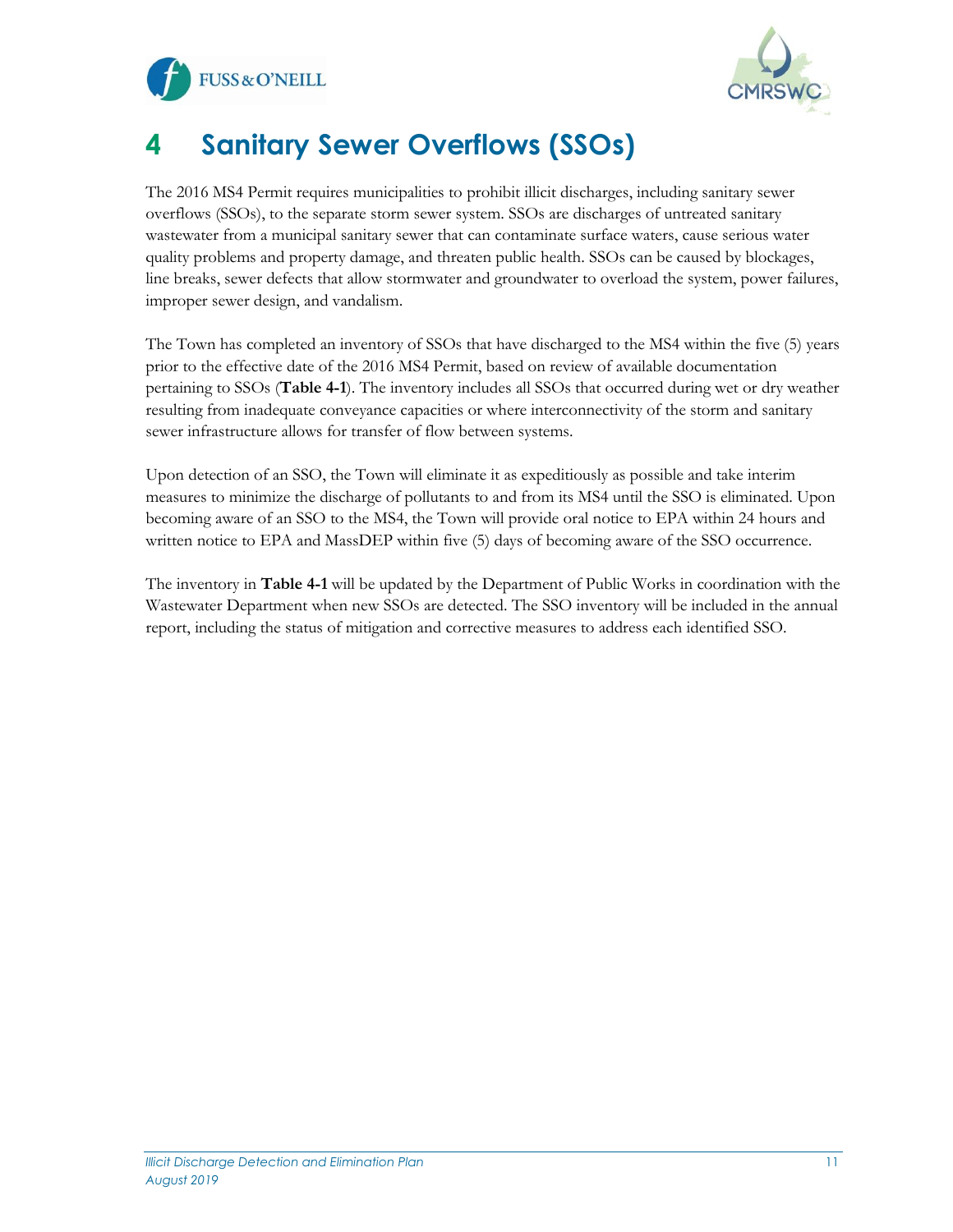



# <span id="page-11-0"></span>**4 Sanitary Sewer Overflows (SSOs)**

The 2016 MS4 Permit requires municipalities to prohibit illicit discharges, including sanitary sewer overflows (SSOs), to the separate storm sewer system. SSOs are discharges of untreated sanitary wastewater from a municipal sanitary sewer that can contaminate surface waters, cause serious water quality problems and property damage, and threaten public health. SSOs can be caused by blockages, line breaks, sewer defects that allow stormwater and groundwater to overload the system, power failures, improper sewer design, and vandalism.

The Town has completed an inventory of SSOs that have discharged to the MS4 within the five (5) years prior to the effective date of the 2016 MS4 Permit, based on review of available documentation pertaining to SSOs (**Table 4-1**). The inventory includes all SSOs that occurred during wet or dry weather resulting from inadequate conveyance capacities or where interconnectivity of the storm and sanitary sewer infrastructure allows for transfer of flow between systems.

Upon detection of an SSO, the Town will eliminate it as expeditiously as possible and take interim measures to minimize the discharge of pollutants to and from its MS4 until the SSO is eliminated. Upon becoming aware of an SSO to the MS4, the Town will provide oral notice to EPA within 24 hours and written notice to EPA and MassDEP within five (5) days of becoming aware of the SSO occurrence.

The inventory in **Table 4-1** will be updated by the Department of Public Works in coordination with the Wastewater Department when new SSOs are detected. The SSO inventory will be included in the annual report, including the status of mitigation and corrective measures to address each identified SSO.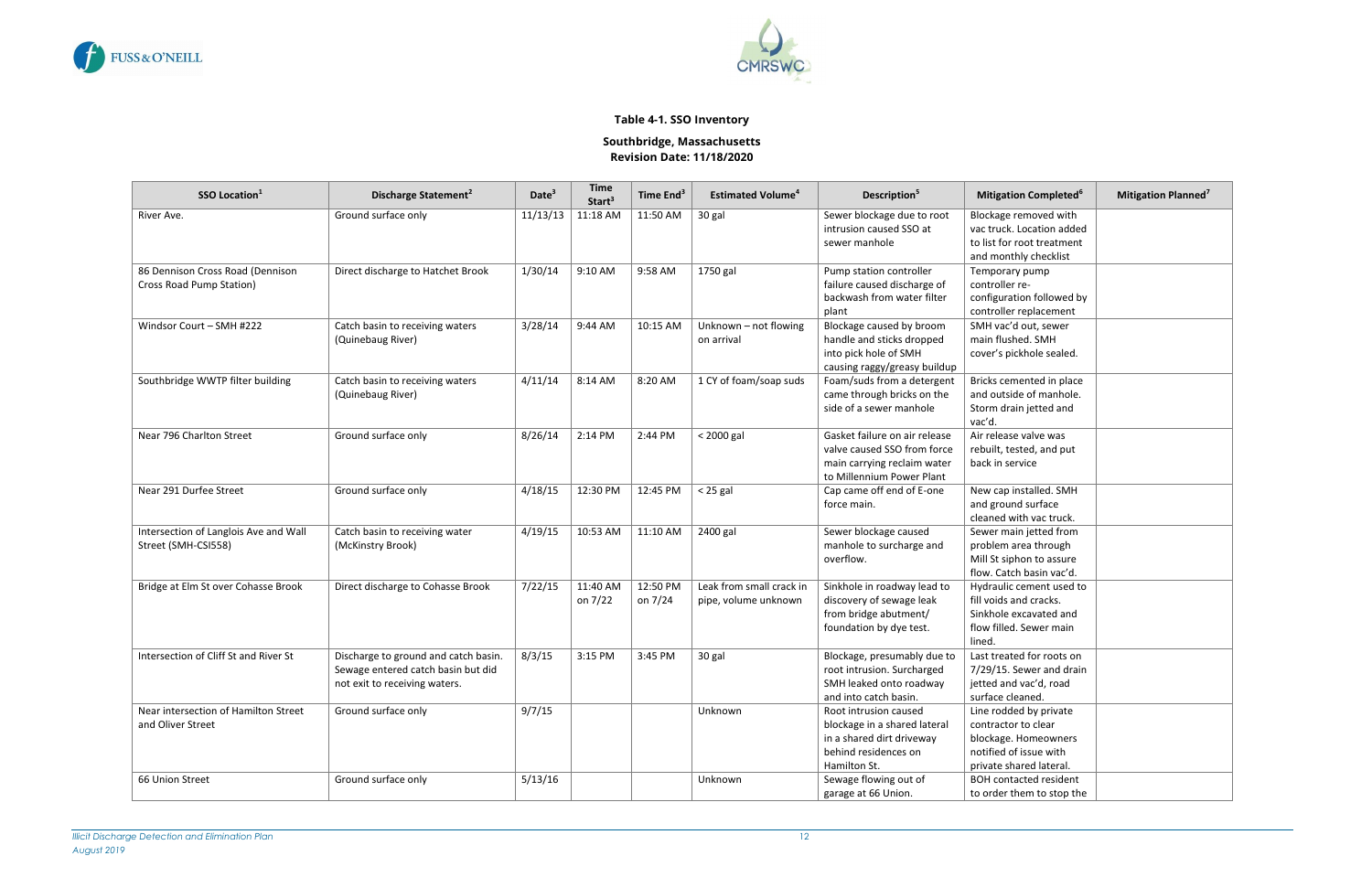<span id="page-12-0"></span>



#### **Table 4-1. SSO Inventory**

#### **Southbridge, Massachusetts Revision Date: 11/18/2020**

| SSO Location <sup>1</sup>                                    | Discharge Statement <sup>2</sup>                                                                            | Date <sup>3</sup> | <b>Time</b><br>Start <sup>3</sup> | Time End <sup>3</sup> | <b>Estimated Volume<sup>4</sup></b>              | Description <sup>5</sup>                                                                                                   | <b>Mitigation Completed<sup>6</sup></b>                                                                                    | <b>Mitigation Planned<sup>7</sup></b> |
|--------------------------------------------------------------|-------------------------------------------------------------------------------------------------------------|-------------------|-----------------------------------|-----------------------|--------------------------------------------------|----------------------------------------------------------------------------------------------------------------------------|----------------------------------------------------------------------------------------------------------------------------|---------------------------------------|
| River Ave.                                                   | Ground surface only                                                                                         | 11/13/13          | 11:18 AM                          | 11:50 AM              | 30 gal                                           | Sewer blockage due to root<br>intrusion caused SSO at<br>sewer manhole                                                     | Blockage removed with<br>vac truck. Location added<br>to list for root treatment<br>and monthly checklist                  |                                       |
| 86 Dennison Cross Road (Dennison<br>Cross Road Pump Station) | Direct discharge to Hatchet Brook                                                                           | 1/30/14           | 9:10 AM                           | 9:58 AM               | 1750 gal                                         | Pump station controller<br>failure caused discharge of<br>backwash from water filter<br>plant                              | Temporary pump<br>controller re-<br>configuration followed by<br>controller replacement                                    |                                       |
| Windsor Court - SMH #222                                     | Catch basin to receiving waters<br>(Quinebaug River)                                                        | 3/28/14           | 9:44 AM                           | 10:15 AM              | Unknown - not flowing<br>on arrival              | Blockage caused by broom<br>handle and sticks dropped<br>into pick hole of SMH<br>causing raggy/greasy buildup             | SMH vac'd out, sewer<br>main flushed. SMH<br>cover's pickhole sealed.                                                      |                                       |
| Southbridge WWTP filter building                             | Catch basin to receiving waters<br>(Quinebaug River)                                                        | 4/11/14           | 8:14 AM                           | 8:20 AM               | 1 CY of foam/soap suds                           | Foam/suds from a detergent<br>came through bricks on the<br>side of a sewer manhole                                        | Bricks cemented in place<br>and outside of manhole.<br>Storm drain jetted and<br>vac'd.                                    |                                       |
| Near 796 Charlton Street                                     | Ground surface only                                                                                         | 8/26/14           | 2:14 PM                           | 2:44 PM               | < 2000 gal                                       | Gasket failure on air release<br>valve caused SSO from force<br>main carrying reclaim water<br>to Millennium Power Plant   | Air release valve was<br>rebuilt, tested, and put<br>back in service                                                       |                                       |
| Near 291 Durfee Street                                       | Ground surface only                                                                                         | 4/18/15           | 12:30 PM                          | 12:45 PM              | $<$ 25 gal                                       | Cap came off end of E-one<br>force main.                                                                                   | New cap installed. SMH<br>and ground surface<br>cleaned with vac truck.                                                    |                                       |
| Intersection of Langlois Ave and Wall<br>Street (SMH-CSI558) | Catch basin to receiving water<br>(McKinstry Brook)                                                         | 4/19/15           | 10:53 AM                          | 11:10 AM              | 2400 gal                                         | Sewer blockage caused<br>manhole to surcharge and<br>overflow.                                                             | Sewer main jetted from<br>problem area through<br>Mill St siphon to assure<br>flow. Catch basin vac'd.                     |                                       |
| Bridge at Elm St over Cohasse Brook                          | Direct discharge to Cohasse Brook                                                                           | 7/22/15           | 11:40 AM<br>on 7/22               | 12:50 PM<br>on 7/24   | Leak from small crack in<br>pipe, volume unknown | Sinkhole in roadway lead to<br>discovery of sewage leak<br>from bridge abutment/<br>foundation by dye test.                | Hydraulic cement used to<br>fill voids and cracks.<br>Sinkhole excavated and<br>flow filled. Sewer main<br>lined.          |                                       |
| Intersection of Cliff St and River St                        | Discharge to ground and catch basin.<br>Sewage entered catch basin but did<br>not exit to receiving waters. | 8/3/15            | 3:15 PM                           | 3:45 PM               | 30 gal                                           | Blockage, presumably due to<br>root intrusion. Surcharged<br>SMH leaked onto roadway<br>and into catch basin.              | Last treated for roots on<br>7/29/15. Sewer and drain<br>jetted and vac'd, road<br>surface cleaned.                        |                                       |
| Near intersection of Hamilton Street<br>and Oliver Street    | Ground surface only                                                                                         | 9/7/15            |                                   |                       | Unknown                                          | Root intrusion caused<br>blockage in a shared lateral<br>in a shared dirt driveway<br>behind residences on<br>Hamilton St. | Line rodded by private<br>contractor to clear<br>blockage. Homeowners<br>notified of issue with<br>private shared lateral. |                                       |
| 66 Union Street                                              | Ground surface only                                                                                         | 5/13/16           |                                   |                       | Unknown                                          | Sewage flowing out of<br>garage at 66 Union.                                                                               | <b>BOH contacted resident</b><br>to order them to stop the                                                                 |                                       |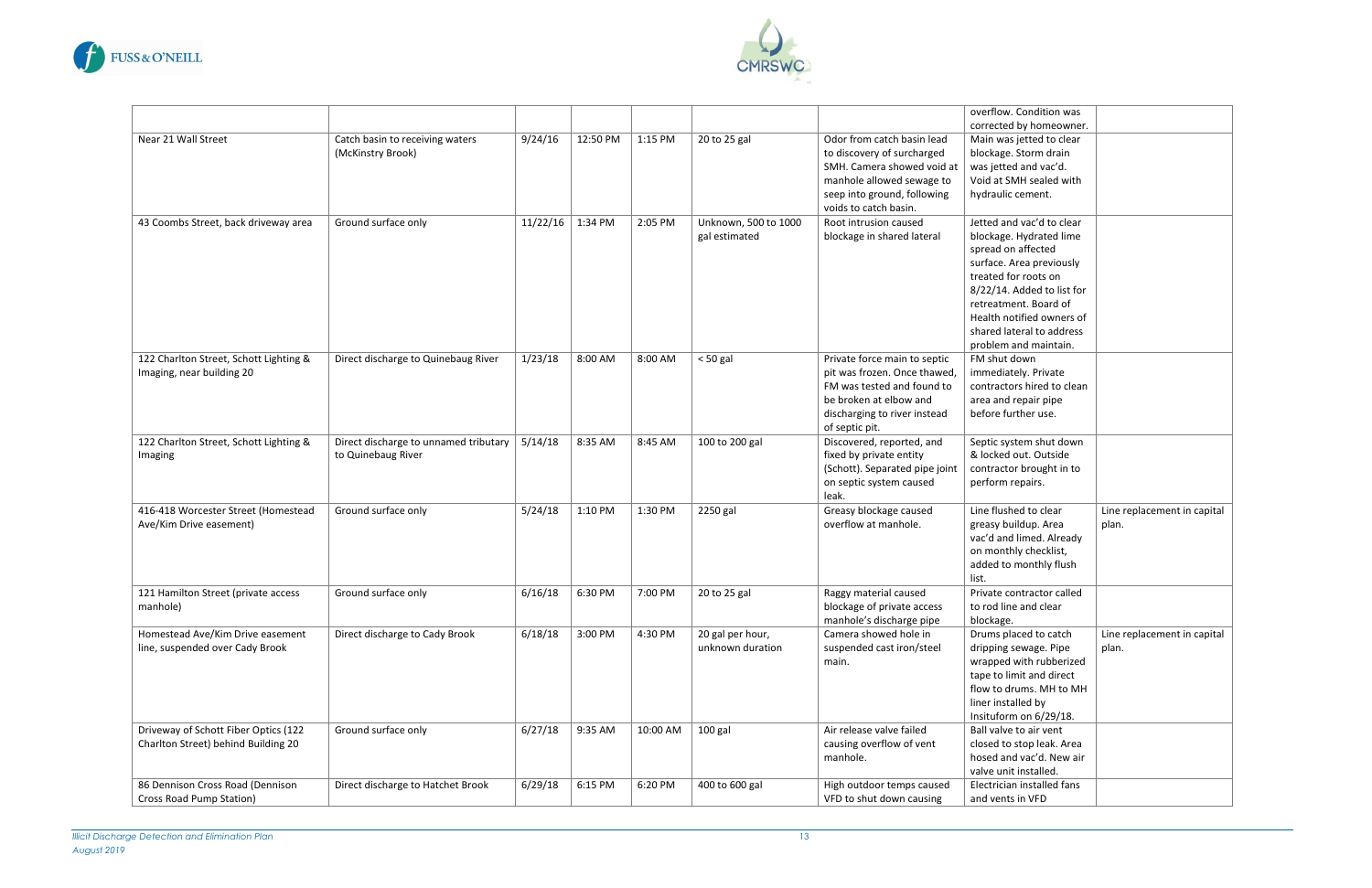



|                                        |                                       |                  |          |          |                      |                                | overflow. Condition was    |                             |
|----------------------------------------|---------------------------------------|------------------|----------|----------|----------------------|--------------------------------|----------------------------|-----------------------------|
|                                        |                                       |                  |          |          |                      |                                | corrected by homeowner.    |                             |
| Near 21 Wall Street                    | Catch basin to receiving waters       | 9/24/16          | 12:50 PM | 1:15 PM  | 20 to 25 gal         | Odor from catch basin lead     | Main was jetted to clear   |                             |
|                                        | (McKinstry Brook)                     |                  |          |          |                      | to discovery of surcharged     | blockage. Storm drain      |                             |
|                                        |                                       |                  |          |          |                      | SMH. Camera showed void at     | was jetted and vac'd.      |                             |
|                                        |                                       |                  |          |          |                      | manhole allowed sewage to      | Void at SMH sealed with    |                             |
|                                        |                                       |                  |          |          |                      | seep into ground, following    | hydraulic cement.          |                             |
|                                        |                                       |                  |          |          |                      | voids to catch basin.          |                            |                             |
| 43 Coombs Street, back driveway area   | Ground surface only                   | 11/22/16 1:34 PM |          | 2:05 PM  | Unknown, 500 to 1000 | Root intrusion caused          | Jetted and vac'd to clear  |                             |
|                                        |                                       |                  |          |          | gal estimated        | blockage in shared lateral     | blockage. Hydrated lime    |                             |
|                                        |                                       |                  |          |          |                      |                                | spread on affected         |                             |
|                                        |                                       |                  |          |          |                      |                                | surface. Area previously   |                             |
|                                        |                                       |                  |          |          |                      |                                | treated for roots on       |                             |
|                                        |                                       |                  |          |          |                      |                                | 8/22/14. Added to list for |                             |
|                                        |                                       |                  |          |          |                      |                                | retreatment. Board of      |                             |
|                                        |                                       |                  |          |          |                      |                                | Health notified owners of  |                             |
|                                        |                                       |                  |          |          |                      |                                | shared lateral to address  |                             |
|                                        |                                       |                  |          |          |                      |                                | problem and maintain.      |                             |
| 122 Charlton Street, Schott Lighting & | Direct discharge to Quinebaug River   | 1/23/18          | 8:00 AM  | 8:00 AM  | $< 50$ gal           | Private force main to septic   | FM shut down               |                             |
| Imaging, near building 20              |                                       |                  |          |          |                      | pit was frozen. Once thawed,   | immediately. Private       |                             |
|                                        |                                       |                  |          |          |                      | FM was tested and found to     | contractors hired to clean |                             |
|                                        |                                       |                  |          |          |                      | be broken at elbow and         | area and repair pipe       |                             |
|                                        |                                       |                  |          |          |                      | discharging to river instead   | before further use.        |                             |
|                                        |                                       |                  |          |          |                      | of septic pit.                 |                            |                             |
| 122 Charlton Street, Schott Lighting & | Direct discharge to unnamed tributary | 5/14/18          | 8:35 AM  | 8:45 AM  | 100 to 200 gal       | Discovered, reported, and      | Septic system shut down    |                             |
| Imaging                                | to Quinebaug River                    |                  |          |          |                      | fixed by private entity        | & locked out. Outside      |                             |
|                                        |                                       |                  |          |          |                      | (Schott). Separated pipe joint | contractor brought in to   |                             |
|                                        |                                       |                  |          |          |                      | on septic system caused        | perform repairs.           |                             |
|                                        |                                       |                  |          |          |                      | leak.                          |                            |                             |
| 416-418 Worcester Street (Homestead    | Ground surface only                   | 5/24/18          | 1:10 PM  | 1:30 PM  | 2250 gal             | Greasy blockage caused         | Line flushed to clear      | Line replacement in capital |
| Ave/Kim Drive easement)                |                                       |                  |          |          |                      | overflow at manhole.           | greasy buildup. Area       | plan.                       |
|                                        |                                       |                  |          |          |                      |                                | vac'd and limed. Already   |                             |
|                                        |                                       |                  |          |          |                      |                                | on monthly checklist,      |                             |
|                                        |                                       |                  |          |          |                      |                                | added to monthly flush     |                             |
|                                        |                                       |                  |          |          |                      |                                | list.                      |                             |
| 121 Hamilton Street (private access    | Ground surface only                   | 6/16/18          | 6:30 PM  | 7:00 PM  | 20 to 25 gal         | Raggy material caused          | Private contractor called  |                             |
| manhole)                               |                                       |                  |          |          |                      | blockage of private access     | to rod line and clear      |                             |
|                                        |                                       |                  |          |          |                      | manhole's discharge pipe       | blockage.                  |                             |
| Homestead Ave/Kim Drive easement       | Direct discharge to Cady Brook        | 6/18/18          | 3:00 PM  | 4:30 PM  | 20 gal per hour,     | Camera showed hole in          | Drums placed to catch      | Line replacement in capital |
| line, suspended over Cady Brook        |                                       |                  |          |          | unknown duration     | suspended cast iron/steel      | dripping sewage. Pipe      | plan.                       |
|                                        |                                       |                  |          |          |                      | main.                          | wrapped with rubberized    |                             |
|                                        |                                       |                  |          |          |                      |                                | tape to limit and direct   |                             |
|                                        |                                       |                  |          |          |                      |                                | flow to drums. MH to MH    |                             |
|                                        |                                       |                  |          |          |                      |                                | liner installed by         |                             |
|                                        |                                       |                  |          |          |                      |                                | Insituform on 6/29/18.     |                             |
| Driveway of Schott Fiber Optics (122   | Ground surface only                   | 6/27/18          | 9:35 AM  | 10:00 AM | 100 gal              | Air release valve failed       | Ball valve to air vent     |                             |
| Charlton Street) behind Building 20    |                                       |                  |          |          |                      | causing overflow of vent       | closed to stop leak. Area  |                             |
|                                        |                                       |                  |          |          |                      | manhole.                       | hosed and vac'd. New air   |                             |
|                                        |                                       |                  |          |          |                      |                                | valve unit installed.      |                             |
| 86 Dennison Cross Road (Dennison       | Direct discharge to Hatchet Brook     | 6/29/18          | 6:15 PM  | 6:20 PM  | 400 to 600 gal       | High outdoor temps caused      | Electrician installed fans |                             |
| Cross Road Pump Station)               |                                       |                  |          |          |                      | VFD to shut down causing       | and vents in VFD           |                             |
|                                        |                                       |                  |          |          |                      |                                |                            |                             |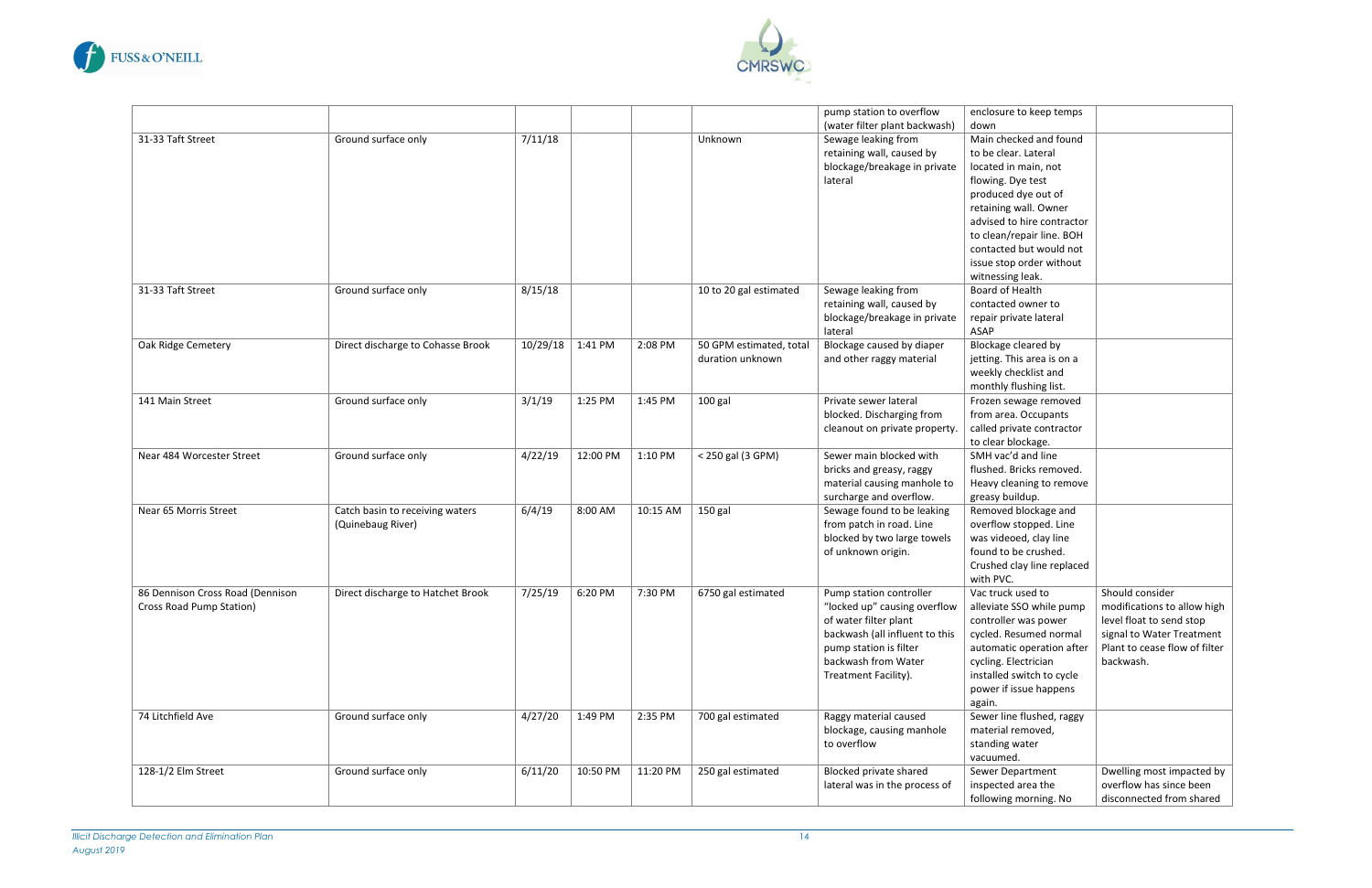



|                                  |                                   |                  |          |          |                         | pump station to overflow       | enclosure to keep temps    |                               |
|----------------------------------|-----------------------------------|------------------|----------|----------|-------------------------|--------------------------------|----------------------------|-------------------------------|
|                                  |                                   |                  |          |          |                         | (water filter plant backwash)  | down                       |                               |
| 31-33 Taft Street                | Ground surface only               | 7/11/18          |          |          | Unknown                 | Sewage leaking from            | Main checked and found     |                               |
|                                  |                                   |                  |          |          |                         | retaining wall, caused by      | to be clear. Lateral       |                               |
|                                  |                                   |                  |          |          |                         | blockage/breakage in private   | located in main, not       |                               |
|                                  |                                   |                  |          |          |                         | lateral                        | flowing. Dye test          |                               |
|                                  |                                   |                  |          |          |                         |                                | produced dye out of        |                               |
|                                  |                                   |                  |          |          |                         |                                | retaining wall. Owner      |                               |
|                                  |                                   |                  |          |          |                         |                                | advised to hire contractor |                               |
|                                  |                                   |                  |          |          |                         |                                | to clean/repair line. BOH  |                               |
|                                  |                                   |                  |          |          |                         |                                | contacted but would not    |                               |
|                                  |                                   |                  |          |          |                         |                                | issue stop order without   |                               |
|                                  |                                   |                  |          |          |                         |                                | witnessing leak.           |                               |
| 31-33 Taft Street                | Ground surface only               | 8/15/18          |          |          | 10 to 20 gal estimated  | Sewage leaking from            | Board of Health            |                               |
|                                  |                                   |                  |          |          |                         | retaining wall, caused by      | contacted owner to         |                               |
|                                  |                                   |                  |          |          |                         | blockage/breakage in private   | repair private lateral     |                               |
|                                  |                                   |                  |          |          |                         | lateral                        | ASAP                       |                               |
| Oak Ridge Cemetery               | Direct discharge to Cohasse Brook | 10/29/18 1:41 PM |          | 2:08 PM  | 50 GPM estimated, total | Blockage caused by diaper      | Blockage cleared by        |                               |
|                                  |                                   |                  |          |          | duration unknown        | and other raggy material       | jetting. This area is on a |                               |
|                                  |                                   |                  |          |          |                         |                                | weekly checklist and       |                               |
|                                  |                                   |                  |          |          |                         |                                | monthly flushing list.     |                               |
| 141 Main Street                  | Ground surface only               | 3/1/19           | 1:25 PM  | 1:45 PM  | 100 gal                 | Private sewer lateral          | Frozen sewage removed      |                               |
|                                  |                                   |                  |          |          |                         | blocked. Discharging from      | from area. Occupants       |                               |
|                                  |                                   |                  |          |          |                         | cleanout on private property.  | called private contractor  |                               |
|                                  |                                   |                  |          |          |                         |                                | to clear blockage.         |                               |
| Near 484 Worcester Street        | Ground surface only               | 4/22/19          | 12:00 PM | 1:10 PM  | < 250 gal (3 GPM)       | Sewer main blocked with        | SMH vac'd and line         |                               |
|                                  |                                   |                  |          |          |                         | bricks and greasy, raggy       | flushed. Bricks removed.   |                               |
|                                  |                                   |                  |          |          |                         | material causing manhole to    | Heavy cleaning to remove   |                               |
|                                  |                                   |                  |          |          |                         | surcharge and overflow.        | greasy buildup.            |                               |
| Near 65 Morris Street            | Catch basin to receiving waters   | 6/4/19           | 8:00 AM  | 10:15 AM | 150 gal                 | Sewage found to be leaking     | Removed blockage and       |                               |
|                                  | (Quinebaug River)                 |                  |          |          |                         | from patch in road. Line       | overflow stopped. Line     |                               |
|                                  |                                   |                  |          |          |                         | blocked by two large towels    | was videoed, clay line     |                               |
|                                  |                                   |                  |          |          |                         | of unknown origin.             | found to be crushed.       |                               |
|                                  |                                   |                  |          |          |                         |                                | Crushed clay line replaced |                               |
|                                  |                                   |                  |          |          |                         |                                | with PVC.                  |                               |
| 86 Dennison Cross Road (Dennison | Direct discharge to Hatchet Brook | 7/25/19          | 6:20 PM  | 7:30 PM  | 6750 gal estimated      | Pump station controller        | Vac truck used to          | Should consider               |
| Cross Road Pump Station)         |                                   |                  |          |          |                         | "locked up" causing overflow   | alleviate SSO while pump   | modifications to allow high   |
|                                  |                                   |                  |          |          |                         | of water filter plant          | controller was power       | level float to send stop      |
|                                  |                                   |                  |          |          |                         | backwash (all influent to this | cycled. Resumed normal     | signal to Water Treatment     |
|                                  |                                   |                  |          |          |                         | pump station is filter         | automatic operation after  | Plant to cease flow of filter |
|                                  |                                   |                  |          |          |                         | backwash from Water            | cycling. Electrician       | backwash.                     |
|                                  |                                   |                  |          |          |                         | Treatment Facility).           | installed switch to cycle  |                               |
|                                  |                                   |                  |          |          |                         |                                | power if issue happens     |                               |
|                                  |                                   |                  |          |          |                         |                                | again.                     |                               |
| 74 Litchfield Ave                | Ground surface only               | 4/27/20          | 1:49 PM  | 2:35 PM  | 700 gal estimated       | Raggy material caused          | Sewer line flushed, raggy  |                               |
|                                  |                                   |                  |          |          |                         | blockage, causing manhole      | material removed,          |                               |
|                                  |                                   |                  |          |          |                         | to overflow                    | standing water             |                               |
|                                  |                                   |                  |          |          |                         |                                | vacuumed.                  |                               |
| 128-1/2 Elm Street               | Ground surface only               | 6/11/20          | 10:50 PM | 11:20 PM | 250 gal estimated       | Blocked private shared         | Sewer Department           | Dwelling most impacted by     |
|                                  |                                   |                  |          |          |                         | lateral was in the process of  | inspected area the         | overflow has since been       |
|                                  |                                   |                  |          |          |                         |                                |                            | disconnected from shared      |
|                                  |                                   |                  |          |          |                         |                                | following morning. No      |                               |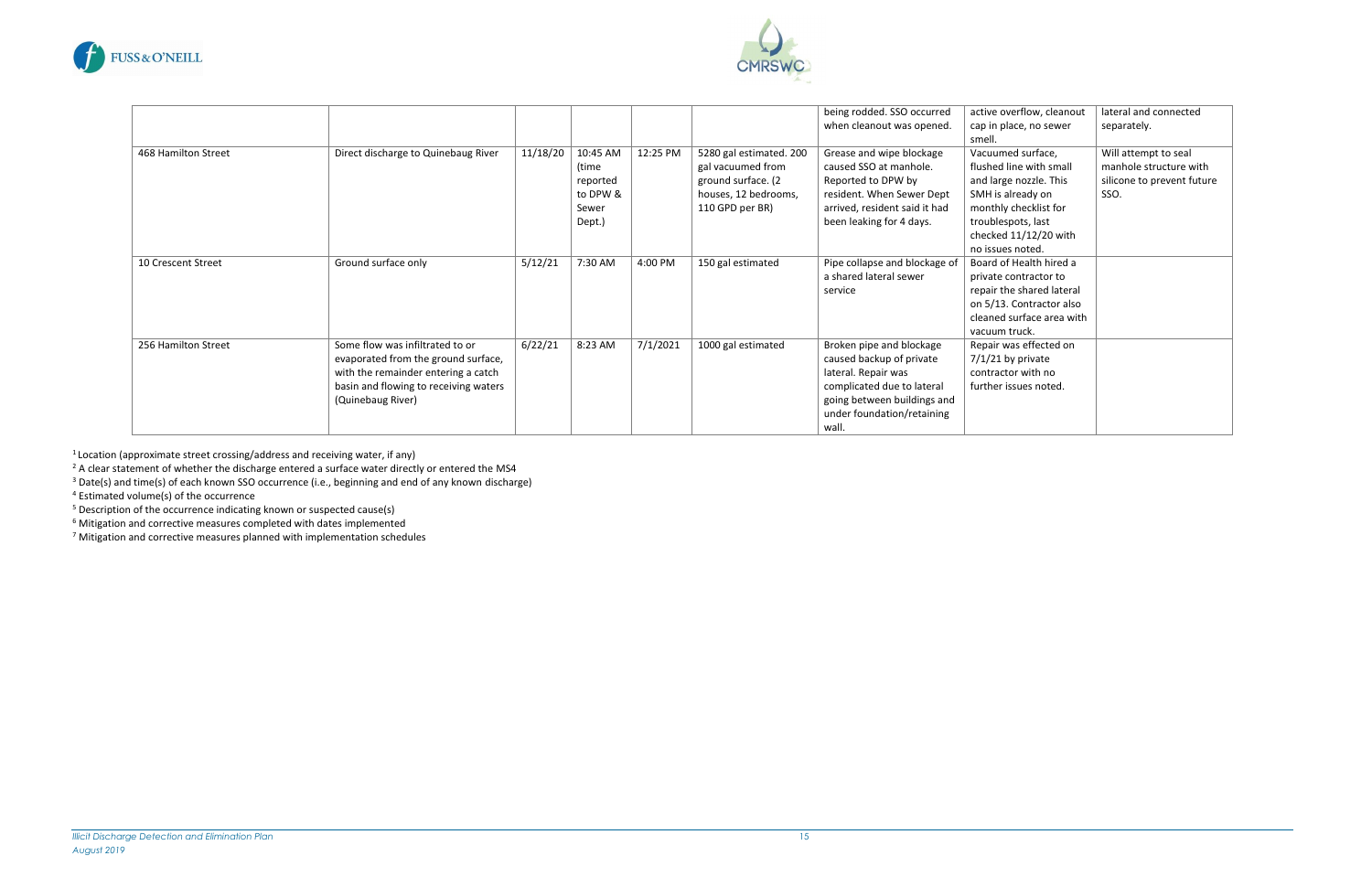



|                     |                                       |          |          |          |                         |                               |                           | lateral and connected      |
|---------------------|---------------------------------------|----------|----------|----------|-------------------------|-------------------------------|---------------------------|----------------------------|
|                     |                                       |          |          |          |                         | being rodded. SSO occurred    | active overflow, cleanout |                            |
|                     |                                       |          |          |          |                         | when cleanout was opened.     | cap in place, no sewer    | separately.                |
|                     |                                       |          |          |          |                         |                               | smell.                    |                            |
| 468 Hamilton Street | Direct discharge to Quinebaug River   | 11/18/20 | 10:45 AM | 12:25 PM | 5280 gal estimated. 200 | Grease and wipe blockage      | Vacuumed surface,         | Will attempt to seal       |
|                     |                                       |          | (time    |          | gal vacuumed from       | caused SSO at manhole.        | flushed line with small   | manhole structure with     |
|                     |                                       |          | reported |          | ground surface. (2      | Reported to DPW by            | and large nozzle. This    | silicone to prevent future |
|                     |                                       |          | to DPW & |          | houses, 12 bedrooms,    | resident. When Sewer Dept     | SMH is already on         | SSO.                       |
|                     |                                       |          | Sewer    |          | 110 GPD per BR)         | arrived, resident said it had | monthly checklist for     |                            |
|                     |                                       |          | Dept.)   |          |                         | been leaking for 4 days.      | troublespots, last        |                            |
|                     |                                       |          |          |          |                         |                               | checked 11/12/20 with     |                            |
|                     |                                       |          |          |          |                         |                               | no issues noted.          |                            |
| 10 Crescent Street  | Ground surface only                   | 5/12/21  | 7:30 AM  | 4:00 PM  | 150 gal estimated       | Pipe collapse and blockage of | Board of Health hired a   |                            |
|                     |                                       |          |          |          |                         | a shared lateral sewer        | private contractor to     |                            |
|                     |                                       |          |          |          |                         | service                       | repair the shared lateral |                            |
|                     |                                       |          |          |          |                         |                               | on 5/13. Contractor also  |                            |
|                     |                                       |          |          |          |                         |                               | cleaned surface area with |                            |
|                     |                                       |          |          |          |                         |                               | vacuum truck.             |                            |
| 256 Hamilton Street | Some flow was infiltrated to or       | 6/22/21  | 8:23 AM  | 7/1/2021 | 1000 gal estimated      | Broken pipe and blockage      | Repair was effected on    |                            |
|                     | evaporated from the ground surface,   |          |          |          |                         | caused backup of private      | $7/1/21$ by private       |                            |
|                     | with the remainder entering a catch   |          |          |          |                         | lateral. Repair was           | contractor with no        |                            |
|                     | basin and flowing to receiving waters |          |          |          |                         | complicated due to lateral    | further issues noted.     |                            |
|                     | (Quinebaug River)                     |          |          |          |                         | going between buildings and   |                           |                            |
|                     |                                       |          |          |          |                         | under foundation/retaining    |                           |                            |
|                     |                                       |          |          |          |                         | wall.                         |                           |                            |

 $1$  Location (approximate street crossing/address and receiving water, if any)

<sup>2</sup> A clear statement of whether the discharge entered a surface water directly or entered the MS4

<sup>3</sup> Date(s) and time(s) of each known SSO occurrence (i.e., beginning and end of any known discharge)

<sup>4</sup> Estimated volume(s) of the occurrence

<sup>5</sup> Description of the occurrence indicating known or suspected cause(s)

 $6$  Mitigation and corrective measures completed with dates implemented

 $<sup>7</sup>$  Mitigation and corrective measures planned with implementation schedules</sup>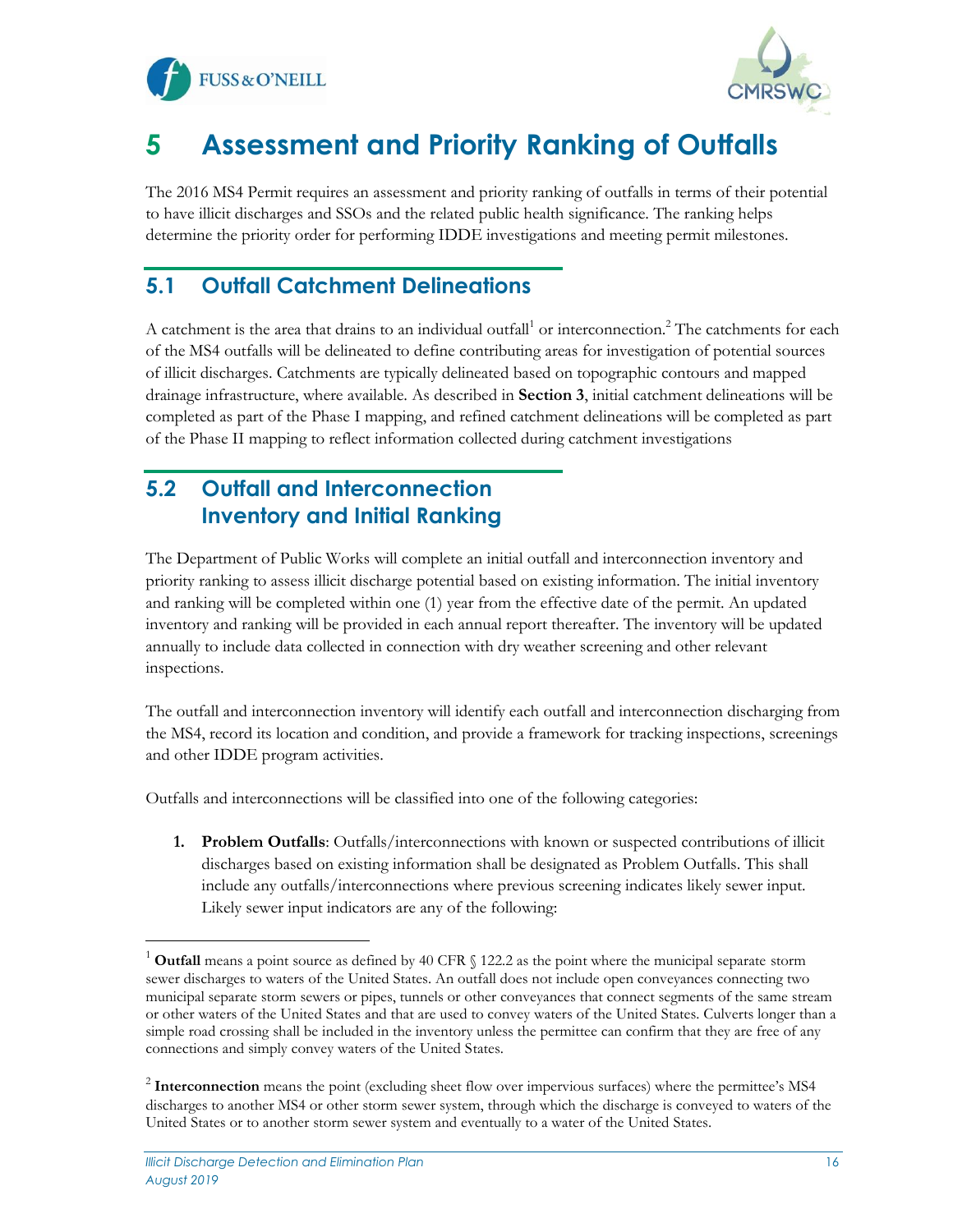



# <span id="page-16-0"></span>**5 Assessment and Priority Ranking of Outfalls**

The 2016 MS4 Permit requires an assessment and priority ranking of outfalls in terms of their potential to have illicit discharges and SSOs and the related public health significance. The ranking helps determine the priority order for performing IDDE investigations and meeting permit milestones.

#### <span id="page-16-1"></span>**5.1 Outfall Catchment Delineations**

A catchment is the area that drains to an individual outfall<sup>1</sup> or interconnection.<sup>2</sup> The catchments for each of the MS4 outfalls will be delineated to define contributing areas for investigation of potential sources of illicit discharges. Catchments are typically delineated based on topographic contours and mapped drainage infrastructure, where available. As described in **Section 3**, initial catchment delineations will be completed as part of the Phase I mapping, and refined catchment delineations will be completed as part of the Phase II mapping to reflect information collected during catchment investigations

#### <span id="page-16-2"></span>**5.2 Outfall and Interconnection Inventory and Initial Ranking**

The Department of Public Works will complete an initial outfall and interconnection inventory and priority ranking to assess illicit discharge potential based on existing information. The initial inventory and ranking will be completed within one (1) year from the effective date of the permit. An updated inventory and ranking will be provided in each annual report thereafter. The inventory will be updated annually to include data collected in connection with dry weather screening and other relevant inspections.

The outfall and interconnection inventory will identify each outfall and interconnection discharging from the MS4, record its location and condition, and provide a framework for tracking inspections, screenings and other IDDE program activities.

Outfalls and interconnections will be classified into one of the following categories:

**1. Problem Outfalls**: Outfalls/interconnections with known or suspected contributions of illicit discharges based on existing information shall be designated as Problem Outfalls. This shall include any outfalls/interconnections where previous screening indicates likely sewer input. Likely sewer input indicators are any of the following:

<sup>1</sup> **Outfall** means a point source as defined by 40 CFR § 122.2 as the point where the municipal separate storm sewer discharges to waters of the United States. An outfall does not include open conveyances connecting two municipal separate storm sewers or pipes, tunnels or other conveyances that connect segments of the same stream or other waters of the United States and that are used to convey waters of the United States. Culverts longer than a simple road crossing shall be included in the inventory unless the permittee can confirm that they are free of any connections and simply convey waters of the United States.

<sup>&</sup>lt;sup>2</sup> Interconnection means the point (excluding sheet flow over impervious surfaces) where the permittee's MS4 discharges to another MS4 or other storm sewer system, through which the discharge is conveyed to waters of the United States or to another storm sewer system and eventually to a water of the United States.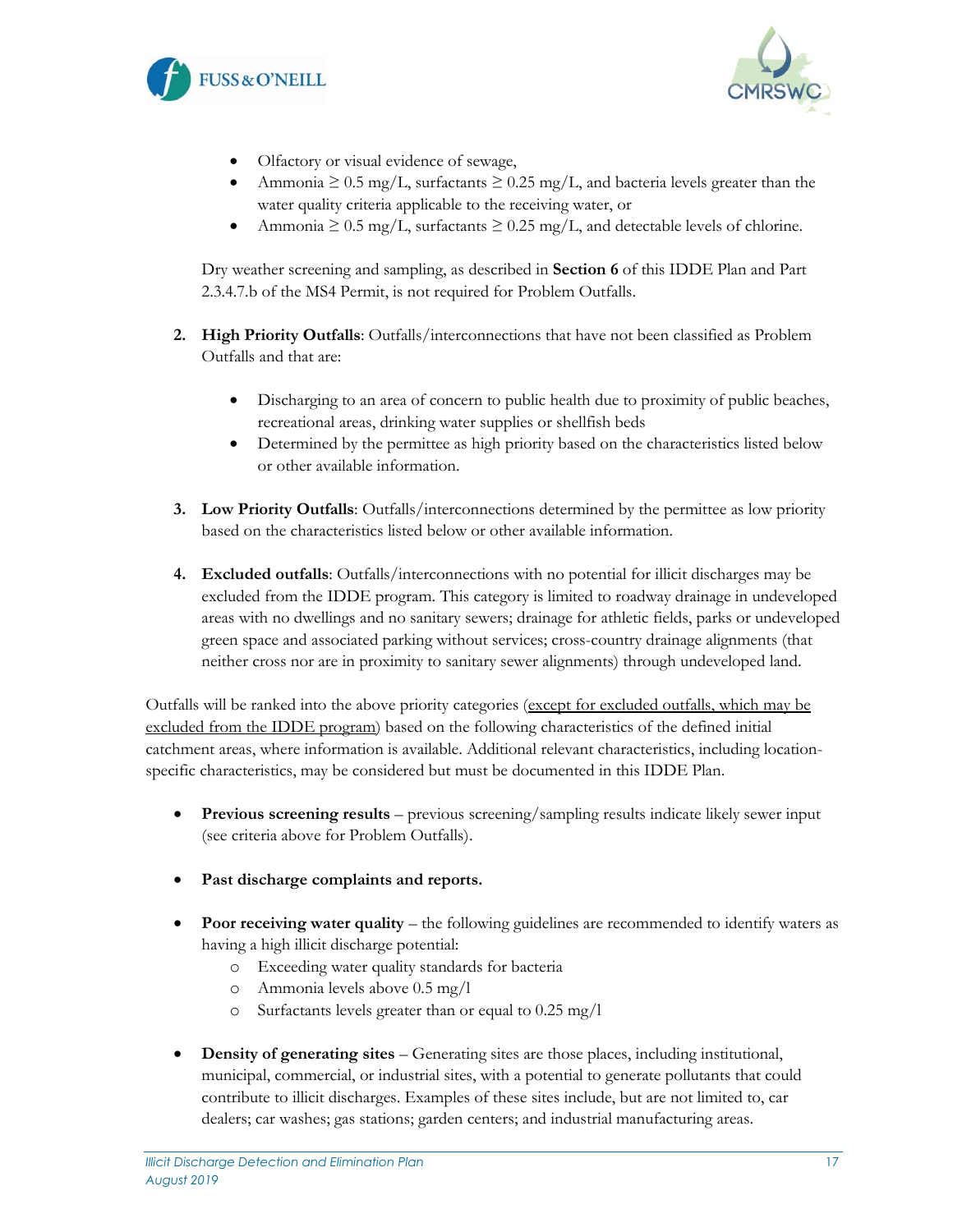



- Olfactory or visual evidence of sewage,
- Ammonia  $\geq 0.5$  mg/L, surfactants  $\geq 0.25$  mg/L, and bacteria levels greater than the water quality criteria applicable to the receiving water, or
- Ammonia  $\geq 0.5$  mg/L, surfactants  $\geq 0.25$  mg/L, and detectable levels of chlorine.

Dry weather screening and sampling, as described in **Section 6** of this IDDE Plan and Part 2.3.4.7.b of the MS4 Permit, is not required for Problem Outfalls.

- **2. High Priority Outfalls**: Outfalls/interconnections that have not been classified as Problem Outfalls and that are:
	- Discharging to an area of concern to public health due to proximity of public beaches, recreational areas, drinking water supplies or shellfish beds
	- Determined by the permittee as high priority based on the characteristics listed below or other available information.
- **3. Low Priority Outfalls**: Outfalls/interconnections determined by the permittee as low priority based on the characteristics listed below or other available information.
- **4. Excluded outfalls**: Outfalls/interconnections with no potential for illicit discharges may be excluded from the IDDE program. This category is limited to roadway drainage in undeveloped areas with no dwellings and no sanitary sewers; drainage for athletic fields, parks or undeveloped green space and associated parking without services; cross-country drainage alignments (that neither cross nor are in proximity to sanitary sewer alignments) through undeveloped land.

Outfalls will be ranked into the above priority categories (except for excluded outfalls, which may be excluded from the IDDE program) based on the following characteristics of the defined initial catchment areas, where information is available. Additional relevant characteristics, including locationspecific characteristics, may be considered but must be documented in this IDDE Plan.

- **Previous screening results** previous screening/sampling results indicate likely sewer input (see criteria above for Problem Outfalls).
- Past discharge complaints and reports.
- **Poor receiving water quality** the following guidelines are recommended to identify waters as having a high illicit discharge potential:
	- o Exceeding water quality standards for bacteria
	- o Ammonia levels above 0.5 mg/l
	- o Surfactants levels greater than or equal to 0.25 mg/l
- **Density of generating sites** Generating sites are those places, including institutional, municipal, commercial, or industrial sites, with a potential to generate pollutants that could contribute to illicit discharges. Examples of these sites include, but are not limited to, car dealers; car washes; gas stations; garden centers; and industrial manufacturing areas.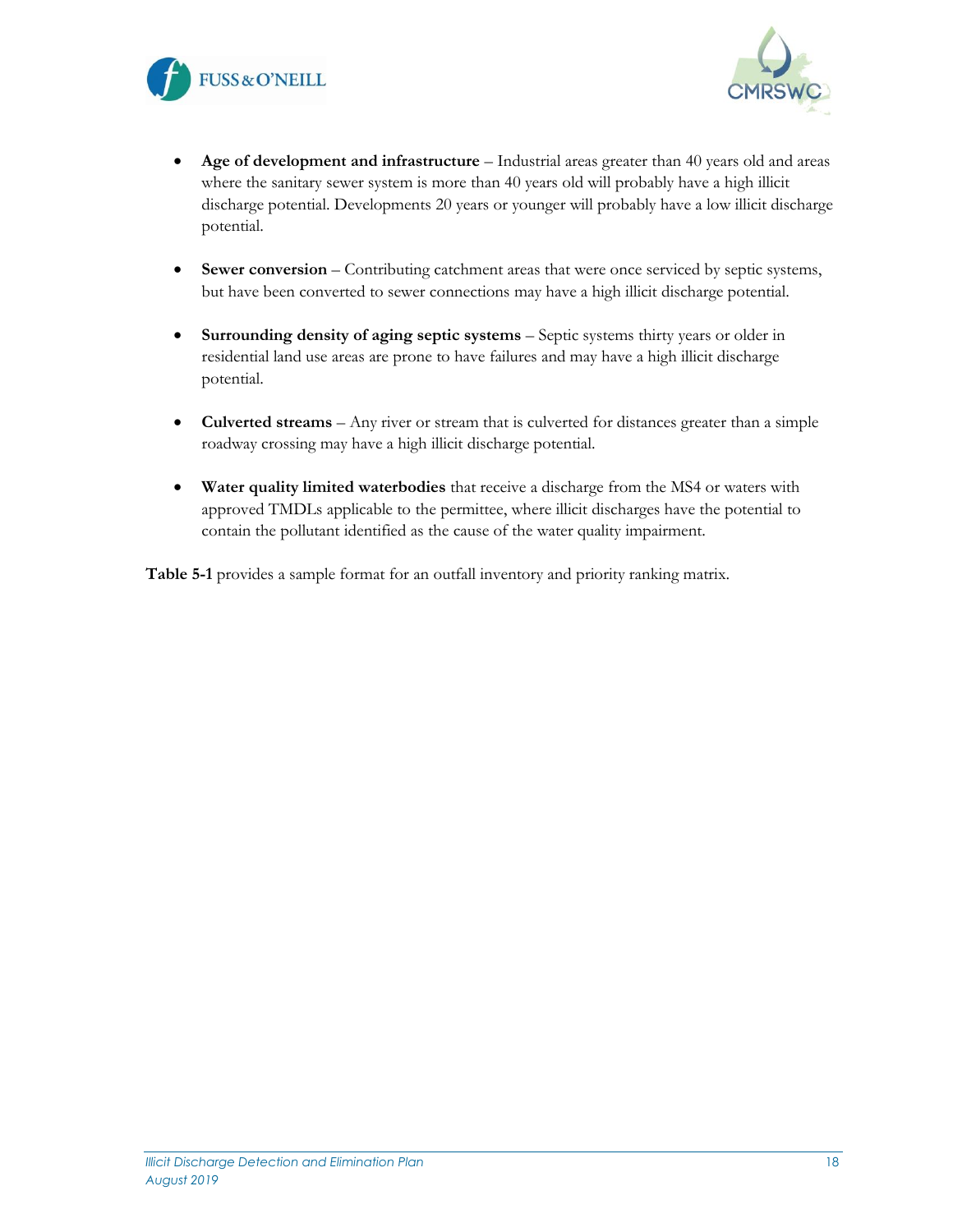



- **Age of development and infrastructure** Industrial areas greater than 40 years old and areas where the sanitary sewer system is more than 40 years old will probably have a high illicit discharge potential. Developments 20 years or younger will probably have a low illicit discharge potential.
- **Sewer conversion** Contributing catchment areas that were once serviced by septic systems, but have been converted to sewer connections may have a high illicit discharge potential.
- **Surrounding density of aging septic systems** Septic systems thirty years or older in residential land use areas are prone to have failures and may have a high illicit discharge potential.
- **Culverted streams** Any river or stream that is culverted for distances greater than a simple roadway crossing may have a high illicit discharge potential.
- **Water quality limited waterbodies** that receive a discharge from the MS4 or waters with approved TMDLs applicable to the permittee, where illicit discharges have the potential to contain the pollutant identified as the cause of the water quality impairment.

**Table 5-1** provides a sample format for an outfall inventory and priority ranking matrix.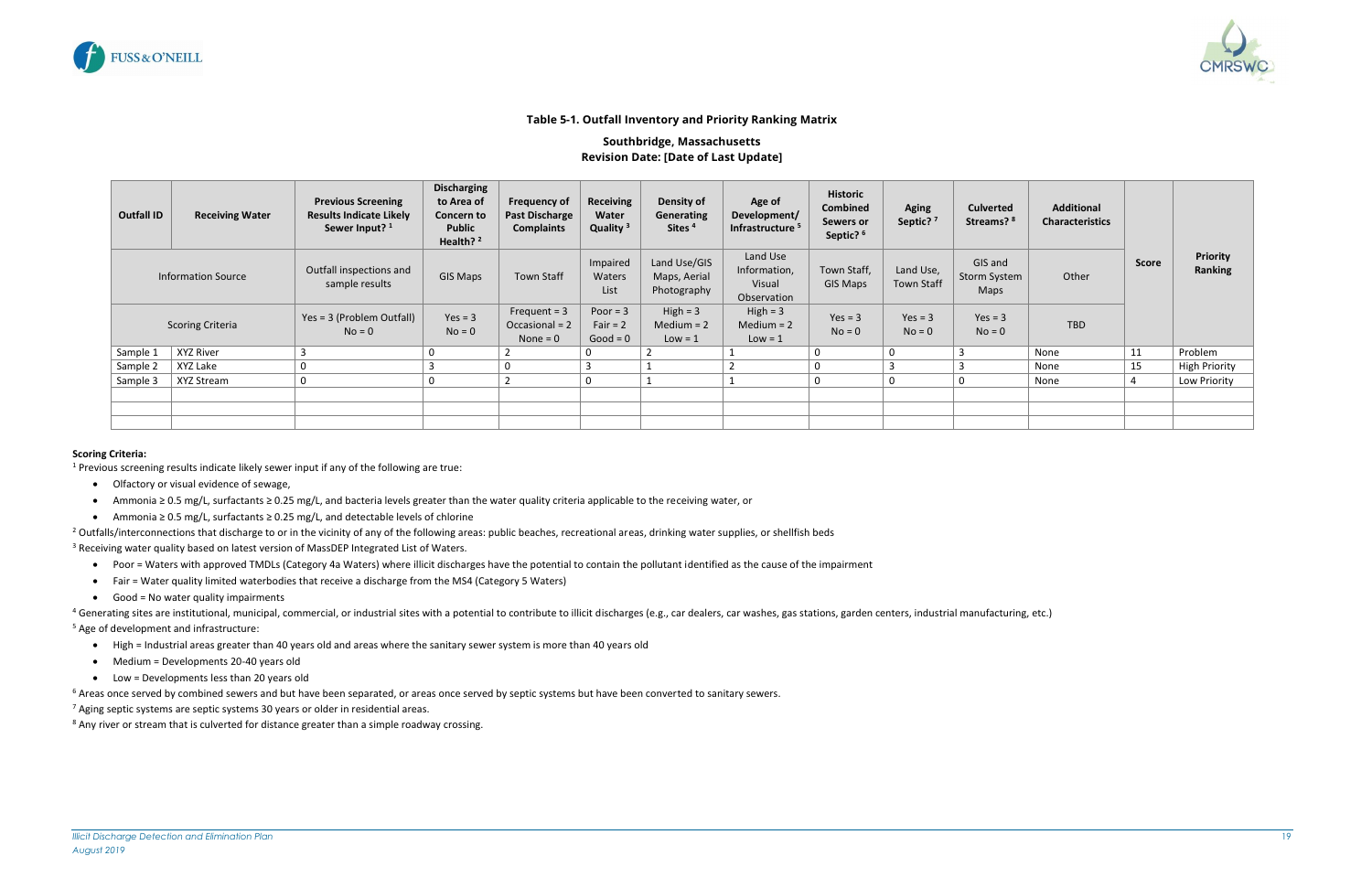

<span id="page-19-0"></span>

#### **Table 5-1. Outfall Inventory and Priority Ranking Matrix**

#### **Southbridge, Massachusetts Revision Date: [Date of Last Update]**

- Olfactory or visual evidence of sewage,
- Ammonia ≥ 0.5 mg/L, surfactants ≥ 0.25 mg/L, and bacteria levels greater than the water quality criteria applicable to the receiving water, or
- Ammonia ≥ 0.5 mg/L, surfactants ≥ 0.25 mg/L, and detectable levels of chlorine
- <sup>2</sup> Outfalls/interconnections that discharge to or in the vicinity of any of the following areas: public beaches, recreational areas, drinking water supplies, or shellfish beds

<sup>3</sup> Receiving water quality based on latest version of MassDEP Integrated List of Waters.

| <b>Outfall ID</b>         | <b>Receiving Water</b>  | <b>Previous Screening</b><br><b>Results Indicate Likely</b><br>Sewer Input? <sup>1</sup> | <b>Discharging</b><br>to Area of<br>Concern to<br><b>Public</b><br>Health? <sup>2</sup> | <b>Frequency of</b><br><b>Past Discharge</b><br><b>Complaints</b> | <b>Receiving</b><br>Water<br>Quality <sup>3</sup> | Density of<br>Development/<br>Generating<br>Sites <sup>4</sup><br>Infrastructure <sup>5</sup> |                                                   | <b>Historic</b><br><b>Combined</b><br>Sewers or<br>Septic? <sup>6</sup> | <b>Aging</b><br>Septic? <sup>7</sup> | <b>Culverted</b><br>Streams? <sup>8</sup> | <b>Additional</b><br><b>Characteristics</b> |              |                            |
|---------------------------|-------------------------|------------------------------------------------------------------------------------------|-----------------------------------------------------------------------------------------|-------------------------------------------------------------------|---------------------------------------------------|-----------------------------------------------------------------------------------------------|---------------------------------------------------|-------------------------------------------------------------------------|--------------------------------------|-------------------------------------------|---------------------------------------------|--------------|----------------------------|
| <b>Information Source</b> |                         | Outfall inspections and<br>sample results                                                | <b>GIS Maps</b>                                                                         | <b>Town Staff</b>                                                 | Impaired<br><b>Waters</b><br>List                 | Land Use/GIS<br>Maps, Aerial<br>Photography                                                   | Land Use<br>Information,<br>Visual<br>Observation | Town Staff,<br>GIS Maps                                                 | Land Use,<br><b>Town Staff</b>       | GIS and<br>Storm System<br>Maps           | Other                                       | <b>Score</b> | <b>Priority</b><br>Ranking |
|                           | <b>Scoring Criteria</b> | Yes = 3 (Problem Outfall)<br>$No = 0$                                                    | $Yes = 3$<br>$No = 0$                                                                   | Frequent $=$ 3<br>Occasional = 2<br>None = $0$                    | Poor $=$ 3<br>Fair = $2$<br>$Good = 0$            | $High = 3$<br>Medium $= 2$<br>$Low = 1$                                                       | $High = 3$<br>Medium $= 2$<br>$Low = 1$           | $Yes = 3$<br>$No = 0$                                                   | $Yes = 3$<br>$No = 0$                | $Yes = 3$<br>$No = 0$                     | <b>TBD</b>                                  |              |                            |
| Sample 1                  | XYZ River               | 3                                                                                        | 0                                                                                       |                                                                   | $\Omega$                                          | $\overline{2}$                                                                                |                                                   | $\mathbf 0$                                                             | $\mathbf 0$                          | $\overline{3}$                            | None                                        | 11           | Problem                    |
| Sample 2                  | XYZ Lake                | 0                                                                                        |                                                                                         | 0                                                                 |                                                   |                                                                                               |                                                   | $\mathbf 0$                                                             |                                      |                                           | None                                        | 15           | <b>High Priority</b>       |
| Sample 3                  | XYZ Stream              | 0                                                                                        | 0                                                                                       |                                                                   | $\mathbf 0$                                       | 1                                                                                             |                                                   | $\mathbf 0$                                                             | $\mathbf 0$                          | 0                                         | None                                        |              | Low Priority               |
|                           |                         |                                                                                          |                                                                                         |                                                                   |                                                   |                                                                                               |                                                   |                                                                         |                                      |                                           |                                             |              |                            |
|                           |                         |                                                                                          |                                                                                         |                                                                   |                                                   |                                                                                               |                                                   |                                                                         |                                      |                                           |                                             |              |                            |
|                           |                         |                                                                                          |                                                                                         |                                                                   |                                                   |                                                                                               |                                                   |                                                                         |                                      |                                           |                                             |              |                            |

<sup>4</sup> Generating sites are institutional, municipal, commercial, or industrial sites with a potential to contribute to illicit discharges (e.g., car dealers, car washes, gas stations, garden centers, industrial manufacturing <sup>5</sup> Age of development and infrastructure:

#### **Scoring Criteria:**

<sup>1</sup> Previous screening results indicate likely sewer input if any of the following are true:

- Poor = Waters with approved TMDLs (Category 4a Waters) where illicit discharges have the potential to contain the pollutant identified as the cause of the impairment
- Fair = Water quality limited waterbodies that receive a discharge from the MS4 (Category 5 Waters)
- Good = No water quality impairments

- High = Industrial areas greater than 40 years old and areas where the sanitary sewer system is more than 40 years old
- Medium = Developments 20-40 years old
- Low = Developments less than 20 years old

 $6$  Areas once served by combined sewers and but have been separated, or areas once served by septic systems but have been converted to sanitary sewers.

 $7$  Aging septic systems are septic systems 30 years or older in residential areas.

<sup>8</sup> Any river or stream that is culverted for distance greater than a simple roadway crossing.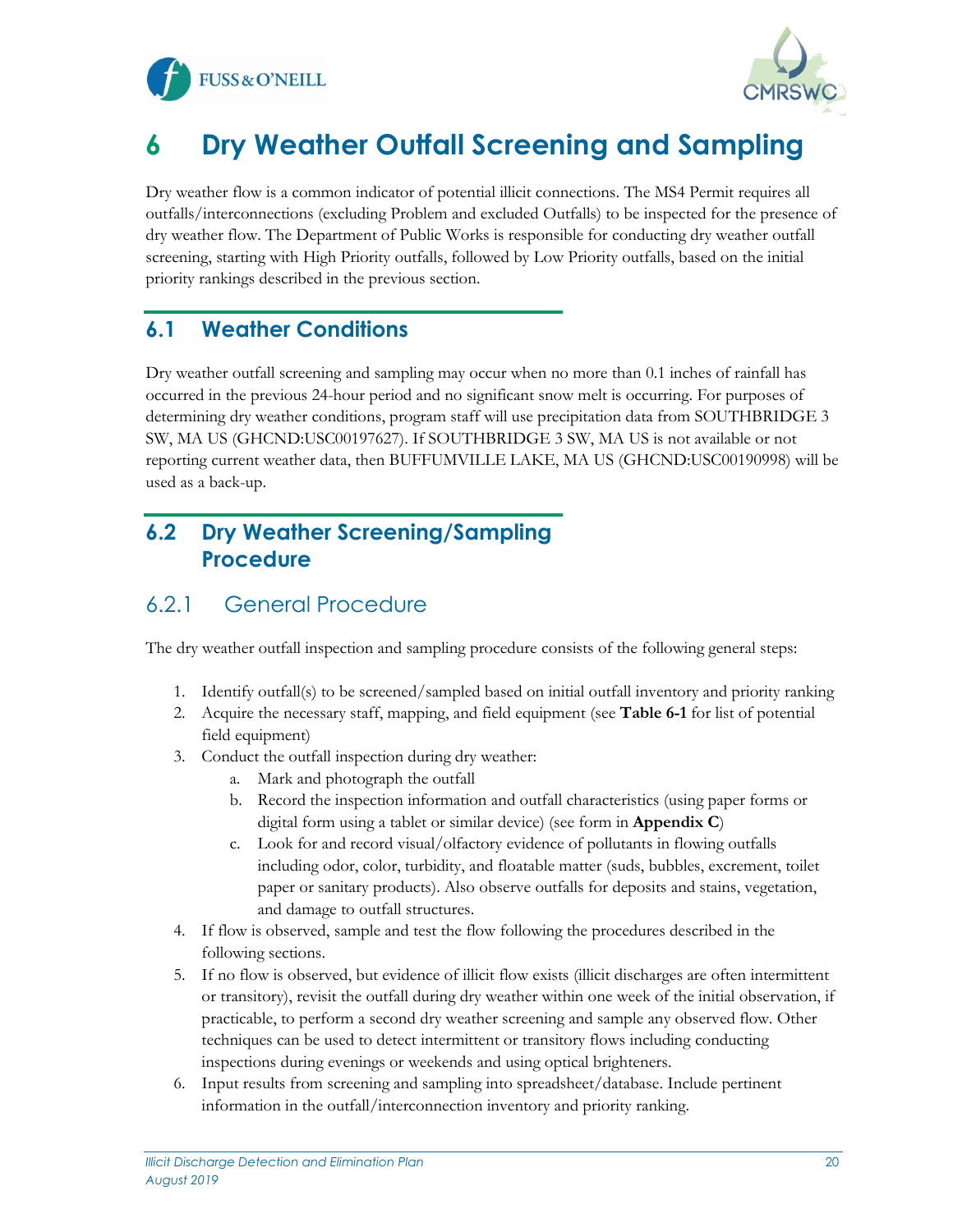



# <span id="page-20-0"></span>**6 Dry Weather Outfall Screening and Sampling**

Dry weather flow is a common indicator of potential illicit connections. The MS4 Permit requires all outfalls/interconnections (excluding Problem and excluded Outfalls) to be inspected for the presence of dry weather flow. The Department of Public Works is responsible for conducting dry weather outfall screening, starting with High Priority outfalls, followed by Low Priority outfalls, based on the initial priority rankings described in the previous section.

#### <span id="page-20-1"></span>**6.1 Weather Conditions**

Dry weather outfall screening and sampling may occur when no more than 0.1 inches of rainfall has occurred in the previous 24-hour period and no significant snow melt is occurring. For purposes of determining dry weather conditions, program staff will use precipitation data from SOUTHBRIDGE 3 SW, MA US (GHCND:USC00197627). If SOUTHBRIDGE 3 SW, MA US is not available or not reporting current weather data, then BUFFUMVILLE LAKE, MA US (GHCND:USC00190998) will be used as a back-up.

## <span id="page-20-2"></span>**6.2 Dry Weather Screening/Sampling Procedure**

### <span id="page-20-3"></span>6.2.1 General Procedure

The dry weather outfall inspection and sampling procedure consists of the following general steps:

- 1. Identify outfall(s) to be screened/sampled based on initial outfall inventory and priority ranking
- 2. Acquire the necessary staff, mapping, and field equipment (see **Table 6-1** for list of potential field equipment)
- 3. Conduct the outfall inspection during dry weather:
	- a. Mark and photograph the outfall
	- b. Record the inspection information and outfall characteristics (using paper forms or digital form using a tablet or similar device) (see form in **Appendix C**)
	- c. Look for and record visual/olfactory evidence of pollutants in flowing outfalls including odor, color, turbidity, and floatable matter (suds, bubbles, excrement, toilet paper or sanitary products). Also observe outfalls for deposits and stains, vegetation, and damage to outfall structures.
- 4. If flow is observed, sample and test the flow following the procedures described in the following sections.
- 5. If no flow is observed, but evidence of illicit flow exists (illicit discharges are often intermittent or transitory), revisit the outfall during dry weather within one week of the initial observation, if practicable, to perform a second dry weather screening and sample any observed flow. Other techniques can be used to detect intermittent or transitory flows including conducting inspections during evenings or weekends and using optical brighteners.
- 6. Input results from screening and sampling into spreadsheet/database. Include pertinent information in the outfall/interconnection inventory and priority ranking.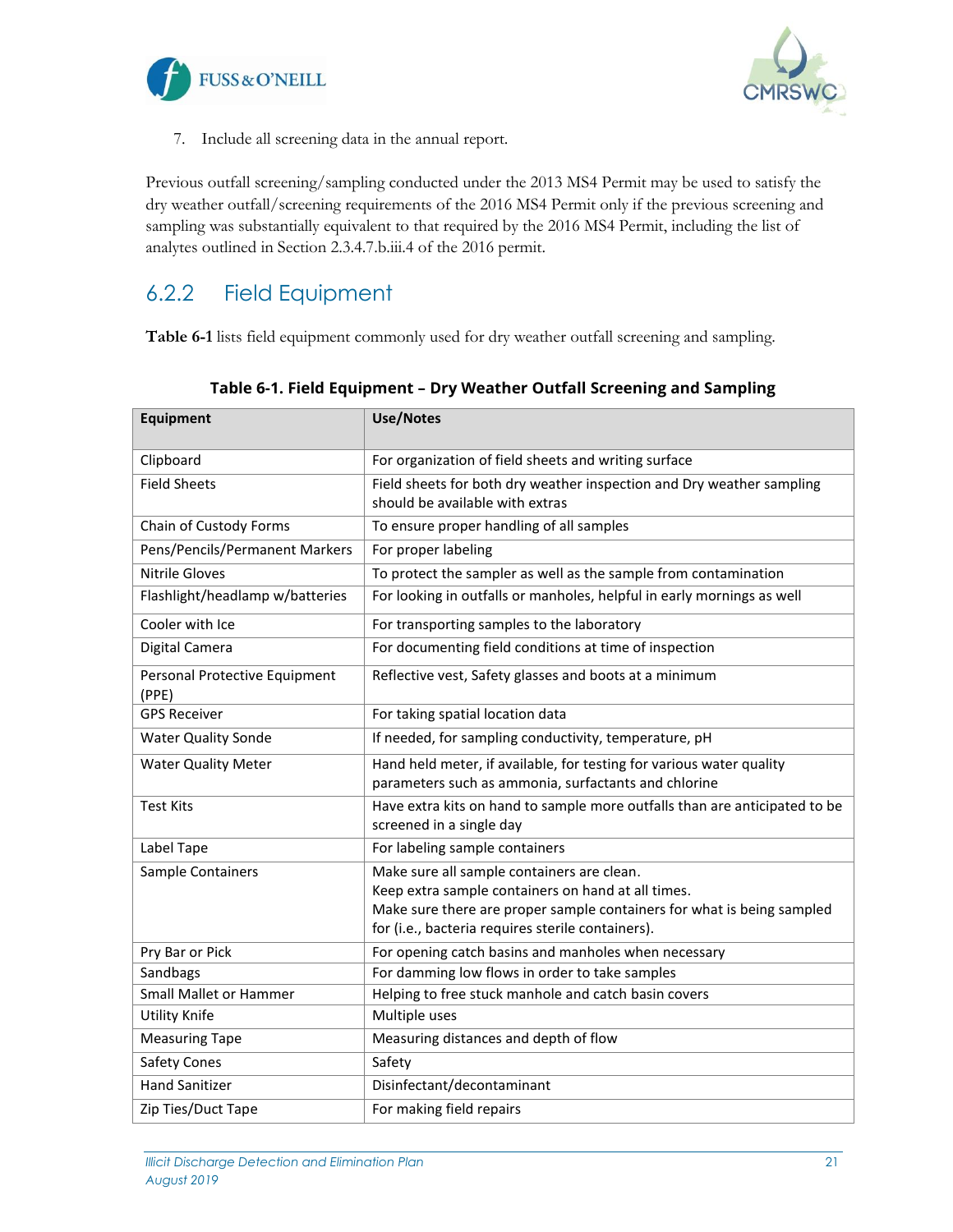



7. Include all screening data in the annual report.

Previous outfall screening/sampling conducted under the 2013 MS4 Permit may be used to satisfy the dry weather outfall/screening requirements of the 2016 MS4 Permit only if the previous screening and sampling was substantially equivalent to that required by the 2016 MS4 Permit, including the list of analytes outlined in Section 2.3.4.7.b.iii.4 of the 2016 permit.

## <span id="page-21-0"></span>6.2.2 Field Equipment

<span id="page-21-1"></span>**Table 6-1** lists field equipment commonly used for dry weather outfall screening and sampling.

| <b>Equipment</b>                       | <b>Use/Notes</b>                                                                                                                                                                                                                |
|----------------------------------------|---------------------------------------------------------------------------------------------------------------------------------------------------------------------------------------------------------------------------------|
| Clipboard                              | For organization of field sheets and writing surface                                                                                                                                                                            |
| <b>Field Sheets</b>                    | Field sheets for both dry weather inspection and Dry weather sampling<br>should be available with extras                                                                                                                        |
| Chain of Custody Forms                 | To ensure proper handling of all samples                                                                                                                                                                                        |
| Pens/Pencils/Permanent Markers         | For proper labeling                                                                                                                                                                                                             |
| <b>Nitrile Gloves</b>                  | To protect the sampler as well as the sample from contamination                                                                                                                                                                 |
| Flashlight/headlamp w/batteries        | For looking in outfalls or manholes, helpful in early mornings as well                                                                                                                                                          |
| Cooler with Ice                        | For transporting samples to the laboratory                                                                                                                                                                                      |
| Digital Camera                         | For documenting field conditions at time of inspection                                                                                                                                                                          |
| Personal Protective Equipment<br>(PPE) | Reflective vest, Safety glasses and boots at a minimum                                                                                                                                                                          |
| <b>GPS Receiver</b>                    | For taking spatial location data                                                                                                                                                                                                |
| <b>Water Quality Sonde</b>             | If needed, for sampling conductivity, temperature, pH                                                                                                                                                                           |
| <b>Water Quality Meter</b>             | Hand held meter, if available, for testing for various water quality<br>parameters such as ammonia, surfactants and chlorine                                                                                                    |
| <b>Test Kits</b>                       | Have extra kits on hand to sample more outfalls than are anticipated to be<br>screened in a single day                                                                                                                          |
| Label Tape                             | For labeling sample containers                                                                                                                                                                                                  |
| Sample Containers                      | Make sure all sample containers are clean.<br>Keep extra sample containers on hand at all times.<br>Make sure there are proper sample containers for what is being sampled<br>for (i.e., bacteria requires sterile containers). |
| Pry Bar or Pick                        | For opening catch basins and manholes when necessary                                                                                                                                                                            |
| Sandbags                               | For damming low flows in order to take samples                                                                                                                                                                                  |
| <b>Small Mallet or Hammer</b>          | Helping to free stuck manhole and catch basin covers                                                                                                                                                                            |
| <b>Utility Knife</b>                   | Multiple uses                                                                                                                                                                                                                   |
| <b>Measuring Tape</b>                  | Measuring distances and depth of flow                                                                                                                                                                                           |
| <b>Safety Cones</b>                    | Safety                                                                                                                                                                                                                          |
| <b>Hand Sanitizer</b>                  | Disinfectant/decontaminant                                                                                                                                                                                                      |
| Zip Ties/Duct Tape                     | For making field repairs                                                                                                                                                                                                        |

**Table 6-1. Field Equipment – Dry Weather Outfall Screening and Sampling**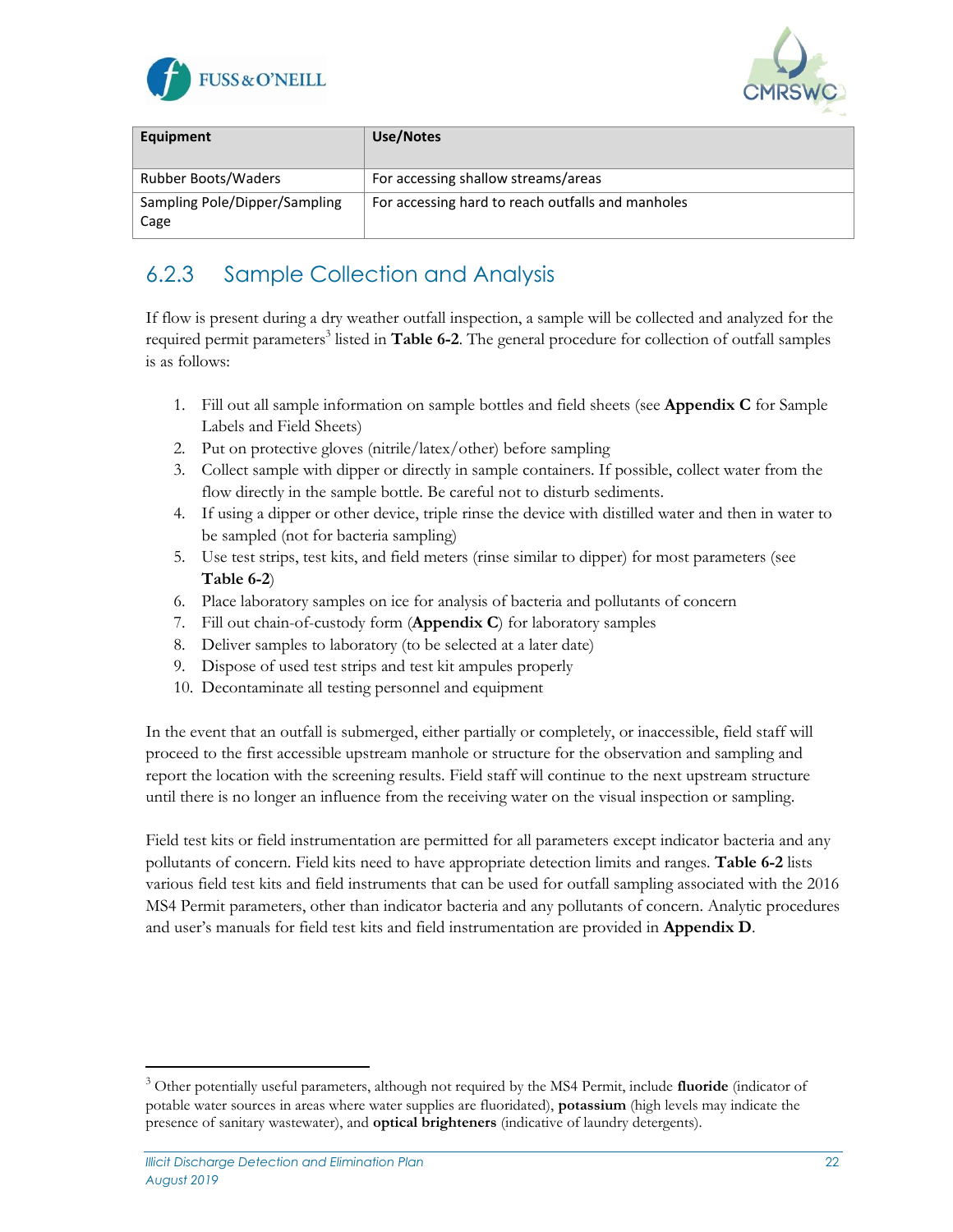



| Equipment                             | Use/Notes                                         |
|---------------------------------------|---------------------------------------------------|
| <b>Rubber Boots/Waders</b>            | For accessing shallow streams/areas               |
| Sampling Pole/Dipper/Sampling<br>Cage | For accessing hard to reach outfalls and manholes |

### <span id="page-22-0"></span>6.2.3 Sample Collection and Analysis

If flow is present during a dry weather outfall inspection, a sample will be collected and analyzed for the required permit parameters<sup>3</sup> listed in Table 6-2. The general procedure for collection of outfall samples is as follows:

- 1. Fill out all sample information on sample bottles and field sheets (see **Appendix C** for Sample Labels and Field Sheets)
- 2. Put on protective gloves (nitrile/latex/other) before sampling
- 3. Collect sample with dipper or directly in sample containers. If possible, collect water from the flow directly in the sample bottle. Be careful not to disturb sediments.
- 4. If using a dipper or other device, triple rinse the device with distilled water and then in water to be sampled (not for bacteria sampling)
- 5. Use test strips, test kits, and field meters (rinse similar to dipper) for most parameters (see **Table 6-2**)
- 6. Place laboratory samples on ice for analysis of bacteria and pollutants of concern
- 7. Fill out chain-of-custody form (**Appendix C**) for laboratory samples
- 8. Deliver samples to laboratory (to be selected at a later date)
- 9. Dispose of used test strips and test kit ampules properly
- 10. Decontaminate all testing personnel and equipment

In the event that an outfall is submerged, either partially or completely, or inaccessible, field staff will proceed to the first accessible upstream manhole or structure for the observation and sampling and report the location with the screening results. Field staff will continue to the next upstream structure until there is no longer an influence from the receiving water on the visual inspection or sampling.

Field test kits or field instrumentation are permitted for all parameters except indicator bacteria and any pollutants of concern. Field kits need to have appropriate detection limits and ranges. **Table 6-2** lists various field test kits and field instruments that can be used for outfall sampling associated with the 2016 MS4 Permit parameters, other than indicator bacteria and any pollutants of concern. Analytic procedures and user's manuals for field test kits and field instrumentation are provided in **Appendix D**.

<span id="page-22-1"></span><sup>3</sup> Other potentially useful parameters, although not required by the MS4 Permit, include **fluoride** (indicator of potable water sources in areas where water supplies are fluoridated), **potassium** (high levels may indicate the presence of sanitary wastewater), and **optical brighteners** (indicative of laundry detergents).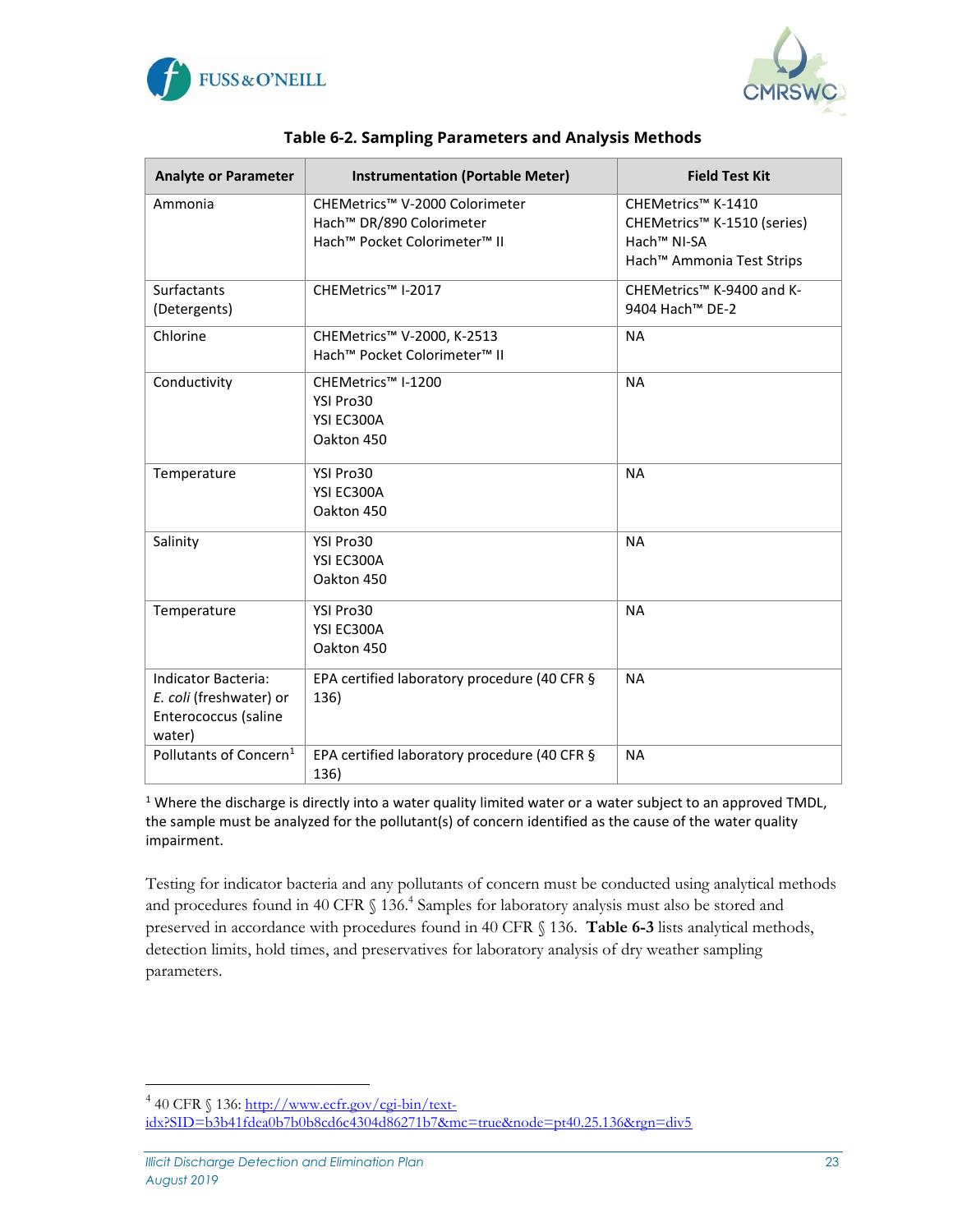



| <b>Analyte or Parameter</b>                                                             | <b>Instrumentation (Portable Meter)</b>                                                                                        | <b>Field Test Kit</b>                                                                                                 |
|-----------------------------------------------------------------------------------------|--------------------------------------------------------------------------------------------------------------------------------|-----------------------------------------------------------------------------------------------------------------------|
| Ammonia                                                                                 | CHEMetrics™ V-2000 Colorimeter<br>Hach <sup>™</sup> DR/890 Colorimeter<br>Hach <sup>™</sup> Pocket Colorimeter <sup>™</sup> II | CHEMetrics™ K-1410<br>CHEMetrics™ K-1510 (series)<br>Hach <sup>™</sup> NI-SA<br>Hach <sup>™</sup> Ammonia Test Strips |
| Surfactants<br>(Detergents)                                                             | CHEMetrics™ I-2017                                                                                                             | CHEMetrics™ K-9400 and K-<br>9404 Hach <sup>™</sup> DE-2                                                              |
| Chlorine                                                                                | CHEMetrics™ V-2000, K-2513<br>Hach <sup>™</sup> Pocket Colorimeter <sup>™</sup> II                                             | <b>NA</b>                                                                                                             |
| Conductivity                                                                            | CHEMetrics™ I-1200<br>YSI Pro30<br>YSI EC300A<br>Oakton 450                                                                    | <b>NA</b>                                                                                                             |
| Temperature                                                                             | YSI Pro30<br>YSI EC300A<br>Oakton 450                                                                                          | <b>NA</b>                                                                                                             |
| Salinity                                                                                | YSI Pro30<br>YSI EC300A<br>Oakton 450                                                                                          | <b>NA</b>                                                                                                             |
| Temperature                                                                             | YSI Pro30<br>YSI EC300A<br>Oakton 450                                                                                          | <b>NA</b>                                                                                                             |
| <b>Indicator Bacteria:</b><br>E. coli (freshwater) or<br>Enterococcus (saline<br>water) | EPA certified laboratory procedure (40 CFR §<br>136)                                                                           | <b>NA</b>                                                                                                             |
| Pollutants of Concern <sup>1</sup>                                                      | EPA certified laboratory procedure (40 CFR §<br>136)                                                                           | <b>NA</b>                                                                                                             |

| Table 6-2. Sampling Parameters and Analysis Methods |  |
|-----------------------------------------------------|--|
|                                                     |  |

<sup>1</sup> Where the discharge is directly into a water quality limited water or a water subject to an approved TMDL, the sample must be analyzed for the pollutant(s) of concern identified as the cause of the water quality impairment.

Testing for indicator bacteria and any pollutants of concern must be conducted using analytical methods and procedures found in 40 CFR § 136.<sup>4</sup> Samples for laboratory analysis must also be stored and preserved in accordance with procedures found in 40 CFR § 136. **Table 6-3** lists analytical methods, detection limits, hold times, and preservatives for laboratory analysis of dry weather sampling parameters.

<span id="page-23-0"></span><sup>&</sup>lt;sup>4</sup> 40 CFR § 136[: http://www.ecfr.gov/cgi-bin/text-](http://www.ecfr.gov/cgi-bin/text-idx?SID=b3b41fdea0b7b0b8cd6c4304d86271b7&mc=true&node=pt40.25.136&rgn=div5)

[idx?SID=b3b41fdea0b7b0b8cd6c4304d86271b7&mc=true&node=pt40.25.136&rgn=div5](http://www.ecfr.gov/cgi-bin/text-idx?SID=b3b41fdea0b7b0b8cd6c4304d86271b7&mc=true&node=pt40.25.136&rgn=div5)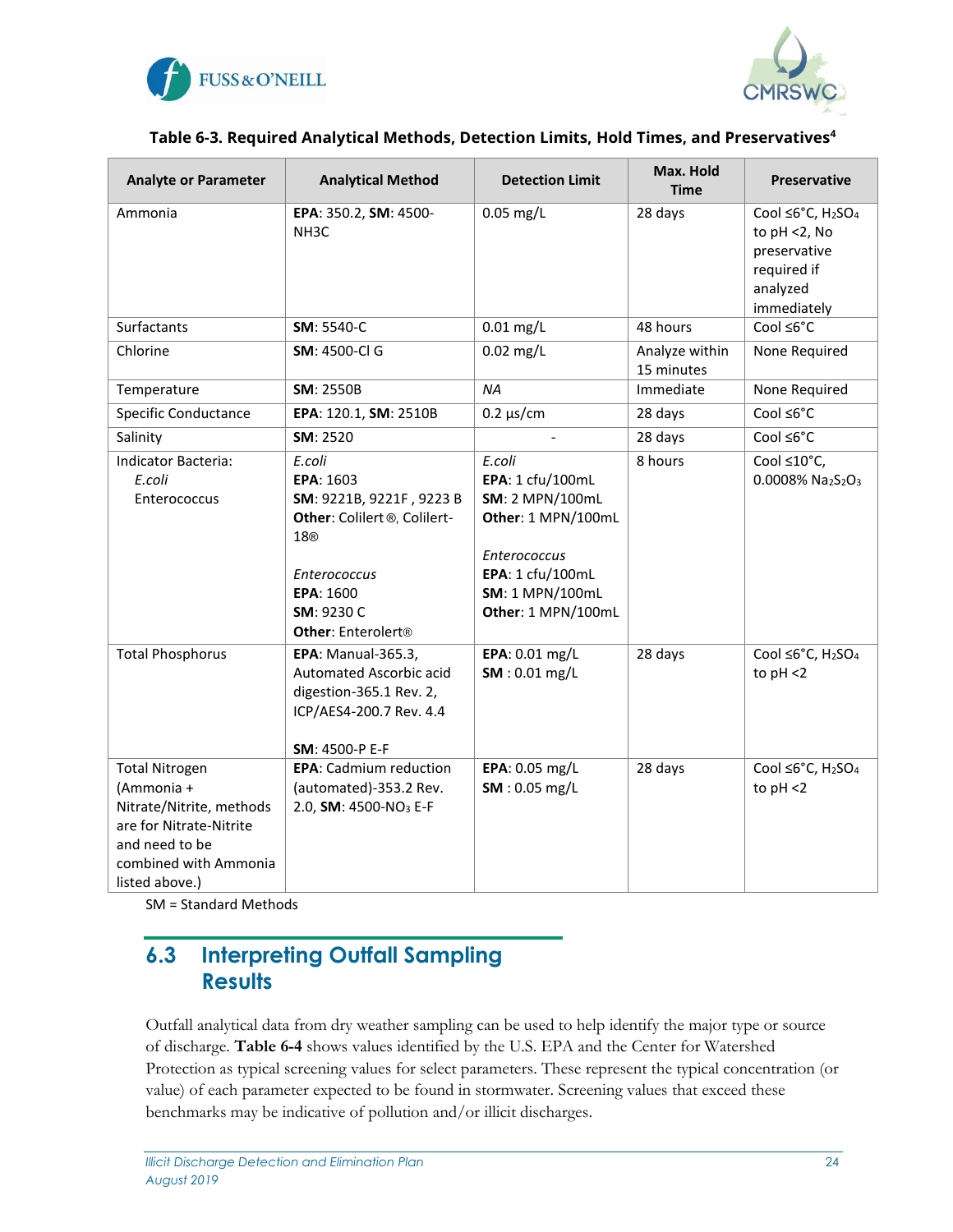



#### **Table 6-3. Required Analytical Methods, Detection Limits, Hold Times, and Preservatives<sup>4</sup>**

| <b>Analyte or Parameter</b>                                                                                                                             | <b>Analytical Method</b>                                                                                                                                                               | <b>Detection Limit</b>                                                                                                                                                | Max. Hold<br><b>Time</b>     | <b>Preservative</b>                                                                                                     |
|---------------------------------------------------------------------------------------------------------------------------------------------------------|----------------------------------------------------------------------------------------------------------------------------------------------------------------------------------------|-----------------------------------------------------------------------------------------------------------------------------------------------------------------------|------------------------------|-------------------------------------------------------------------------------------------------------------------------|
| Ammonia                                                                                                                                                 | EPA: 350.2, SM: 4500-<br>NH <sub>3</sub> C                                                                                                                                             | $0.05$ mg/L                                                                                                                                                           | 28 days                      | Cool ≤6°C, H <sub>2</sub> SO <sub>4</sub><br>to $pH < 2$ , No<br>preservative<br>required if<br>analyzed<br>immediately |
| Surfactants                                                                                                                                             | SM: 5540-C                                                                                                                                                                             | $0.01$ mg/L                                                                                                                                                           | 48 hours                     | $Cool \leq 6^{\circ}C$                                                                                                  |
| Chlorine                                                                                                                                                | <b>SM: 4500-Cl G</b>                                                                                                                                                                   | $0.02$ mg/L                                                                                                                                                           | Analyze within<br>15 minutes | None Required                                                                                                           |
| Temperature                                                                                                                                             | <b>SM: 2550B</b>                                                                                                                                                                       | <b>NA</b>                                                                                                                                                             | Immediate                    | None Required                                                                                                           |
| <b>Specific Conductance</b>                                                                                                                             | EPA: 120.1, SM: 2510B                                                                                                                                                                  | $0.2 \mu s/cm$                                                                                                                                                        | 28 days                      | Cool ≤6°C                                                                                                               |
| Salinity                                                                                                                                                | SM: 2520                                                                                                                                                                               |                                                                                                                                                                       | 28 days                      | Cool ≤6°C                                                                                                               |
| Indicator Bacteria:<br>E.coli<br>Enterococcus                                                                                                           | E.coli<br>EPA: 1603<br>SM: 9221B, 9221F, 9223 B<br>Other: Colilert <sup>®</sup> , Colilert-<br>18®<br><b>Enterococcus</b><br>EPA: 1600<br>SM: 9230 C<br>Other: Enterolert <sup>®</sup> | E.coli<br>EPA: 1 cfu/100mL<br><b>SM: 2 MPN/100mL</b><br>Other: 1 MPN/100mL<br><b>Enterococcus</b><br>EPA: 1 cfu/100mL<br><b>SM: 1 MPN/100mL</b><br>Other: 1 MPN/100mL | 8 hours                      | Cool ≤10°C,<br>0.0008% Na2S2O3                                                                                          |
| <b>Total Phosphorus</b>                                                                                                                                 | <b>EPA: Manual-365.3,</b><br>Automated Ascorbic acid<br>digestion-365.1 Rev. 2,<br>ICP/AES4-200.7 Rev. 4.4<br>SM: 4500-P E-F                                                           | EPA: 0.01 mg/L<br>SM: 0.01 mg/L                                                                                                                                       | 28 days                      | Cool $\leq 6^{\circ}$ C, H <sub>2</sub> SO <sub>4</sub><br>to $pH < 2$                                                  |
| <b>Total Nitrogen</b><br>(Ammonia +<br>Nitrate/Nitrite, methods<br>are for Nitrate-Nitrite<br>and need to be<br>combined with Ammonia<br>listed above.) | <b>EPA:</b> Cadmium reduction<br>(automated)-353.2 Rev.<br>2.0, SM: 4500-NO <sub>3</sub> E-F                                                                                           | EPA: 0.05 mg/L<br>SM: 0.05 mg/L                                                                                                                                       | 28 days                      | Cool ≤6°C, H <sub>2</sub> SO <sub>4</sub><br>to $pH < 2$                                                                |

SM = Standard Methods

#### <span id="page-24-0"></span>**6.3 Interpreting Outfall Sampling Results**

Outfall analytical data from dry weather sampling can be used to help identify the major type or source of discharge. **Table 6-4** shows values identified by the U.S. EPA and the Center for Watershed Protection as typical screening values for select parameters. These represent the typical concentration (or value) of each parameter expected to be found in stormwater. Screening values that exceed these benchmarks may be indicative of pollution and/or illicit discharges.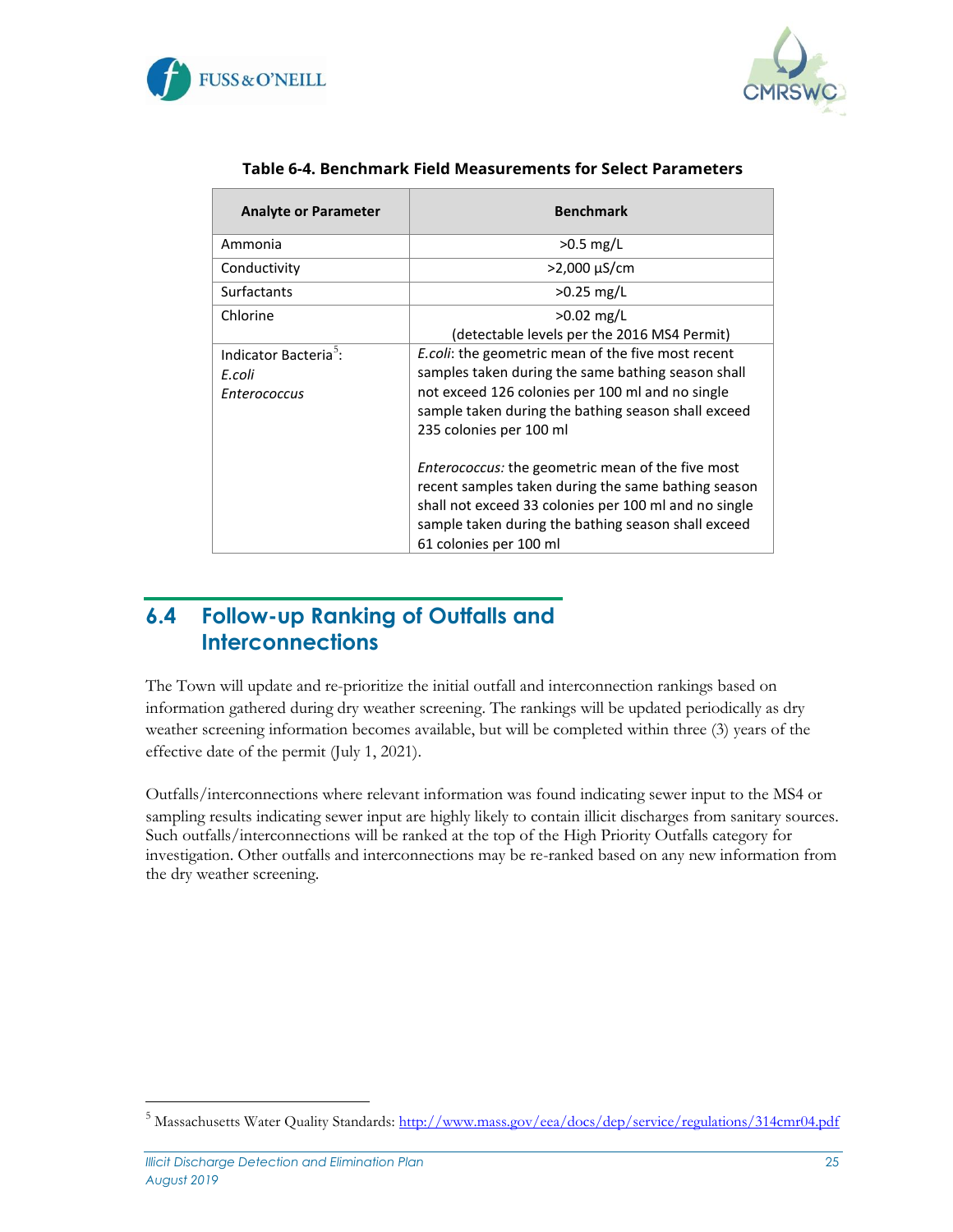



<span id="page-25-1"></span>

| <b>Analyte or Parameter</b>                                               | <b>Benchmark</b>                                                                                                                                                                                                                                          |
|---------------------------------------------------------------------------|-----------------------------------------------------------------------------------------------------------------------------------------------------------------------------------------------------------------------------------------------------------|
| Ammonia                                                                   | $>0.5$ mg/L                                                                                                                                                                                                                                               |
| Conductivity                                                              | >2,000 µS/cm                                                                                                                                                                                                                                              |
| <b>Surfactants</b>                                                        | $>0.25$ mg/L                                                                                                                                                                                                                                              |
| Chlorine                                                                  | $>0.02$ mg/L<br>(detectable levels per the 2016 MS4 Permit)                                                                                                                                                                                               |
| Indicator Bacteria <sup>5</sup> :<br>E.coli<br><i><b>Enterococcus</b></i> | <i>E.coli:</i> the geometric mean of the five most recent<br>samples taken during the same bathing season shall<br>not exceed 126 colonies per 100 ml and no single<br>sample taken during the bathing season shall exceed<br>235 colonies per 100 ml     |
|                                                                           | <i>Enterococcus:</i> the geometric mean of the five most<br>recent samples taken during the same bathing season<br>shall not exceed 33 colonies per 100 ml and no single<br>sample taken during the bathing season shall exceed<br>61 colonies per 100 ml |

#### **Table 6-4. Benchmark Field Measurements for Select Parameters**

#### <span id="page-25-0"></span>**6.4 Follow-up Ranking of Outfalls and Interconnections**

The Town will update and re-prioritize the initial outfall and interconnection rankings based on information gathered during dry weather screening. The rankings will be updated periodically as dry weather screening information becomes available, but will be completed within three (3) years of the effective date of the permit (July 1, 2021).

Outfalls/interconnections where relevant information was found indicating sewer input to the MS4 or sampling results indicating sewer input are highly likely to contain illicit discharges from sanitary sources. Such outfalls/interconnections will be ranked at the top of the High Priority Outfalls category for investigation. Other outfalls and interconnections may be re-ranked based on any new information from the dry weather screening.

<sup>&</sup>lt;sup>5</sup> Massachusetts Water Quality Standards:<http://www.mass.gov/eea/docs/dep/service/regulations/314cmr04.pdf>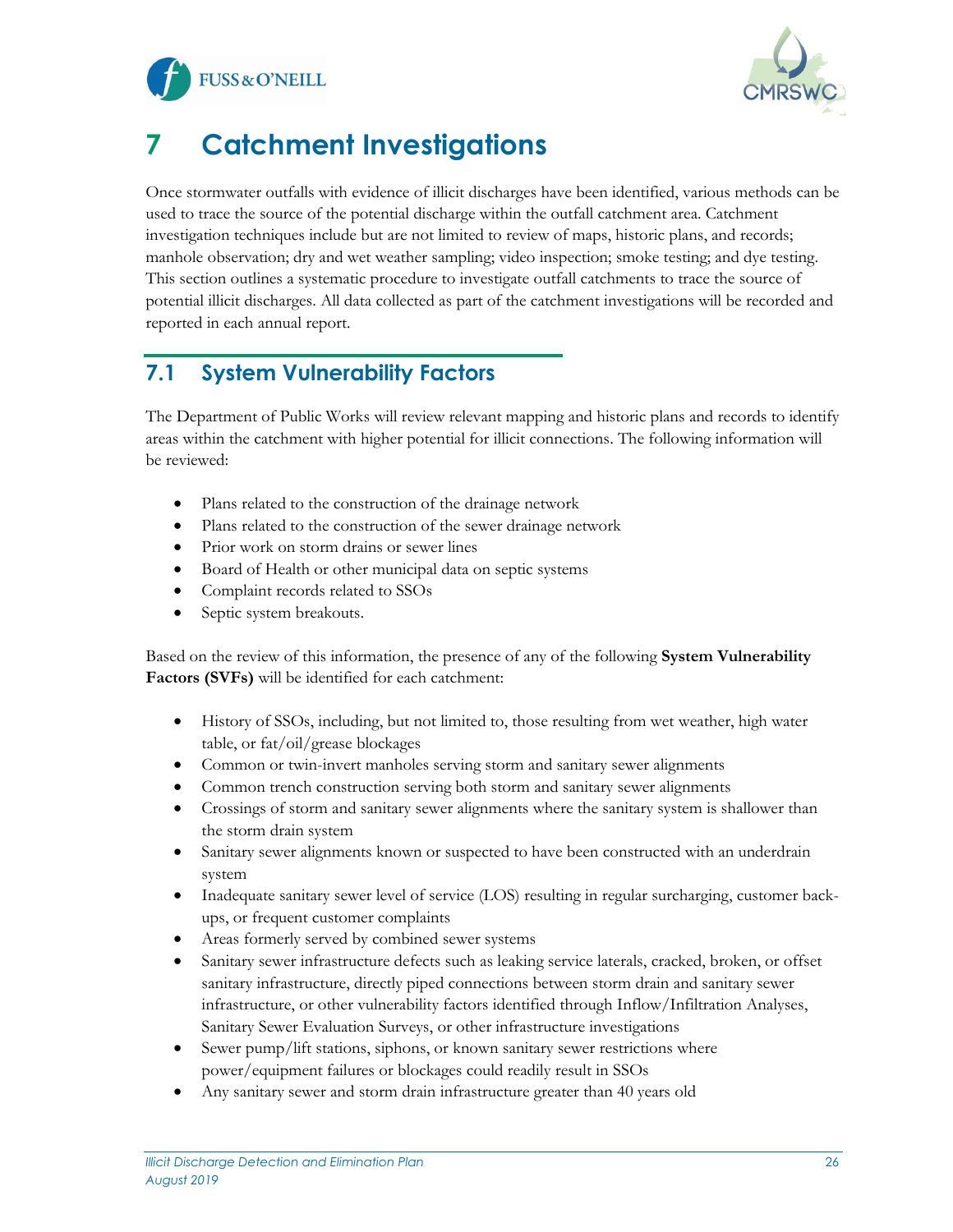



# <span id="page-26-0"></span>**7 Catchment Investigations**

Once stormwater outfalls with evidence of illicit discharges have been identified, various methods can be used to trace the source of the potential discharge within the outfall catchment area. Catchment investigation techniques include but are not limited to review of maps, historic plans, and records; manhole observation; dry and wet weather sampling; video inspection; smoke testing; and dye testing. This section outlines a systematic procedure to investigate outfall catchments to trace the source of potential illicit discharges. All data collected as part of the catchment investigations will be recorded and reported in each annual report.

### <span id="page-26-1"></span>**7.1 System Vulnerability Factors**

The Department of Public Works will review relevant mapping and historic plans and records to identify areas within the catchment with higher potential for illicit connections. The following information will be reviewed:

- Plans related to the construction of the drainage network
- Plans related to the construction of the sewer drainage network
- Prior work on storm drains or sewer lines
- Board of Health or other municipal data on septic systems
- Complaint records related to SSOs
- Septic system breakouts.

Based on the review of this information, the presence of any of the following **System Vulnerability Factors (SVFs)** will be identified for each catchment:

- History of SSOs, including, but not limited to, those resulting from wet weather, high water table, or fat/oil/grease blockages
- Common or twin-invert manholes serving storm and sanitary sewer alignments
- Common trench construction serving both storm and sanitary sewer alignments
- Crossings of storm and sanitary sewer alignments where the sanitary system is shallower than the storm drain system
- Sanitary sewer alignments known or suspected to have been constructed with an underdrain system
- Inadequate sanitary sewer level of service (LOS) resulting in regular surcharging, customer backups, or frequent customer complaints
- Areas formerly served by combined sewer systems
- Sanitary sewer infrastructure defects such as leaking service laterals, cracked, broken, or offset sanitary infrastructure, directly piped connections between storm drain and sanitary sewer infrastructure, or other vulnerability factors identified through Inflow/Infiltration Analyses, Sanitary Sewer Evaluation Surveys, or other infrastructure investigations
- Sewer pump/lift stations, siphons, or known sanitary sewer restrictions where power/equipment failures or blockages could readily result in SSOs
- Any sanitary sewer and storm drain infrastructure greater than 40 years old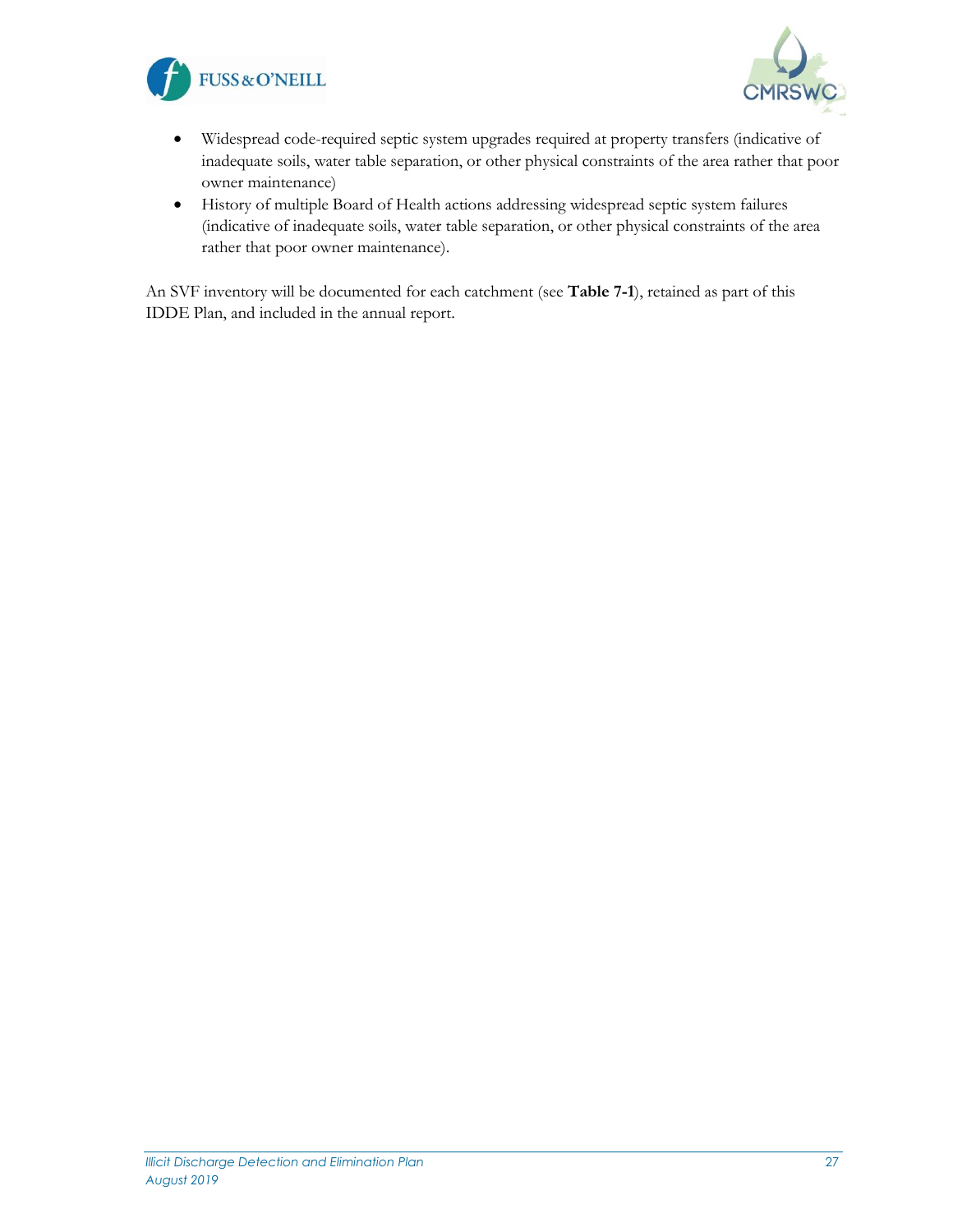



- Widespread code-required septic system upgrades required at property transfers (indicative of inadequate soils, water table separation, or other physical constraints of the area rather that poor owner maintenance)
- History of multiple Board of Health actions addressing widespread septic system failures (indicative of inadequate soils, water table separation, or other physical constraints of the area rather that poor owner maintenance).

An SVF inventory will be documented for each catchment (see **Table 7-1**), retained as part of this IDDE Plan, and included in the annual report.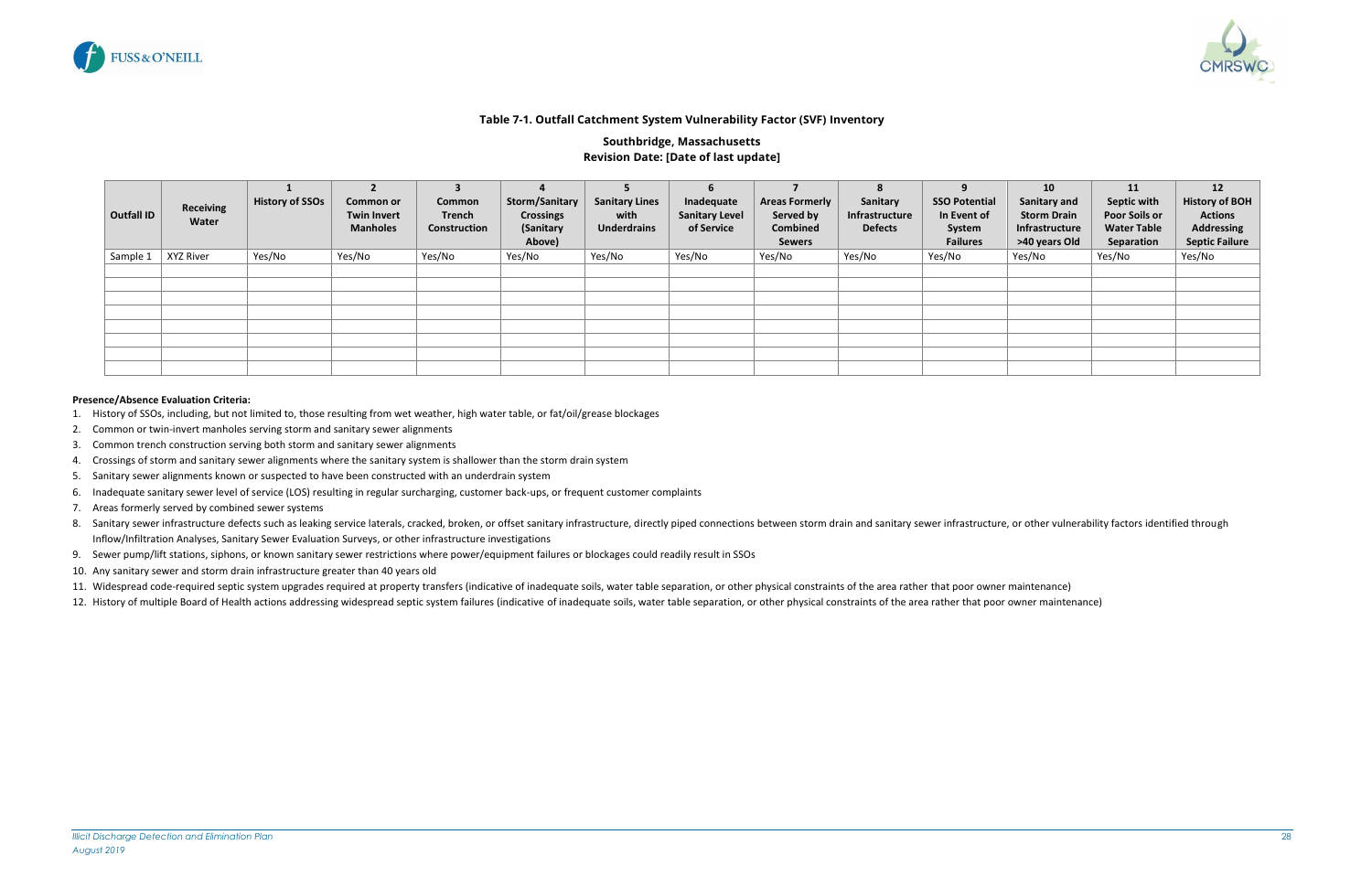

<span id="page-28-0"></span>

#### **Table 7-1. Outfall Catchment System Vulnerability Factor (SVF) Inventory**

#### **Southbridge, Massachusetts Revision Date: [Date of last update]**

- 1. History of SSOs, including, but not limited to, those resulting from wet weather, high water table, or fat/oil/grease blockages
- 2. Common or twin-invert manholes serving storm and sanitary sewer alignments
- 3. Common trench construction serving both storm and sanitary sewer alignments
- 4. Crossings of storm and sanitary sewer alignments where the sanitary system is shallower than the storm drain system
- 5. Sanitary sewer alignments known or suspected to have been constructed with an underdrain system
- 6. Inadequate sanitary sewer level of service (LOS) resulting in regular surcharging, customer back-ups, or frequent customer complaints
- 7. Areas formerly served by combined sewer systems
- 8. Sanitary sewer infrastructure defects such as leaking service laterals, cracked, broken, or offset sanitary infrastructure, directly piped connections between storm drain and sanitary sewer infrastructure, or other vuln Inflow/Infiltration Analyses, Sanitary Sewer Evaluation Surveys, or other infrastructure investigations
- 9. Sewer pump/lift stations, siphons, or known sanitary sewer restrictions where power/equipment failures or blockages could readily result in SSOs
- 10. Any sanitary sewer and storm drain infrastructure greater than 40 years old
- 11. Widespread code-required septic system upgrades required at property transfers (indicative of inadequate soils, water table separation, or other physical constraints of the area rather that poor owner maintenance)
- 12. History of multiple Board of Health actions addressing widespread septic system failures (indicative of inadequate soils, water table separation, or other physical constraints of the area rather that poor owner mainten

| Outfall ID | <b>Receiving</b><br>Water | <b>History of SSOs</b> | <b>Common or</b><br><b>Twin Invert</b><br><b>Manholes</b> | Common<br>Trench<br>Construction | Storm/Sanitary<br><b>Crossings</b><br>(Sanitary<br>Above) | <b>Sanitary Lines</b><br>with<br><b>Underdrains</b> | 6<br>Inadequate<br><b>Sanitary Level</b><br>of Service | <b>Areas Formerly</b><br>Served by<br><b>Combined</b><br><b>Sewers</b> | 8<br>Sanitary<br>Infrastructure<br><b>Defects</b> | 9<br><b>SSO Potential</b><br>In Event of<br>System<br><b>Failures</b> | 10<br>Sanitary and<br><b>Storm Drain</b><br>Infrastructure<br>>40 years Old | 11<br>Septic with<br><b>Poor Soils or</b><br><b>Water Table</b><br>Separation | $12 \overline{ }$<br><b>History of BOH</b><br><b>Actions</b><br><b>Addressing</b><br><b>Septic Failure</b> |
|------------|---------------------------|------------------------|-----------------------------------------------------------|----------------------------------|-----------------------------------------------------------|-----------------------------------------------------|--------------------------------------------------------|------------------------------------------------------------------------|---------------------------------------------------|-----------------------------------------------------------------------|-----------------------------------------------------------------------------|-------------------------------------------------------------------------------|------------------------------------------------------------------------------------------------------------|
| Sample 1   | XYZ River                 | Yes/No                 | Yes/No                                                    | Yes/No                           | Yes/No                                                    | Yes/No                                              | Yes/No                                                 | Yes/No                                                                 | Yes/No                                            | Yes/No                                                                | Yes/No                                                                      | Yes/No                                                                        | Yes/No                                                                                                     |
|            |                           |                        |                                                           |                                  |                                                           |                                                     |                                                        |                                                                        |                                                   |                                                                       |                                                                             |                                                                               |                                                                                                            |
|            |                           |                        |                                                           |                                  |                                                           |                                                     |                                                        |                                                                        |                                                   |                                                                       |                                                                             |                                                                               |                                                                                                            |
|            |                           |                        |                                                           |                                  |                                                           |                                                     |                                                        |                                                                        |                                                   |                                                                       |                                                                             |                                                                               |                                                                                                            |
|            |                           |                        |                                                           |                                  |                                                           |                                                     |                                                        |                                                                        |                                                   |                                                                       |                                                                             |                                                                               |                                                                                                            |
|            |                           |                        |                                                           |                                  |                                                           |                                                     |                                                        |                                                                        |                                                   |                                                                       |                                                                             |                                                                               |                                                                                                            |
|            |                           |                        |                                                           |                                  |                                                           |                                                     |                                                        |                                                                        |                                                   |                                                                       |                                                                             |                                                                               |                                                                                                            |
|            |                           |                        |                                                           |                                  |                                                           |                                                     |                                                        |                                                                        |                                                   |                                                                       |                                                                             |                                                                               |                                                                                                            |
|            |                           |                        |                                                           |                                  |                                                           |                                                     |                                                        |                                                                        |                                                   |                                                                       |                                                                             |                                                                               |                                                                                                            |

#### **Presence/Absence Evaluation Criteria:**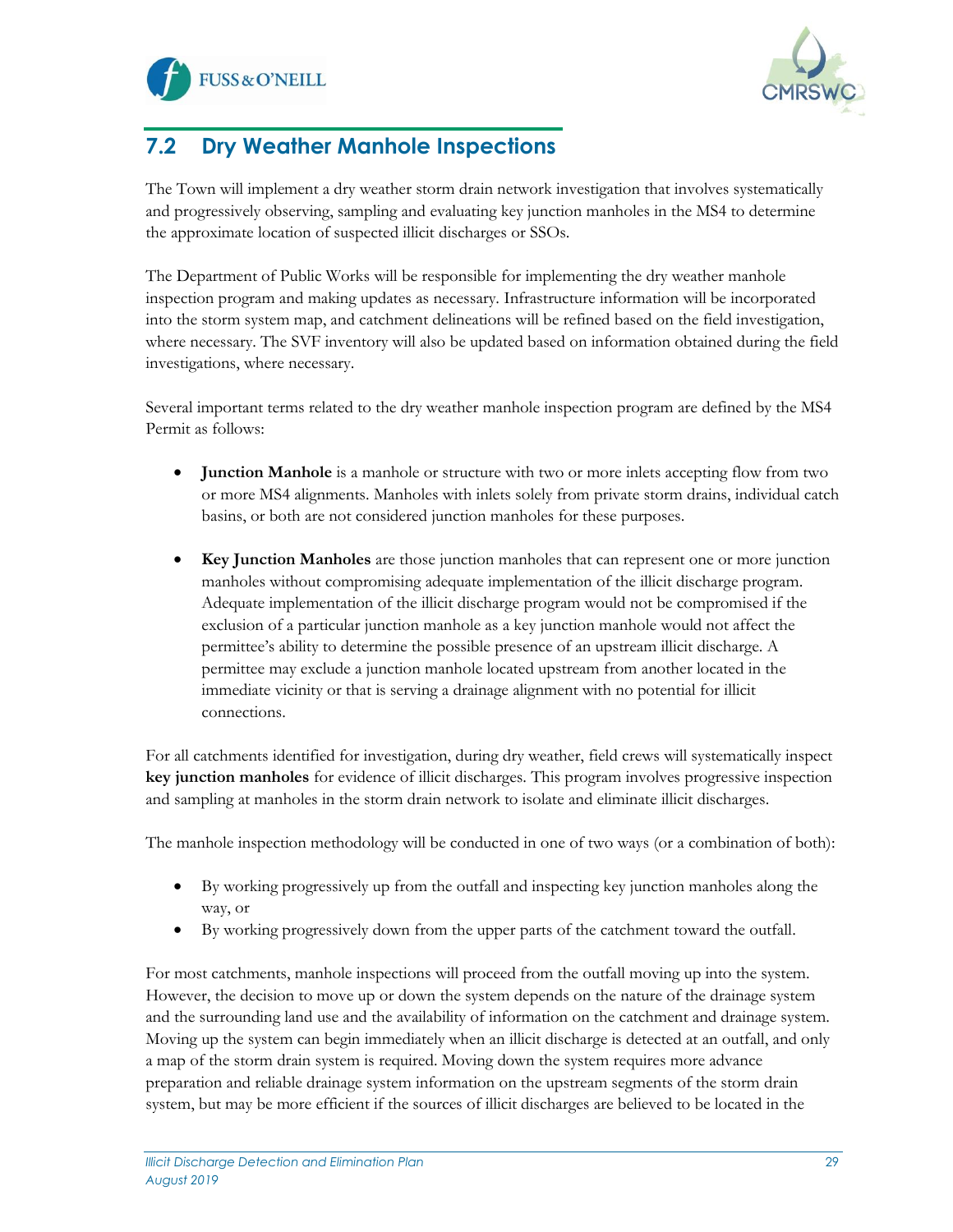



## <span id="page-29-0"></span>**7.2 Dry Weather Manhole Inspections**

The Town will implement a dry weather storm drain network investigation that involves systematically and progressively observing, sampling and evaluating key junction manholes in the MS4 to determine the approximate location of suspected illicit discharges or SSOs.

The Department of Public Works will be responsible for implementing the dry weather manhole inspection program and making updates as necessary. Infrastructure information will be incorporated into the storm system map, and catchment delineations will be refined based on the field investigation, where necessary. The SVF inventory will also be updated based on information obtained during the field investigations, where necessary.

Several important terms related to the dry weather manhole inspection program are defined by the MS4 Permit as follows:

- **Junction Manhole** is a manhole or structure with two or more inlets accepting flow from two or more MS4 alignments. Manholes with inlets solely from private storm drains, individual catch basins, or both are not considered junction manholes for these purposes.
- **Key Junction Manholes** are those junction manholes that can represent one or more junction manholes without compromising adequate implementation of the illicit discharge program. Adequate implementation of the illicit discharge program would not be compromised if the exclusion of a particular junction manhole as a key junction manhole would not affect the permittee's ability to determine the possible presence of an upstream illicit discharge. A permittee may exclude a junction manhole located upstream from another located in the immediate vicinity or that is serving a drainage alignment with no potential for illicit connections.

For all catchments identified for investigation, during dry weather, field crews will systematically inspect **key junction manholes** for evidence of illicit discharges. This program involves progressive inspection and sampling at manholes in the storm drain network to isolate and eliminate illicit discharges.

The manhole inspection methodology will be conducted in one of two ways (or a combination of both):

- By working progressively up from the outfall and inspecting key junction manholes along the way, or
- By working progressively down from the upper parts of the catchment toward the outfall.

For most catchments, manhole inspections will proceed from the outfall moving up into the system. However, the decision to move up or down the system depends on the nature of the drainage system and the surrounding land use and the availability of information on the catchment and drainage system. Moving up the system can begin immediately when an illicit discharge is detected at an outfall, and only a map of the storm drain system is required. Moving down the system requires more advance preparation and reliable drainage system information on the upstream segments of the storm drain system, but may be more efficient if the sources of illicit discharges are believed to be located in the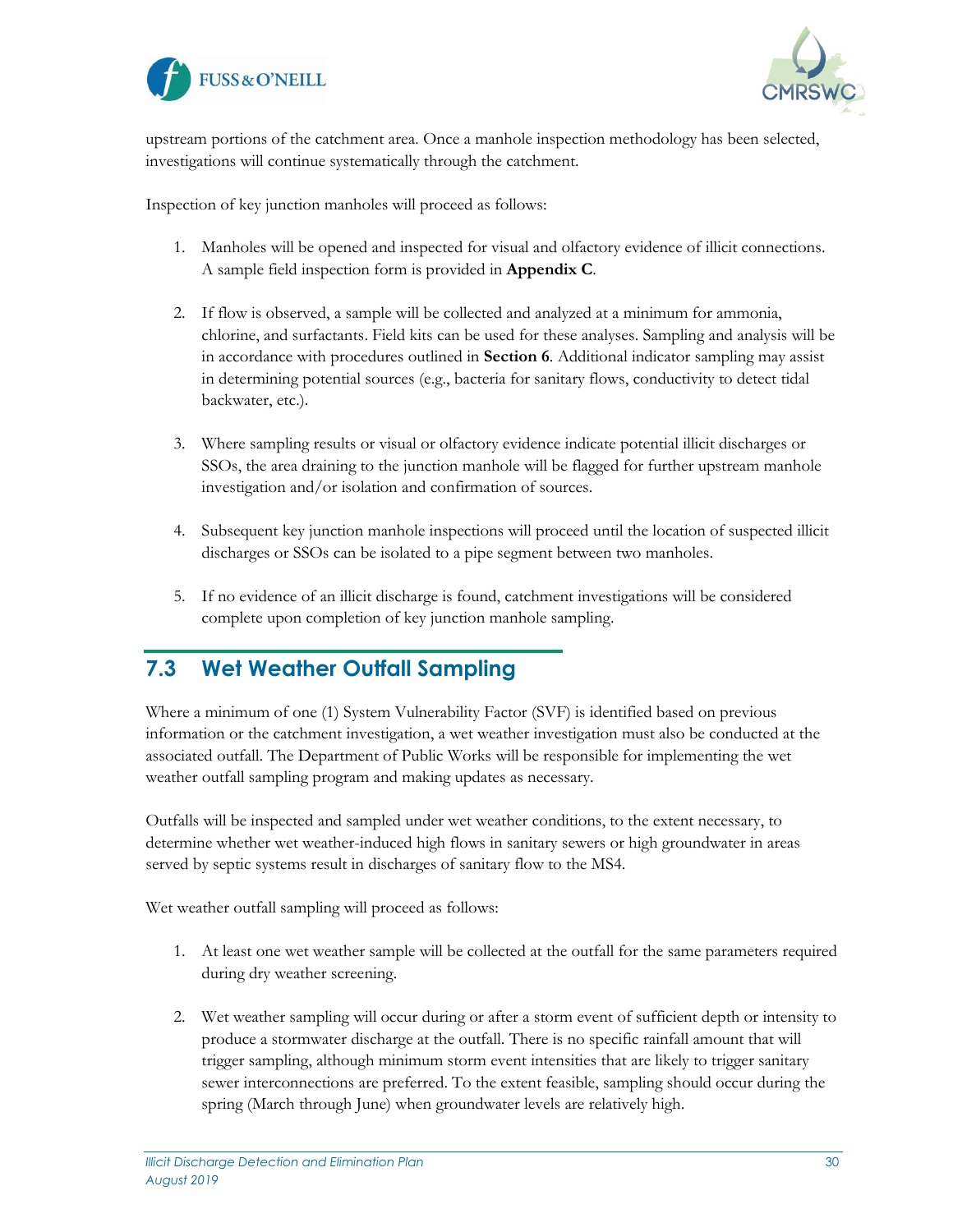



upstream portions of the catchment area. Once a manhole inspection methodology has been selected, investigations will continue systematically through the catchment.

Inspection of key junction manholes will proceed as follows:

- 1. Manholes will be opened and inspected for visual and olfactory evidence of illicit connections. A sample field inspection form is provided in **Appendix C**.
- 2. If flow is observed, a sample will be collected and analyzed at a minimum for ammonia, chlorine, and surfactants. Field kits can be used for these analyses. Sampling and analysis will be in accordance with procedures outlined in **Section 6**. Additional indicator sampling may assist in determining potential sources (e.g., bacteria for sanitary flows, conductivity to detect tidal backwater, etc.).
- 3. Where sampling results or visual or olfactory evidence indicate potential illicit discharges or SSOs, the area draining to the junction manhole will be flagged for further upstream manhole investigation and/or isolation and confirmation of sources.
- 4. Subsequent key junction manhole inspections will proceed until the location of suspected illicit discharges or SSOs can be isolated to a pipe segment between two manholes.
- 5. If no evidence of an illicit discharge is found, catchment investigations will be considered complete upon completion of key junction manhole sampling.

#### <span id="page-30-0"></span>**7.3 Wet Weather Outfall Sampling**

Where a minimum of one (1) System Vulnerability Factor (SVF) is identified based on previous information or the catchment investigation, a wet weather investigation must also be conducted at the associated outfall. The Department of Public Works will be responsible for implementing the wet weather outfall sampling program and making updates as necessary.

Outfalls will be inspected and sampled under wet weather conditions, to the extent necessary, to determine whether wet weather-induced high flows in sanitary sewers or high groundwater in areas served by septic systems result in discharges of sanitary flow to the MS4.

Wet weather outfall sampling will proceed as follows:

- 1. At least one wet weather sample will be collected at the outfall for the same parameters required during dry weather screening.
- 2. Wet weather sampling will occur during or after a storm event of sufficient depth or intensity to produce a stormwater discharge at the outfall. There is no specific rainfall amount that will trigger sampling, although minimum storm event intensities that are likely to trigger sanitary sewer interconnections are preferred. To the extent feasible, sampling should occur during the spring (March through June) when groundwater levels are relatively high.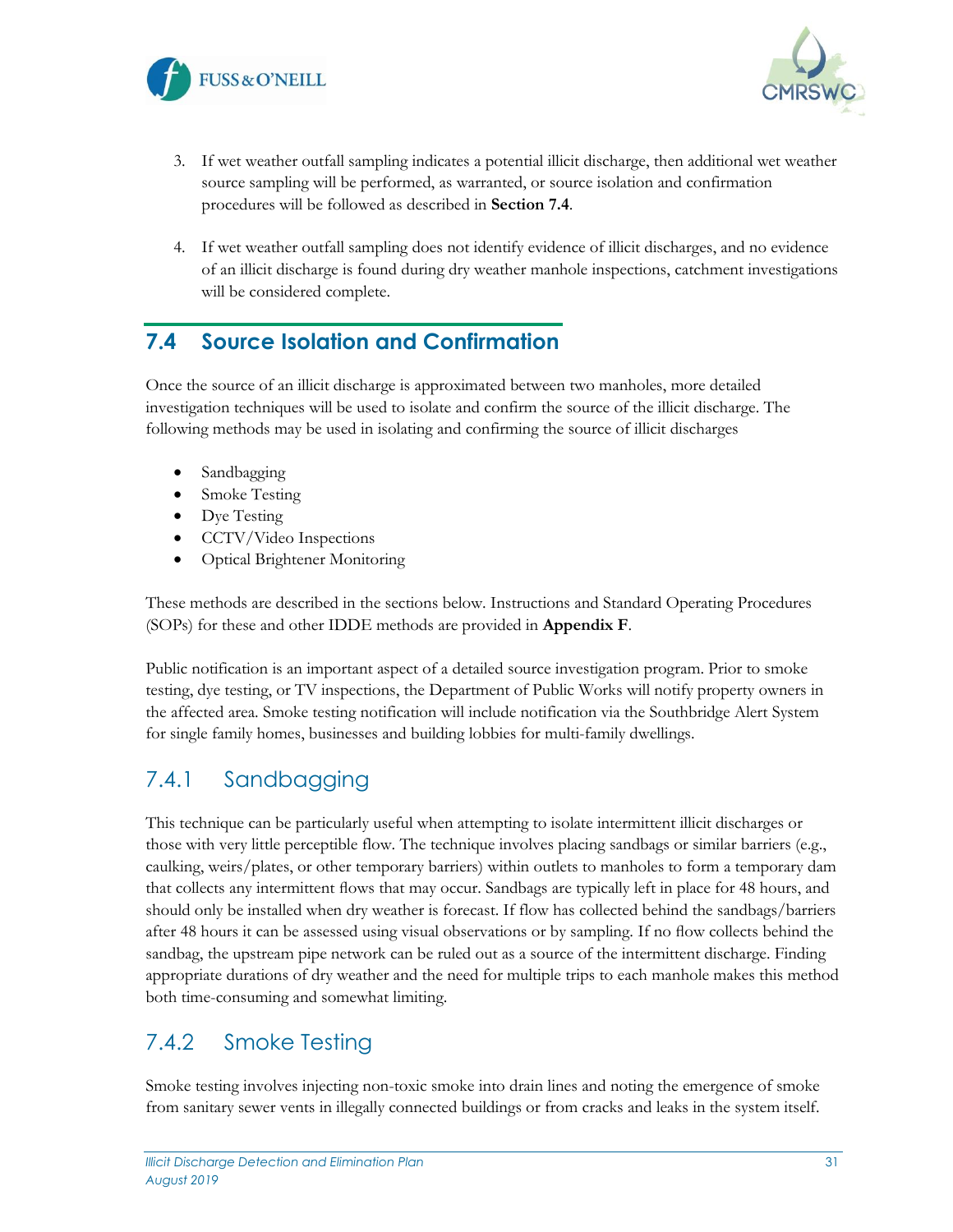



- 3. If wet weather outfall sampling indicates a potential illicit discharge, then additional wet weather source sampling will be performed, as warranted, or source isolation and confirmation procedures will be followed as described in **Section 7.4**.
- 4. If wet weather outfall sampling does not identify evidence of illicit discharges, and no evidence of an illicit discharge is found during dry weather manhole inspections, catchment investigations will be considered complete.

### <span id="page-31-0"></span>**7.4 Source Isolation and Confirmation**

Once the source of an illicit discharge is approximated between two manholes, more detailed investigation techniques will be used to isolate and confirm the source of the illicit discharge. The following methods may be used in isolating and confirming the source of illicit discharges

- Sandbagging
- Smoke Testing
- Dye Testing
- CCTV/Video Inspections
- Optical Brightener Monitoring

These methods are described in the sections below. Instructions and Standard Operating Procedures (SOPs) for these and other IDDE methods are provided in **Appendix F**.

Public notification is an important aspect of a detailed source investigation program. Prior to smoke testing, dye testing, or TV inspections, the Department of Public Works will notify property owners in the affected area. Smoke testing notification will include notification via the Southbridge Alert System for single family homes, businesses and building lobbies for multi-family dwellings.

### <span id="page-31-1"></span>7.4.1 Sandbagging

This technique can be particularly useful when attempting to isolate intermittent illicit discharges or those with very little perceptible flow. The technique involves placing sandbags or similar barriers (e.g., caulking, weirs/plates, or other temporary barriers) within outlets to manholes to form a temporary dam that collects any intermittent flows that may occur. Sandbags are typically left in place for 48 hours, and should only be installed when dry weather is forecast. If flow has collected behind the sandbags/barriers after 48 hours it can be assessed using visual observations or by sampling. If no flow collects behind the sandbag, the upstream pipe network can be ruled out as a source of the intermittent discharge. Finding appropriate durations of dry weather and the need for multiple trips to each manhole makes this method both time-consuming and somewhat limiting.

## <span id="page-31-2"></span>7.4.2 Smoke Testing

Smoke testing involves injecting non-toxic smoke into drain lines and noting the emergence of smoke from sanitary sewer vents in illegally connected buildings or from cracks and leaks in the system itself.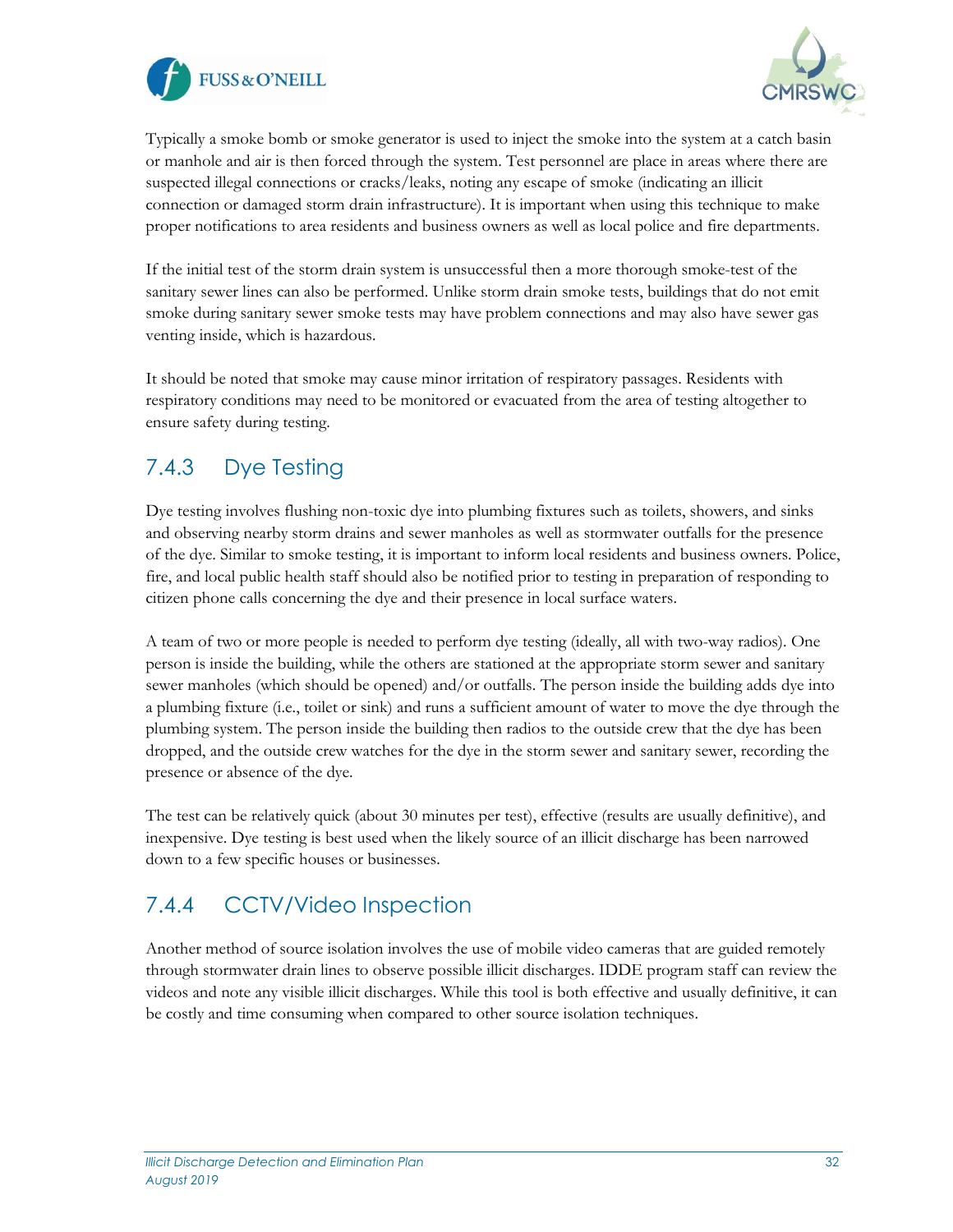



Typically a smoke bomb or smoke generator is used to inject the smoke into the system at a catch basin or manhole and air is then forced through the system. Test personnel are place in areas where there are suspected illegal connections or cracks/leaks, noting any escape of smoke (indicating an illicit connection or damaged storm drain infrastructure). It is important when using this technique to make proper notifications to area residents and business owners as well as local police and fire departments.

If the initial test of the storm drain system is unsuccessful then a more thorough smoke-test of the sanitary sewer lines can also be performed. Unlike storm drain smoke tests, buildings that do not emit smoke during sanitary sewer smoke tests may have problem connections and may also have sewer gas venting inside, which is hazardous.

It should be noted that smoke may cause minor irritation of respiratory passages. Residents with respiratory conditions may need to be monitored or evacuated from the area of testing altogether to ensure safety during testing.

## <span id="page-32-0"></span>7.4.3 Dye Testing

Dye testing involves flushing non-toxic dye into plumbing fixtures such as toilets, showers, and sinks and observing nearby storm drains and sewer manholes as well as stormwater outfalls for the presence of the dye. Similar to smoke testing, it is important to inform local residents and business owners. Police, fire, and local public health staff should also be notified prior to testing in preparation of responding to citizen phone calls concerning the dye and their presence in local surface waters.

A team of two or more people is needed to perform dye testing (ideally, all with two-way radios). One person is inside the building, while the others are stationed at the appropriate storm sewer and sanitary sewer manholes (which should be opened) and/or outfalls. The person inside the building adds dye into a plumbing fixture (i.e., toilet or sink) and runs a sufficient amount of water to move the dye through the plumbing system. The person inside the building then radios to the outside crew that the dye has been dropped, and the outside crew watches for the dye in the storm sewer and sanitary sewer, recording the presence or absence of the dye.

The test can be relatively quick (about 30 minutes per test), effective (results are usually definitive), and inexpensive. Dye testing is best used when the likely source of an illicit discharge has been narrowed down to a few specific houses or businesses.

## <span id="page-32-1"></span>7.4.4 CCTV/Video Inspection

Another method of source isolation involves the use of mobile video cameras that are guided remotely through stormwater drain lines to observe possible illicit discharges. IDDE program staff can review the videos and note any visible illicit discharges. While this tool is both effective and usually definitive, it can be costly and time consuming when compared to other source isolation techniques.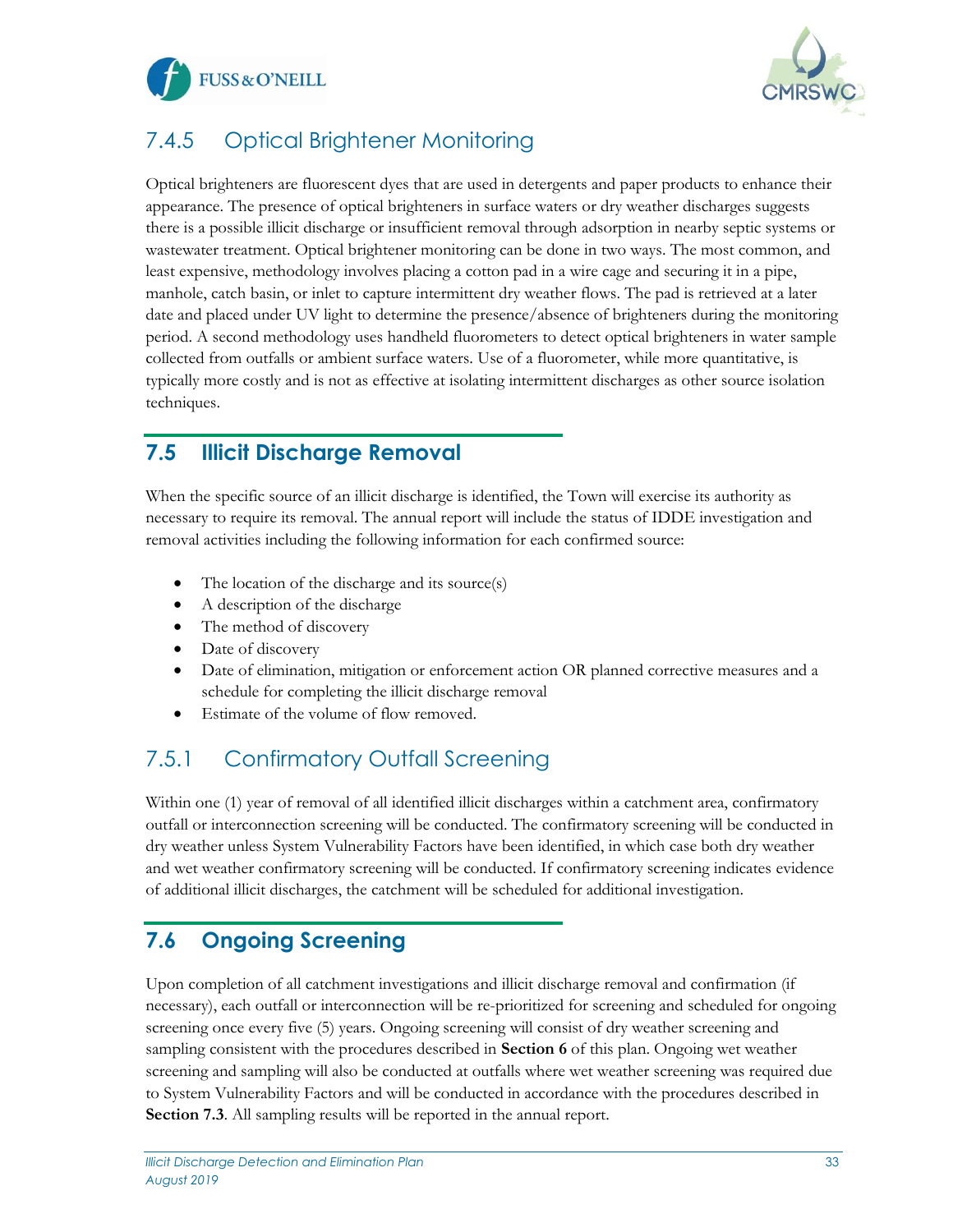



## <span id="page-33-0"></span>7.4.5 Optical Brightener Monitoring

Optical brighteners are fluorescent dyes that are used in detergents and paper products to enhance their appearance. The presence of optical brighteners in surface waters or dry weather discharges suggests there is a possible illicit discharge or insufficient removal through adsorption in nearby septic systems or wastewater treatment. Optical brightener monitoring can be done in two ways. The most common, and least expensive, methodology involves placing a cotton pad in a wire cage and securing it in a pipe, manhole, catch basin, or inlet to capture intermittent dry weather flows. The pad is retrieved at a later date and placed under UV light to determine the presence/absence of brighteners during the monitoring period. A second methodology uses handheld fluorometers to detect optical brighteners in water sample collected from outfalls or ambient surface waters. Use of a fluorometer, while more quantitative, is typically more costly and is not as effective at isolating intermittent discharges as other source isolation techniques.

### <span id="page-33-1"></span>**7.5 Illicit Discharge Removal**

When the specific source of an illicit discharge is identified, the Town will exercise its authority as necessary to require its removal. The annual report will include the status of IDDE investigation and removal activities including the following information for each confirmed source:

- The location of the discharge and its source(s)
- A description of the discharge
- The method of discovery
- Date of discovery
- Date of elimination, mitigation or enforcement action OR planned corrective measures and a schedule for completing the illicit discharge removal
- Estimate of the volume of flow removed.

## <span id="page-33-2"></span>7.5.1 Confirmatory Outfall Screening

Within one (1) year of removal of all identified illicit discharges within a catchment area, confirmatory outfall or interconnection screening will be conducted. The confirmatory screening will be conducted in dry weather unless System Vulnerability Factors have been identified, in which case both dry weather and wet weather confirmatory screening will be conducted. If confirmatory screening indicates evidence of additional illicit discharges, the catchment will be scheduled for additional investigation.

## <span id="page-33-3"></span>**7.6 Ongoing Screening**

Upon completion of all catchment investigations and illicit discharge removal and confirmation (if necessary), each outfall or interconnection will be re-prioritized for screening and scheduled for ongoing screening once every five (5) years. Ongoing screening will consist of dry weather screening and sampling consistent with the procedures described in **Section 6** of this plan. Ongoing wet weather screening and sampling will also be conducted at outfalls where wet weather screening was required due to System Vulnerability Factors and will be conducted in accordance with the procedures described in **Section 7.3**. All sampling results will be reported in the annual report.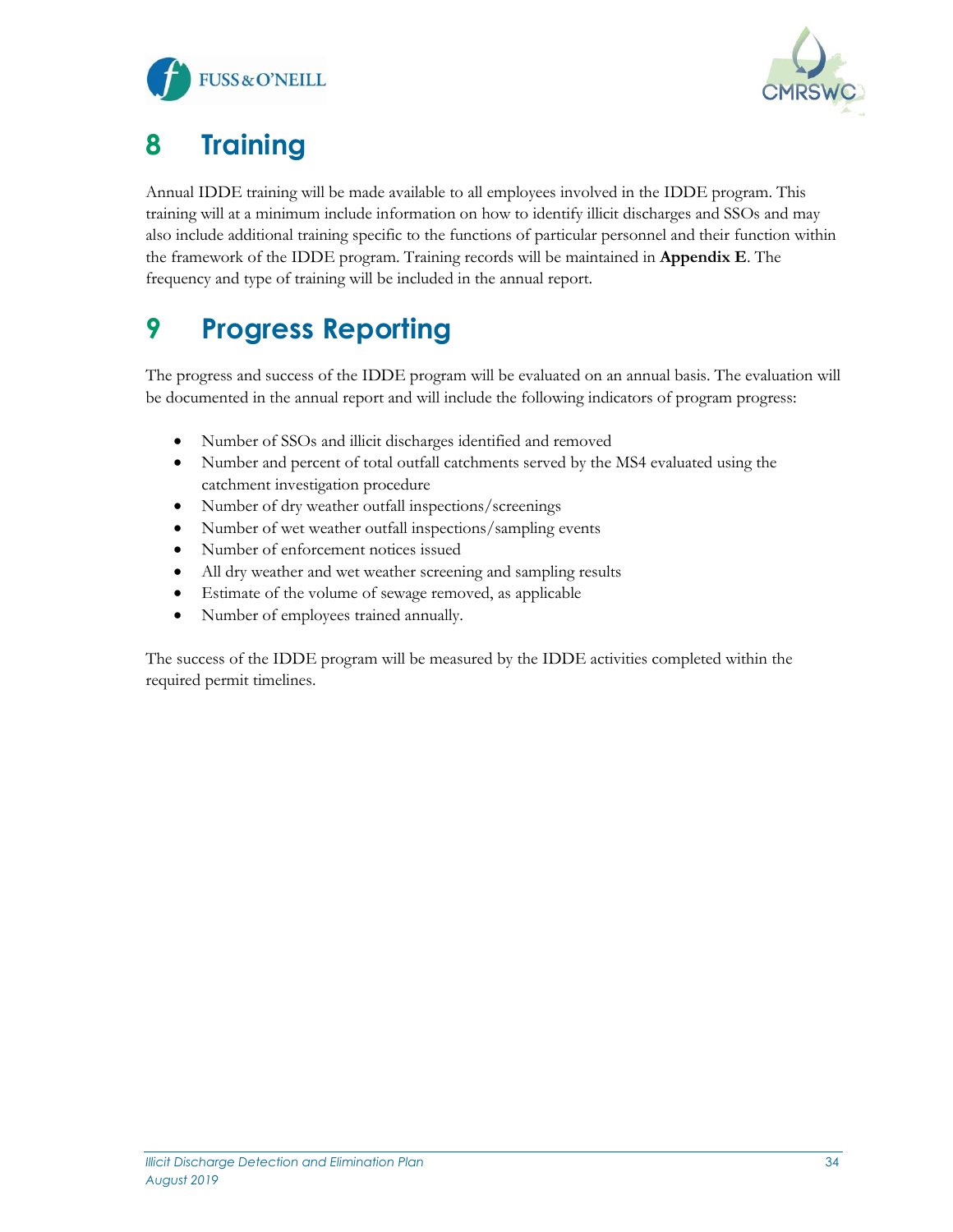



# <span id="page-34-0"></span>**8 Training**

Annual IDDE training will be made available to all employees involved in the IDDE program. This training will at a minimum include information on how to identify illicit discharges and SSOs and may also include additional training specific to the functions of particular personnel and their function within the framework of the IDDE program. Training records will be maintained in **Appendix E**. The frequency and type of training will be included in the annual report.

# <span id="page-34-1"></span>**9 Progress Reporting**

The progress and success of the IDDE program will be evaluated on an annual basis. The evaluation will be documented in the annual report and will include the following indicators of program progress:

- Number of SSOs and illicit discharges identified and removed
- Number and percent of total outfall catchments served by the MS4 evaluated using the catchment investigation procedure
- Number of dry weather outfall inspections/screenings
- Number of wet weather outfall inspections/sampling events
- Number of enforcement notices issued
- All dry weather and wet weather screening and sampling results
- Estimate of the volume of sewage removed, as applicable
- Number of employees trained annually.

The success of the IDDE program will be measured by the IDDE activities completed within the required permit timelines.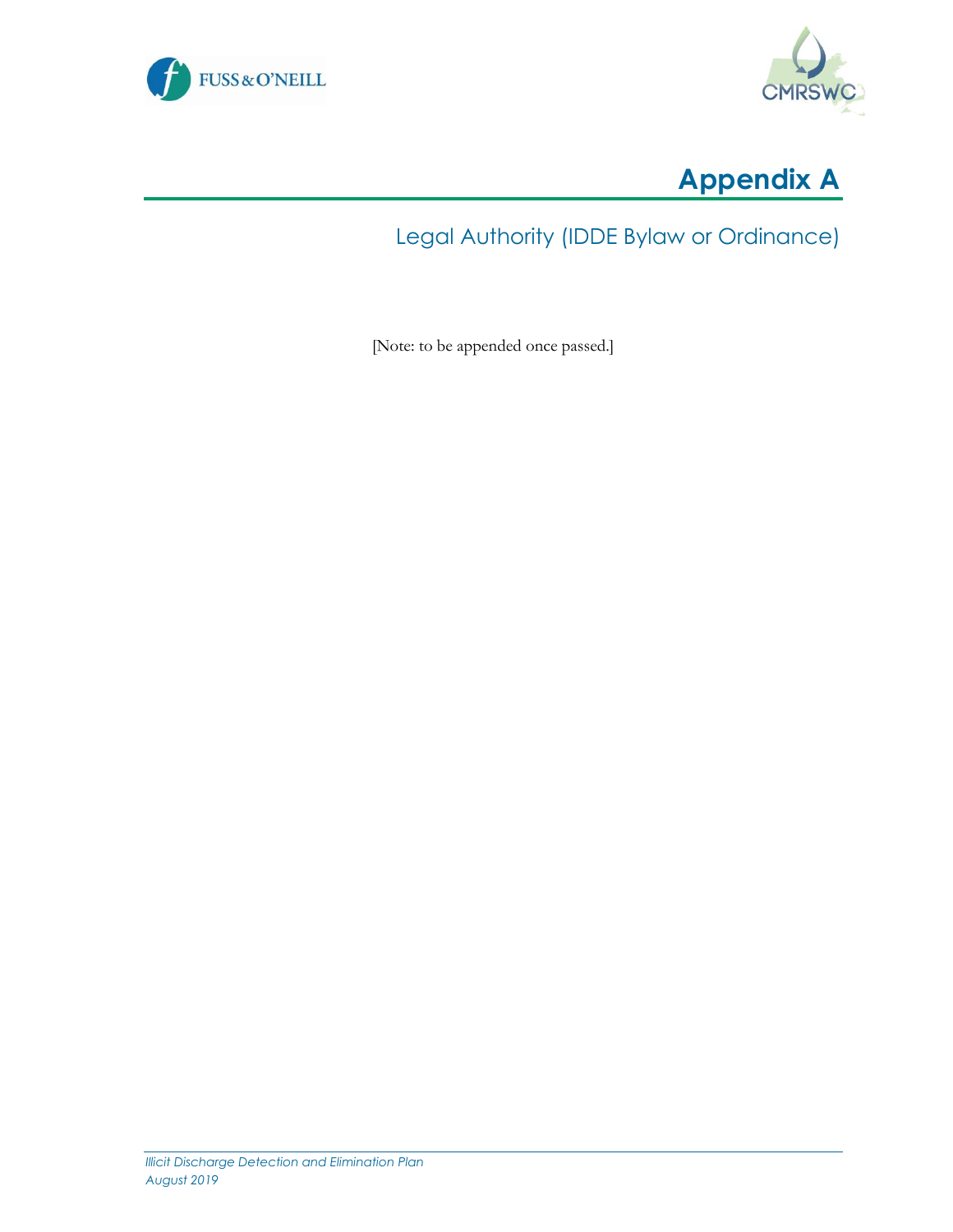





## Legal Authority (IDDE Bylaw or Ordinance)

[Note: to be appended once passed.]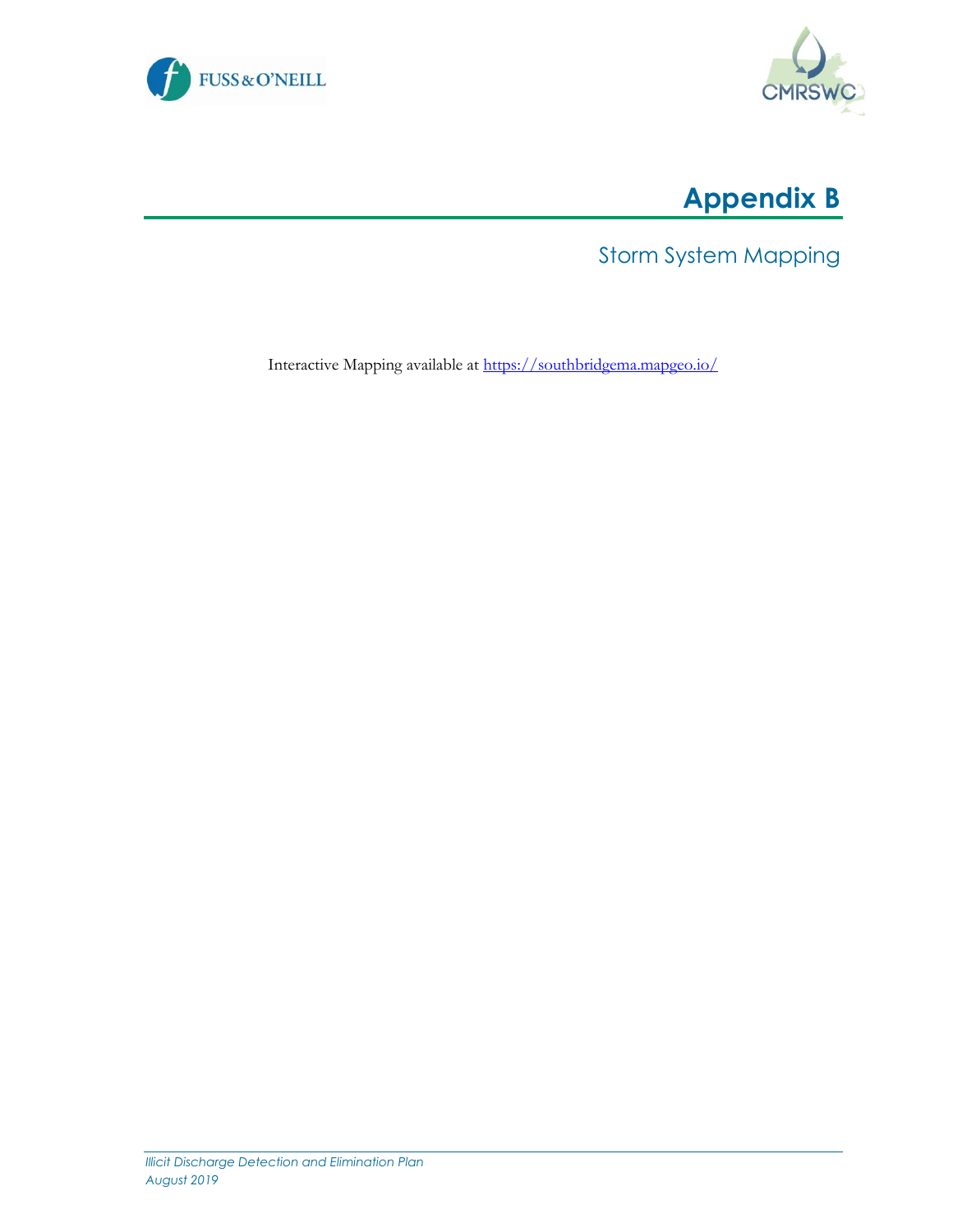



# **Appendix B**

Storm System Mapping

Interactive Mapping available at<https://southbridgema.mapgeo.io/>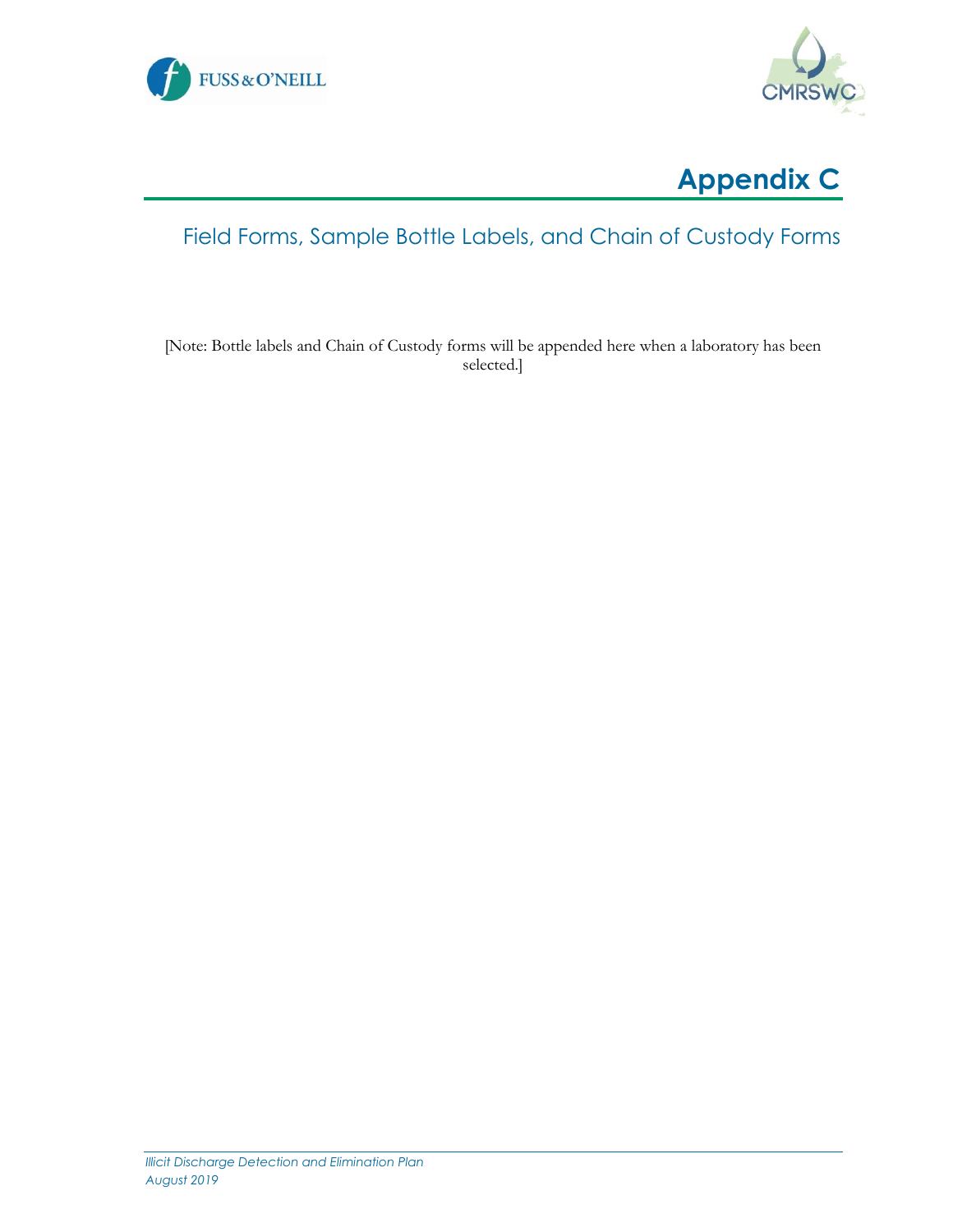





## Field Forms, Sample Bottle Labels, and Chain of Custody Forms

[Note: Bottle labels and Chain of Custody forms will be appended here when a laboratory has been selected.]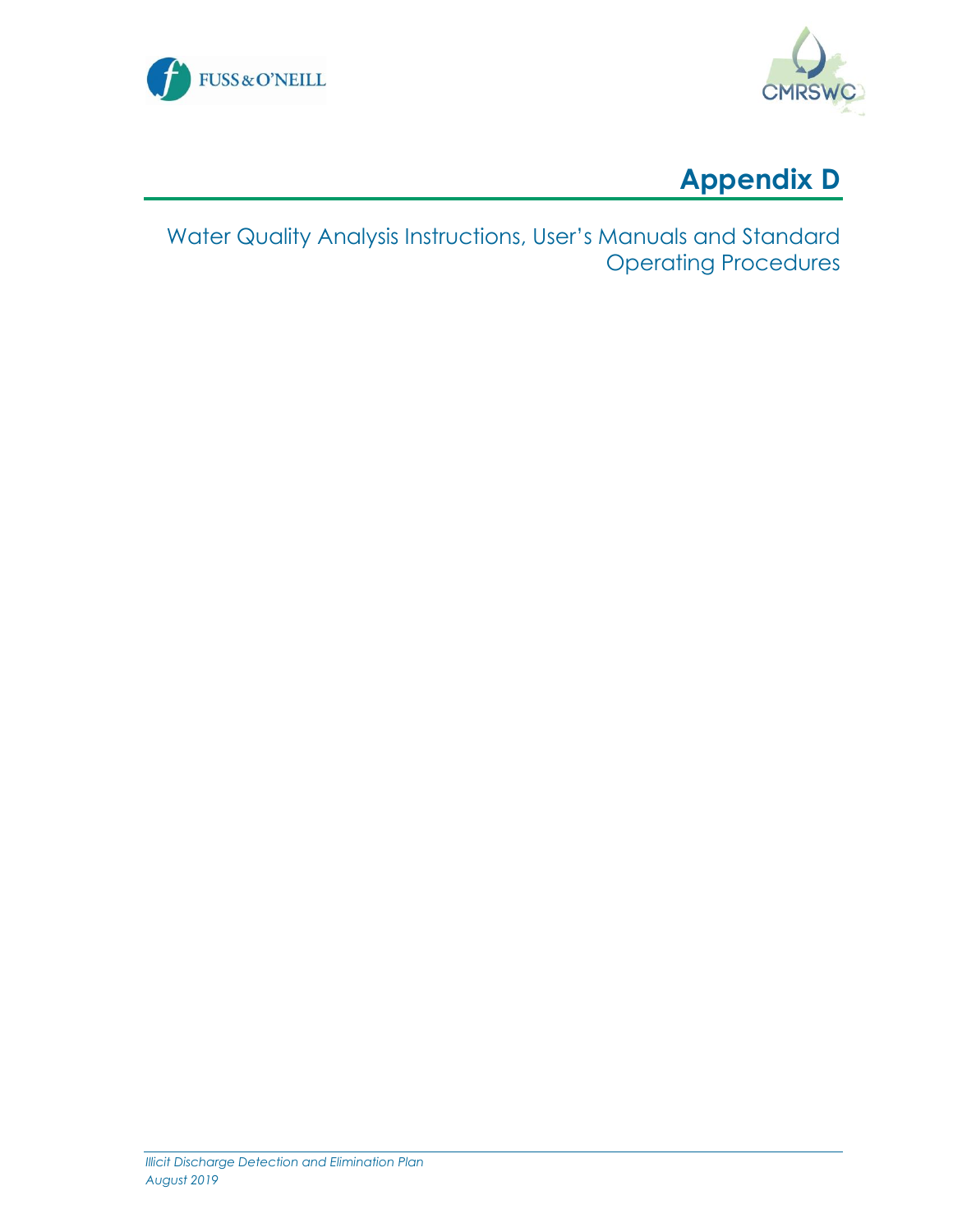





Water Quality Analysis Instructions, User's Manuals and Standard Operating Procedures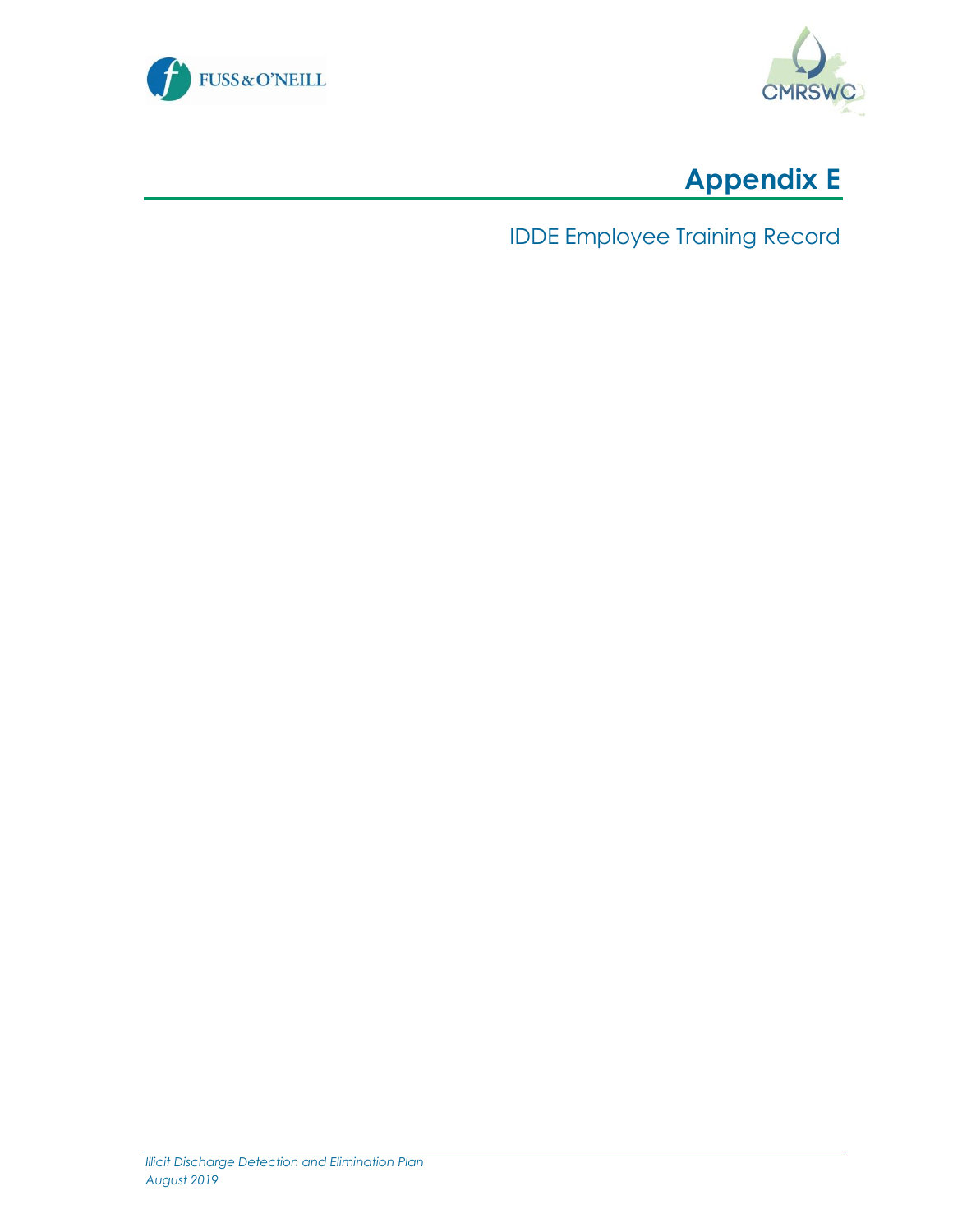





IDDE Employee Training Record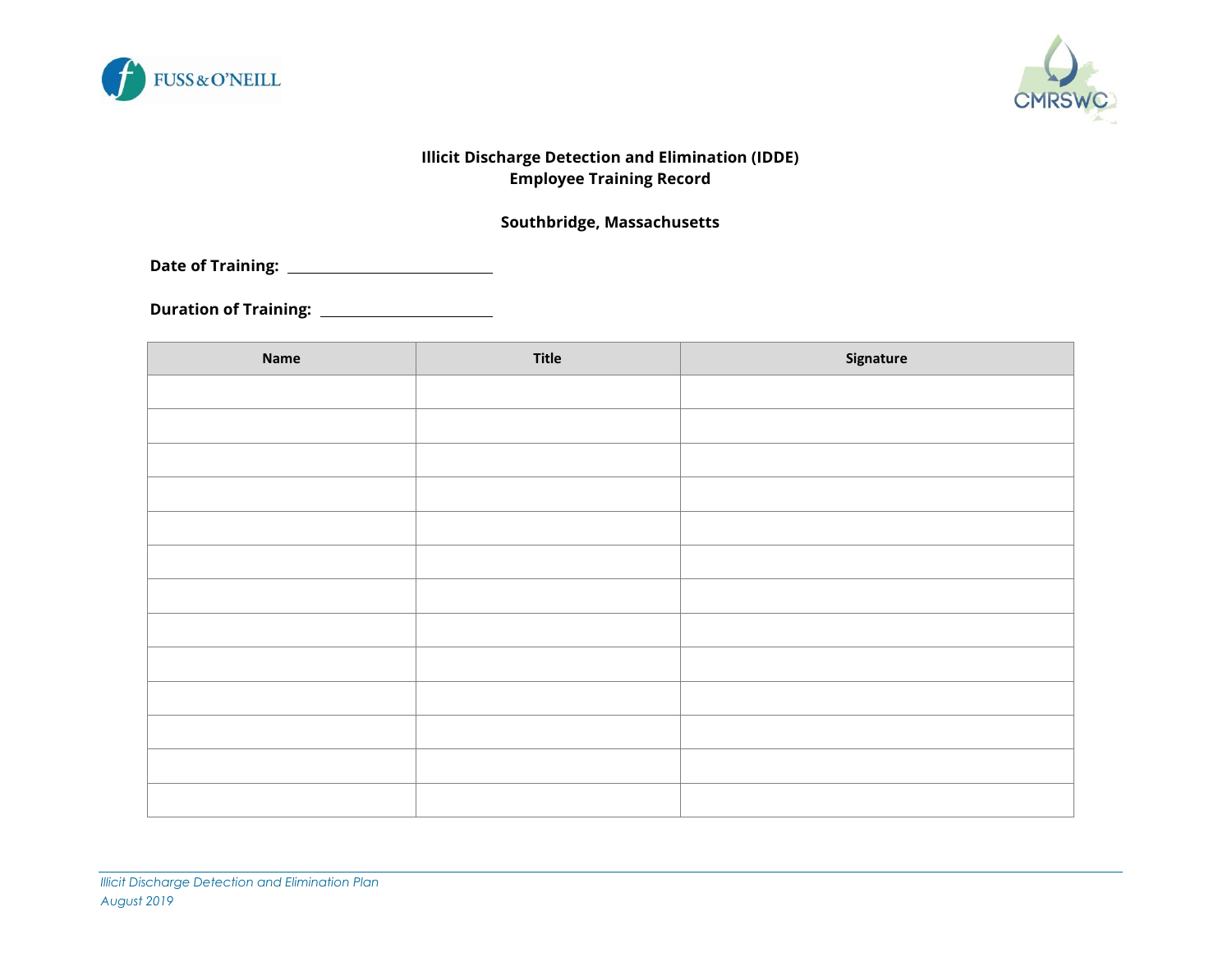



#### **Illicit Discharge Detection and Elimination (IDDE) Employee Training Record**

#### **Southbridge, Massachusetts**

**Date of Training:** 

**Duration of Training:** 

| Name | <b>Title</b> | Signature |
|------|--------------|-----------|
|      |              |           |
|      |              |           |
|      |              |           |
|      |              |           |
|      |              |           |
|      |              |           |
|      |              |           |
|      |              |           |
|      |              |           |
|      |              |           |
|      |              |           |
|      |              |           |
|      |              |           |